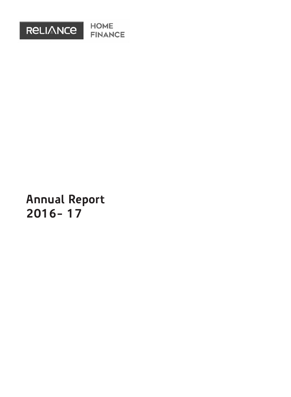

**Annual Report 2016- 17**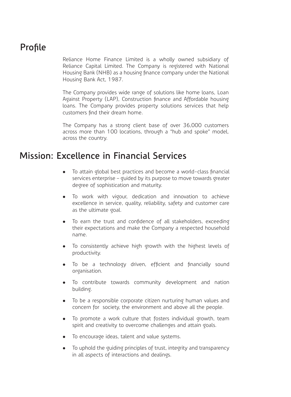# **Profile**

Reliance Home Finance Limited is a wholly owned subsidiary of Reliance Capital Limited. The Company is registered with National Housing Bank (NHB) as a housing finance company under the National Housing Bank Act, 1987.

The Company provides wide range of solutions like home loans, Loan Against Property (LAP), Construction finance and Affordable housing loans. The Company provides property solutions services that help customers find their dream home.

The Company has a strong client base of over 36,000 customers across more than 100 locations, through a "hub and spoke" model, across the country.

# **Mission: Excellence in Financial Services**

- To attain global best practices and become a world-class financial services enterprise – guided by its purpose to move towards greater degree of sophistication and maturity.
- To work with vigour, dedication and innovation to achieve excellence in service, quality, reliability, safety and customer care as the ultimate goal.
- To earn the trust and confidence of all stakeholders, exceeding their expectations and make the Company a respected household name.
- To consistently achieve high growth with the highest levels of productivity.
- To be a technology driven, efficient and financially sound organisation.
- To contribute towards community development and nation building.
- To be a responsible corporate citizen nurturing human values and concern for society, the environment and above all the people.
- To promote a work culture that fosters individual growth, team spirit and creativity to overcome challenges and attain goals.
- To encourage ideas, talent and value systems.
- To uphold the guiding principles of trust, integrity and transparency in all aspects of interactions and dealings.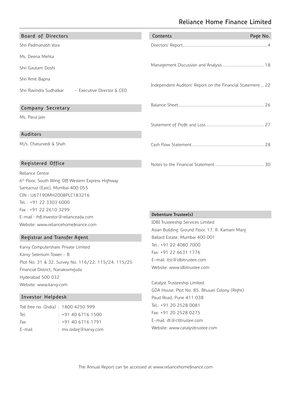## **Reliance Home Finance Limited**

| Board of Directors                                             | Contents<br>Page No.                                       |
|----------------------------------------------------------------|------------------------------------------------------------|
| Shri Padmanabh Vora                                            |                                                            |
| Ms. Deena Mehta                                                |                                                            |
| Shri Gautam Doshi                                              |                                                            |
| Shri Amit Bapna                                                |                                                            |
| Shri Ravindra Sudhalkar<br>- Executive Director & CEO          | Independent Auditors' Report on the Financial Statement 22 |
| Company Secretary                                              |                                                            |
| Ms. Parul Jain                                                 |                                                            |
|                                                                |                                                            |
| <b>Auditors</b>                                                |                                                            |
| M/s. Chaturvedi & Shah                                         |                                                            |
|                                                                |                                                            |
| Registered Office                                              |                                                            |
| Reliance Centre                                                |                                                            |
| 6 <sup>th</sup> Floor, South Wing, Off Western Express Highway |                                                            |
| Santacruz (East), Mumbai 400 055                               |                                                            |
| CIN: U67190MH2008PLC183216                                     |                                                            |
| Tel.: +91 22 3303 6000                                         |                                                            |
| Fax: +91 22 2610 3299                                          |                                                            |
| E-mail: rhfl.investor@relianceada.com                          | Debenture Trustee(s)                                       |
| Website: www.reliancehomefinance.com                           | IDBI Trusteeship Services Limited                          |
|                                                                | Asian Building, Ground Floor, 17, R. Kamani Marg           |

## **Registrar and Transfer Agent**

Karvy Computershare Private Limited Karvy Selenium Tower - B Plot No. 31 & 32, Survey No. 116/22, 115/24, 115/25 Financial District, Nanakramguda Hyderabad 500 032 Website: www.karvy.com

## **Investor Helpdesk**

| Toll free no. (India): 1800 4250 999 |                       |
|--------------------------------------|-----------------------|
| Tel.                                 | $: +914067161500$     |
| Fax                                  | $: +914067161791$     |
| E-mail                               | : mis.radag@karvy.com |

g, Ground Floor, Ballard Estate, Mumbai 400 001 Tel.: +91 22 4080 7000 Fax: +91 22 6631 1776 E-mail: itsl@idbitrustee.com Website: www.idbitrustee.com

Catalyst Trusteeship Limited GDA House, Plot No. 85, Bhusari Colony (Right) Paud Road, Pune 411 038 Tel.: +91 20 2528 0081 Fax: +91 20 2528 0275 E-mail: dt@ctltrustee.com Website: www.catalysttrustee.com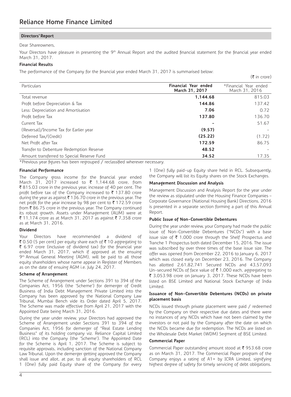Dear Shareowners,

Your Directors have pleasure in presenting the 9<sup>th</sup> Annual Report and the audited financial statement for the financial year ended March 31, 2017.

## **Financial Results**

The performance of the Company for the financial year ended March 31, 2017 is summarised below:

|                                            |                                        | $(\bar{\bar{\mathbf{z}}}$ in crore)     |
|--------------------------------------------|----------------------------------------|-----------------------------------------|
| Particulars                                | Financial Year ended<br>March 31, 2017 | *Financial Year ended<br>March 31, 2016 |
| Total revenue                              | 1.144.68                               | 815.03                                  |
| Profit before Depreciation & Tax           | 144.86                                 | 137.42                                  |
| Less: Depreciation and Amortisation        | 7.06                                   | 0.72                                    |
| Profit before Tax                          | 137.80                                 | 136.70                                  |
| Current Tax                                |                                        | 51.67                                   |
| (Reversal)/Income Tax for Earlier year     | (9.57)                                 |                                         |
| Deferred Tax/(Credit)                      | (25.22)                                | (1.72)                                  |
| Net Profit after Tax                       | 172.59                                 | 86.75                                   |
| Transfer to Debenture Redemption Reserve   | 48.52                                  |                                         |
| Amount transferred to Special Reserve Fund | 34.52                                  | 17.35                                   |

\*Previous year figures has been regrouped / reclassified wherever necessary.

## **Financial Performance**

The Company gross income for the financial year ended March 31, 2017 increased to  $\bar{\tau}$  1,144.68 crore, from ₹815.03 crore in the previous year, increase of 40 per cent. The profit before tax of the Company increased to  $\bar{\tau}$  137.80 crore during the year as against  $\bar{\tau}$  136.70 crore in the previous year. The net profit for the year increase by 98 per cent to  $\bar{\tau}$  172.59 crore from  $\bar{\tau}$  86.75 crore in the previous year. The Company continued its robust growth. Assets under Management (AUM) were at ₹ 11,174 crore as at March 31, 2017 as against ₹ 7,358 crore as at March 31, 2016.

#### **Dividend**

Your Directors have recommended a dividend of ₹ 0.50 (5 per cent) per equity share each of ₹ 10 aggregating to  $\bar{\tau}$  6.97 crore (inclusive of dividend tax) for the financial year ended March 31, 2017, which if approved at the ensuing 9<sup>th</sup> Annual General Meeting (AGM), will be paid to all those equity shareholders whose name appear in Register of Members as on the date of ensuing AGM i.e. July 24, 2017.

## **Scheme of Arrangement**

The Scheme of Arrangement under Sections 391 to 394 of the Companies Act, 1956 (the 'Scheme') for demerger of Credit Business of India Debt Management Private Limited into the Company has been approved by the National Company Law Tribunal, Mumbai Bench vide its Order dated April 5, 2017. The Scheme was made effective from April 21, 2017 with the Appointed Date being March 31, 2016.

During the year under review, your Directors had approved the Scheme of Arrangement under Sections 391 to 394 of the Companies Act, 1956 for demerger of "Real Estate Lending Business" of its holding company viz. Reliance Capital Limited (RCL) into the Company (the 'Scheme'). The Appointed Date for the Scheme is April 1, 2017. The Scheme is subject to requisite approvals, including sanction of the National Company Law Tribunal. Upon the demerger getting approved the Company shall issue and allot, at par, to all equity shareholders of RCL 1 (One) fully paid Equity share of the Company for every 1 (One) fully paid-up Equity share held in RCL. Subsequently, the Company will list its Equity shares on the Stock Exchanges.

## **Management Discussion and Analysis**

Management Discussion and Analysis Report for the year under the review as stipulated under the Housing Finance Companies – Corporate Governance (National Housing Bank) Directions, 2016 is presented in a separate section forming a part of this Annual Report.

#### **Public Issue of Non-Convertible Debentures**

During the year under review, your Company had made the public issue of Non-Convertible Debentures ("NCDs") with a base issue size of  $\bar{\tau}$  1,000 crore through the Shelf Prospectus and Tranche 1 Prospectus both dated December 15, 2016. The issue was subscribed by over three times of the base issue size. The offer was opened from December 22, 2016 to January 6, 2017 which was closed early on December 23, 2016. The Company has allotted 2,61,82,741 Secured NCDs and 43,57,093 Un-secured NCDs of face value of ₹1,000 each, aggregating to ₹ 3,053.98 crore on January 3, 2017. These NCDs have been listed on BSE Limited and National Stock Exchange of India Limited.

## **Issuance of Non-Convertible Debentures (NCDs) on private placement basis**

NCDs issued through private placement were paid / redeemed by the Company on their respective due dates and there were no instances of any NCDs which have not been claimed by the investors or not paid by the Company after the date on which the NCDs became due for redemption. The NCDs are listed on the Wholesale Debt Market (WDM) Segment of BSE Limited.

## **Commercial Paper**

Commercial Paper outstanding amount stood at  $\bar{\tau}$  953.68 crore as on March 31, 2017. The Commercial Paper program of the Company enjoys a rating of A1+ by ICRA Limited, signifying highest degree of safety for timely servicing of debt obligations.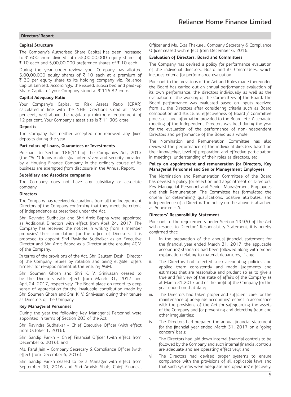## **Capital Structure**

The Company's Authorised Share Capital has been increased to  $\bar{\tau}$  600 crore divided into 55,00,00,000 equity shares of ₹ 10 each and 5,00,00,000 preference shares of ₹ 10 each.

During the year under review, your Company has allotted 5,00,00,000 equity shares of  $\bar{\tau}$  10 each at a premium of ₹ 30 per equity share to its holding company viz. Reliance Capital Limited. Accordingly, the issued, subscribed and paid-up Share Capital of your Company stood at  $\bar{\tau}$  115.82 crore.

#### **Capital Adequacy Ratio**

Your Company's Capital to Risk Assets Ratio (CRAR) calculated in line with the NHB Directions stood at 19.24 per cent, well above the regulatory minimum requirement of 12 per cent. Your Company's asset size is ₹ 11,305 crore.

#### **Deposits**

The Company has neither accepted nor renewed any fixed deposits during the year.

#### **Particulars of Loans, Guarantees or Investments**

Pursuant to Section 186(11) of the Companies Act, 2013 (the "Act") loans made, guarantee given and security provided by a Housing Finance Company in the ordinary course of its business are exempted from disclosure in the Annual Report.

#### **Subsidiary and Associate companies**

The Company does not have any subsidiary or associate company.

#### **Directors**

The Company has received declarations from all the Independent Directors of the Company confirming that they meet the criteria of Independence as prescribed under the Act.

Shri Ravindra Sudhalkar and Shri Amit Bapna were appointed as Additional Directors with effect from April 24, 2017. The Company has received the notices in writing from a member proposing their candidature for the office of Directors. It is proposed to appoint Shri Ravindra Sudhalkar as an Executive Director and Shri Amit Bapna as a Director at the ensuing AGM of the Company.

In terms of the provisions of the Act, Shri Gautam Doshi, Director of the Company, retires by rotation and being eligible, offers himself for re-appointment at the ensuing AGM.

Shri Soumen Ghosh and Shri K. V. Srinivasan ceased to be the Directors with effect from March 31, 2017 and April 24, 2017, respectively. The Board place on record its deep sense of appreciation for the invaluable contribution made by Shri Soumen Ghosh and Shri K. V. Srinivasan during their tenure as Directors of the Company.

#### **Key Managerial Personnel**

During the year the following Key Managerial Personnel were appointed in terms of Section 203 of the Act:

Shri Ravindra Sudhalkar - Chief Executive Officer (with effect from October 1, 2016);

Shri Sandip Parikh - Chief Financial Officer (with effect from December 6, 2016); and

Ms. Parul Jain - Company Secretary & Compliance Officer (with effect from December 6, 2016).

Shri Sandip Parikh ceased to be a Manager with effect from September 30, 2016 and Shri Amrish Shah, Chief Financial Officer and Ms. Ekta Thakurel, Company Secretary & Compliance Officer ceased with effect from December 6, 2016.

## **Evaluation of Directors, Board and Committees**

The Company has devised a policy for performance evaluation of the individual directors, Board and its Committees, which includes criteria for performance evaluation.

Pursuant to the provisions of the Act and Rules made thereunder, the Board has carried out an annual performance evaluation of its own performance, the directors individually as well as the evaluation of the working of the Committees of the Board. The Board performance was evaluated based on inputs received from all the Directors after considering criteria such as Board composition and structure, effectiveness of Board / Committee processes, and information provided to the Board, etc. A separate meeting of the Independent Directors was held during the year for the evaluation of the performance of non-independent Directors and performance of the Board as a whole.

The Nomination and Remuneration Committee has also reviewed the performance of the individual directors based on their knowledge, level of preparation and effective participation in meetings, understanding of their roles as directors, etc.

#### **Policy on appointment and remuneration for Directors, Key Managerial Personnel and Senior Management Employees**

The Nomination and Remuneration Committee of the Board has devised a policy for selection and appointment of Directors, Key Managerial Personnel and Senior Management Employees and their Remuneration. The Committee has formulated the criteria for determining qualifications, positive attributes, and independence of a Director. The policy on the above is attached as Annexure - A.

#### **Directors' Responsibility Statement**

Pursuant to the requirements under Section 134(5) of the Act with respect to Directors' Responsibility Statement, it is hereby confirmed that:

- i. In the preparation of the annual financial statement for the financial year ended March 31, 2017, the applicable accounting standards had been followed along with proper explanation relating to material departures, if any;
- ii. The Directors had selected such accounting policies and applied them consistently and made judgments and estimates that are reasonable and prudent so as to give a true and fair view of the state of affairs of the Company as at March 31,2017 and of the profit of the Company for the year ended on that date;
- iii. The Directors had taken proper and sufficient care for the maintenance of adequate accounting records in accordance with the provisions of the Act for safeguarding the assets of the Company and for preventing and detecting fraud and other irregularities;
- iv. The Directors had prepared the annual financial statement for the financial year ended March 31, 2017 on a 'going concern' basis;
- v. The Directors had laid down internal financial controls to be followed by the Company and such internal financial controls are adequate and are operating effectively; and
- vi. The Directors had devised proper systems to ensure compliance with the provisions of all applicable laws and that such systems were adequate and operating effectively.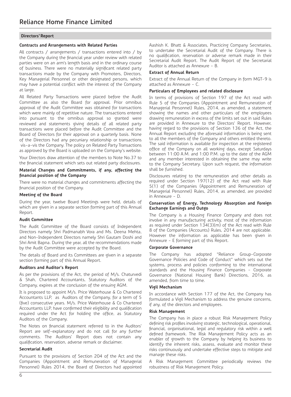### **Contracts and Arrangements with Related Parties**

All contracts / arrangements / transactions entered into / by the Company during the financial year under review with related parties were on an arm's length basis and in the ordinary course of business. There were no materially significant related party transactions made by the Company with Promoters, Directors, Key Managerial Personnel or other designated persons, which may have a potential conflict with the interest of the Company at large.

All Related Party Transactions were placed before the Audit Committee as also the Board for approval. Prior omnibus approval of the Audit Committee was obtained for transactions which were mainly of repetitive nature. The transactions entered into pursuant to the omnibus approval so granted were reviewed and statements giving details of all related party transactions were placed before the Audit Committee and the Board of Directors for their approval on a quarterly basis. None of the Directors had any pecuniary relationship or transactions vis-a-vis the Company. The policy on Related Party Transactions as approved by the Board is uploaded on the Company's website.

Your Directors draw attention of the members to Note No.37 to the financial statement which sets out related party disclosures.

### **Material Changes and Commitments, if any, affecting the financial position of the Company**

There were no material changes and commitments affecting the financial position of the Company.

## **Meeting of the Board**

During the year, twelve Board Meetings were held, details of which are given in a separate section forming part of this Annual Report.

#### **Audit Committee**

The Audit Committee of the Board consists of Independent Directors namely Shri Padmanabh Vora and Ms. Deena Mehta, and Non-Independent Directors namely Shri Gautam Doshi and Shri Amit Bapna. During the year, all the recommendations made by the Audit Committee were accepted by the Board.

The details of Board and its Committees are given in a separate section forming part of this Annual Report.

#### **Auditors and Auditor's Report**

As per the provisions of the Act, the period of M/s. Chaturvedi & Shah, Chartered Accountants, Statutory Auditors of the Company, expires at the conclusion of the ensuing AGM.

It is proposed to appoint M/s. Price Waterhouse & Co Chartered Accountants LLP, as Auditors of the Company, for a term of 5 (five) consecutive years. M/s. Price Waterhouse & Co Chartered Accountants LLP, have confirmed their eligibility and qualification required under the Act for holding the office, as Statutory Auditors of the Company.

The Notes on financial statement referred to in the Auditors' Report are self-explanatory and do not call for any further comments. The Auditors' Report does not contain any qualification, reservation, adverse remark or disclaimer.

#### **Secretarial Audit**

Pursuant to the provisions of Section 204 of the Act and the Companies (Appointment and Remuneration of Managerial Personnel) Rules 2014, the Board of Directors had appointed Aashish K. Bhatt & Associates, Practicing Company Secretaries, to undertake the Secretarial Audit of the Company. There is no qualification, reservation or adverse remark made in their Secretarial Audit Report. The Audit Report of the Secretarial Auditor is attached as Annexure - B.

## **Extract of Annual Return**

Extract of the Annual Return of the Company in form MGT-9 is attached as Annexure - C.

## **Particulars of Employees and related disclosure**

In terms of provisions of Section 197 of the Act read with Rule 5 of the Companies (Appointment and Remuneration of Managerial Personnel) Rules, 2014, as amended, a statement showing the names and other particulars of the employees drawing remuneration in excess of the limits set out in said Rules are provided in Annexure to the Directors' Report. However, having regard to the provisions of Section 136 of the Act, the Annual Report excluding the aforesaid information is being sent to all the members of the Company and others entitled thereto. The said information is available for inspection at the registered office of the Company on all working days, except Saturdays between 11:00 A.M. and 1:00 P.M. up to the date of the AGM and any member interested in obtaining the same may write to the Company Secretary. Upon such request, the information shall be furnished.

Disclosures relating to the remuneration and other details as required under Section 197(12) of the Act read with Rule 5(1) of the Companies (Appointment and Remuneration of Managerial Personnel) Rules, 2014, as amended, are provided in Annexure - D.

#### **Conservation of Energy, Technology Absorption and Foreign Exchange Earnings and Outgo**

The Company is a Housing Finance Company and does not involve in any manufacturing activity, most of the information as required under Section 134(3)(m) of the Act read with Rule 8 of the Companies (Accounts) Rules, 2014 are not applicable. However the information as applicable has been given in Annexure - E forming part of this Report.

## **Corporate Governance**

The Company has adopted "Reliance Group-Corporate Governance Policies and Code of Conduct" which sets out the systems, process and policies conforming to the international standards and the Housing Finance Companies - Corporate Governance (National Housing Bank) Directions, 2016, as amended, from time to time.

#### **Vigil Mechanism**

In accordance with Section 177 of the Act, the Company has formulated a Vigil Mechanism to address the genuine concerns, if any, of the directors and employees.

## **Risk Management**

The Company has in place a robust Risk Management Policy defining risk profiles involving strategic, technological, operational, financial, organisational, legal and regulatory risk within a well defined framework. The Risk Management Policy acts as an enabler of growth to the Company by helping its business to identify the inherent risks, assess, evaluate and monitor these risks continuously and undertake effective steps to mitigate and manage these risks.

A Risk Management Committee periodically reviews the robustness of Risk Management Policy.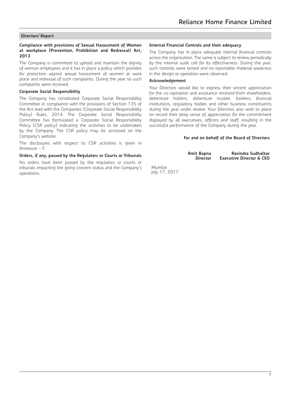#### **Compliance with provisions of Sexual Harassment of Women at workplace (Prevention, Prohibition and Redressal) Act, 2013**

The Company is committed to uphold and maintain the dignity of woman employees and it has in place a policy which provides for protection against sexual harassment of women at work place and redressal of such complaints. During the year no such complaints were received.

#### **Corporate Social Responsibility**

The Company has constituted Corporate Social Responsibility Committee in compliance with the provisions of Section 135 of the Act read with the Companies (Corporate Social Responsibility Policy) Rules, 2014. The Corporate Social Responsibility Committee has formulated a Corporate Social Responsibility Policy (CSR policy) indicating the activities to be undertaken by the Company. The CSR policy may be accessed on the Company's website.

The disclosures with respect to CSR activities is given in Annexure - F.

#### **Orders, if any, passed by the Regulators or Courts or Tribunals**

No orders have been passed by the regulators or courts or tribunals impacting the going concern status and the Company's operations.

#### **Internal Financial Controls and their adequacy**

The Company has in place adequate internal financial controls across the organisation. The same is subject to review periodically by the internal audit cell for its effectiveness. During the year, such controls were tested and no reportable material weakness in the design or operation were observed.

#### **Acknowledgement**

Your Directors would like to express their sincere appreciation for the co-operation and assistance received from shareholders, debenture holders, debenture trustee, bankers, financial institutions, regulatory bodies and other business constituents during the year under review. Your Directors also wish to place on record their deep sense of appreciation for the commitment displayed by all executives, officers and staff, resulting in the successful performance of the Company during the year.

#### **For and on behalf of the Board of Directors**

**Amit Bapna Director** 

**Ravindra Sudhalkar Executive Director & CEO**

Mumbai July 17, 2017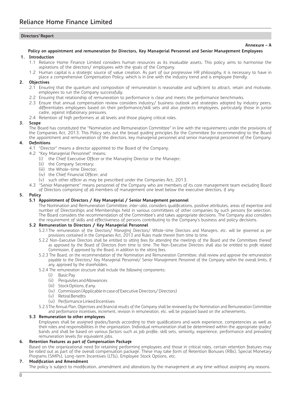#### **Annexure – A**

# **Policy on appointment and remuneration for Directors, Key Managerial Personnel and Senior Management Employees**

## **1. Introduction**

- 1.1 Reliance Home Finance Limited considers human resources as its invaluable assets. This policy aims to harmonise the aspirations of the directors/ employees with the goals of the Company.
- 1.2 Human capital is a strategic source of value creation. As part of our progressive HR philosophy, it is necessary to have in place a comprehensive Compensation Policy, which is in line with the industry trend and is employee friendly.

### **2. Objectives**

- 2.1 Ensuring that the quantum and composition of remuneration is reasonable and sufficient to attract, retain and motivate, employees to run the Company successfully.
- 2.2 Ensuring that relationship of remuneration to performance is clear and meets the performance benchmarks.
- 2.3 Ensure that annual compensation review considers industry/ business outlook and strategies adopted by industry peers, differentiates employees based on their performance/skill sets and also protects employees, particularly those in junior cadre, against inflationary pressures.
- 2.4 Retention of high performers at all levels and those playing critical roles.

#### **3. Scope**

The Board has constituted the "Nomination and Remuneration Committee" in line with the requirements under the provisions of the Companies Act, 2013. This Policy sets out the broad guiding principles for the Committee for recommending to the Board the appointment and remuneration of the directors, key managerial personnel and senior managerial personnel of the Company.

## **4. Definitions**

- 4.1 "Director" means a director appointed to the Board of the Company.
- 4.2 "Key Managerial Personnel" means;
- (i) the Chief Executive Officer or the Managing Director or the Manager;
- (ii) the Company Secretary;
	- (iii) the Whole-time Director;
	- (iv) the Chief Financial Officer; and
	- (v) such other officer as may be prescribed under the Companies Act, 2013.
	- 4.3 ''Senior Management'' means personnel of the Company who are members of its core management team excluding Board of Directors comprising of all members of management one level below the executive directors, if any.

#### **5. Policy**

#### **5.1 Appointment of Directors / Key Managerial / Senior Management personnel**

 The Nomination and Remuneration Committee, *inter-alia*, considers qualifications, positive attributes, areas of expertise and number of Directorships and Memberships held in various committees of other companies by such persons for selection. The Board considers the recommendation of the Committee's and takes appropriate decisions. The Company also considers the requirement of skills and effectiveness of persons contributing to the Company's business and policy decisions.

#### **5.2 Remuneration to Directors / Key Managerial Personnel**

- 5.2.1The remuneration of the Directors/ Managing Directors/ Whole-time Directors and Managers, etc. will be governed as per provisions contained in the Companies Act, 2013 and Rules made therein from time to time.
	- 5.2.2 Non-Executive Directors shall be entitled to sitting fees for attending the meetings of the Board and the Committees thereof as approved by the Board of Directors from time to time. The Non-Executive Directors shall also be entitled to profit related Commission, if approved by the Board, in addition to the sitting fees.
	- 5.2.3 The Board, on the recommendation of the Nomination and Remuneration Committee, shall review and approve the remuneration payable to the Directors/ Key Managerial Personnel/ Senior Management Personnel of the Company within the overall limits, if any, approved by the shareholders.
	- 5.2.4 The remuneration structure shall include the following components:
- (i) Basic Pay
- (ii) Perquisites and Allowances
	- (iii) Stock Options, if any.
	- (iv) Commission (Applicable in case of Executive Directors/ Directors)
	- (v) Retiral Benefits
	- (vi) Performance Linked Incentives
	- 5.2.5The Annual Plan, Objectives and financial results of the Company shall be reviewed by the Nomination and Remuneration Committee and performance incentives, increment, revision in remuneration, etc. will be proposed based on the achievements.

#### **5.3 Remuneration to other employees**

 Employees shall be assigned grades/bands according to their qualifications and work experience, competencies as well as their roles and responsibilities in the organization. Individual remuneration shall be determined within the appropriate grade/ bands and shall be based on various factors such as job profile, skill sets, seniority, experience, performance and prevailing remuneration levels for equivalent jobs.

#### **6. Retention Features as part of Compensation Package**

Based on the organizational need for retaining performing employees and those in critical roles, certain retention features may be rolled out as part of the overall compensation package. These may take form of Retention Bonuses (RBs), Special Monetary Programs (SMPs), Long-term Incentives (LTIs), Employee Stock Options, etc.

#### **7. Modification and Amendment**

The policy is subject to modification, amendment and alterations by the management at any time without assigning any reasons.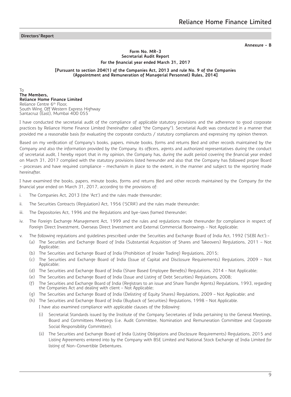**Annexure - B**

## **Form No. MR-3 Secretarial Audit Report For the financial year ended March 31, 2017**

## **[Pursuant to section 204(1) of the Companies Act, 2013 and rule No. 9 of the Companies (Appointment and Remuneration of Managerial Personnel) Rules, 2014]**

To **The Members, Reliance Home Finance Limited**  Reliance Centre 6<sup>th</sup> Floor, South Wing, Off Western Express Highway Santacruz (East), Mumbai 400 055

I have conducted the secretarial audit of the compliance of applicable statutory provisions and the adherence to good corporate practices by Reliance Home Finance Limited (hereinafter called "the Company"). Secretarial Audit was conducted in a manner that provided me a reasonable basis for evaluating the corporate conducts / statutory compliances and expressing my opinion thereon.

Based on my verification of Company's books, papers, minute books, forms and returns filed and other records maintained by the Company and also the information provided by the Company, its officers, agents and authorized representatives during the conduct of secretarial audit, I hereby report that in my opinion, the Company has, during the audit period covering the financial year ended on March 31, 2017 complied with the statutory provisions listed hereunder and also that the Company has followed proper Board - processes and have required compliance – mechanism in place to the extent, in the manner and subject to the reporting made hereinafter.

I have examined the books, papers, minute books, forms and returns filed and other records maintained by the Company for the financial year ended on March 31, 2017, according to the provisions of:

- i. The Companies Act, 2013 (the 'Act') and the rules made thereunder;
- ii. The Securities Contracts (Regulation) Act, 1956 ('SCRA') and the rules made thereunder;
- iii. The Depositories Act, 1996 and the Regulations and bye-laws framed thereunder;
- iv. The Foreign Exchange Management Act, 1999 and the rules and regulations made thereunder for compliance in respect of Foreign Direct Investment, Overseas Direct Investment and External Commercial Borrowings – Not Applicable;
- v. The following regulations and guidelines prescribed under the Securities and Exchange Board of India Act, 1992 ('SEBI Act'):-
	- (a) The Securities and Exchange Board of India (Substantial Acquisition of Shares and Takeovers) Regulations, 2011 Not Applicable;
	- (b) The Securities and Exchange Board of India (Prohibition of Insider Trading) Regulations, 2015;
	- (c) The Securities and Exchange Board of India (Issue of Capital and Disclosure Requirements) Regulations, 2009 Not Applicable;
	- (d) The Securities and Exchange Board of India (Share Based Employee Benefits) Regulations, 2014 Not Applicable;
	- (e) The Securities and Exchange Board of India (Issue and Listing of Debt Securities) Regulations, 2008;
	- (f) The Securities and Exchange Board of India (Registrars to an issue and Share Transfer Agents) Regulations, 1993, regarding the Companies Act and dealing with client – Not Applicable;
	- (g) The Securities and Exchange Board of India (Delisting of Equity Shares) Regulations, 2009 Not Applicable; and
	- (h) The Securities and Exchange Board of India (Buyback of Securities) Regulations, 1998 Not Applicable.

I have also examined compliance with applicable clauses of the following:

- (i) Secretarial Standards issued by the Institute of the Company Secretaries of India pertaining to the General Meetings, Board and Committees Meetings (i.e. Audit Committee, Nomination and Remuneration Committee and Corporate Social Responsibility Committee);
- (ii) The Securities and Exchange Board of India (Listing Obligations and Disclosure Requirements) Regulations, 2015 and Listing Agreements entered into by the Company with BSE Limited and National Stock Exchange of India Limited for listing of Non-Convertible Debentures.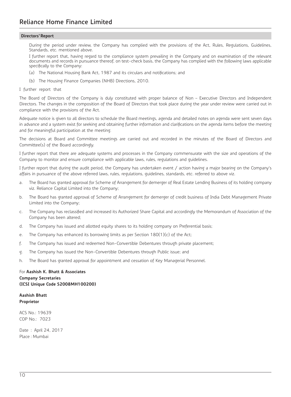During the period under review, the Company has complied with the provisions of the Act, Rules, Regulations, Guidelines, Standards, etc. mentioned above.

I further report that, having regard to the compliance system prevailing in the Company and on examination of the relevant documents and records in pursuance thereof, on test-check basis, the Company has complied with the following laws applicable specifically to the Company:

- (a) The National Housing Bank Act, 1987 and its circulars and notifications; and
- (b) The Housing Finance Companies (NHB) Directions, 2010.

I further report that

The Board of Directors of the Company is duly constituted with proper balance of Non – Executive Directors and Independent Directors. The changes in the composition of the Board of Directors that took place during the year under review were carried out in compliance with the provisions of the Act.

Adequate notice is given to all directors to schedule the Board meetings, agenda and detailed notes on agenda were sent seven days in advance and a system exist for seeking and obtaining further information and clarifications on the agenda items before the meeting and for meaningful participation at the meeting.

The decisions at Board and Committee meetings are carried out and recorded in the minutes of the Board of Directors and Committee(s) of the Board accordingly.

I further report that there are adequate systems and processes in the Company commensurate with the size and operations of the Company to monitor and ensure compliance with applicable laws, rules, regulations and guidelines.

I further report that during the audit period, the Company has undertaken event / action having a major bearing on the Company's affairs in pursuance of the above referred laws, rules, regulations, guidelines, standards, etc. referred to above viz.

- a. The Board has granted approval for Scheme of Arrangement for demerger of Real Estate Lending Business of its holding company viz. Reliance Capital Limited into the Company;
- b. The Board has granted approval of Scheme of Arrangement for demerger of credit business of India Debt Management Private Limited into the Company;
- c. The Company has reclassified and increased its Authorized Share Capital and accordingly the Memorandum of Association of the Company has been altered;
- d. The Company has issued and allotted equity shares to its holding company on Preferential basis;
- e. The Company has enhanced its borrowing limits as per Section 180(1)(c) of the Act;
- f. The Company has issued and redeemed Non-Convertible Debentures through private placement;
- g. The Company has issued the Non-Convertible Debentures through Public issue; and
- h. The Board has granted approval for appointment and cessation of Key Managerial Personnel.

## For **Aashish K. Bhatt & Associates Company Secretaries (ICSI Unique Code S2008MH100200)**

#### **Aashish Bhatt Proprietor**

ACS No.: 19639 COP No.: 7023

Date : April 24, 2017 Place : Mumbai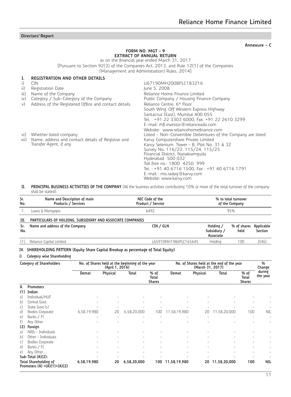## **Annexure - C**

## **FORM NO. MGT – 9 EXTRACT OF ANNUAL RETURN**

as on the financial year ended March 31, 2017 [Pursuant to Section 92(3) of the Companies Act, 2013, and Rule 12(1) of the Companies (Management and Administration) Rules, 2014]

| <b>REGISTRATION AND OTHER DETAILS</b> | U67190MH2008PLC183216                                                                                                                                                                                                  |
|---------------------------------------|------------------------------------------------------------------------------------------------------------------------------------------------------------------------------------------------------------------------|
| Registration Date                     | June 5, 2008                                                                                                                                                                                                           |
| Name of the Company                   | Reliance Home Finance Limited                                                                                                                                                                                          |
|                                       | Public Company / Housing Finance Company<br>Reliance Centre, 6th Floor                                                                                                                                                 |
|                                       | South Wing, Off Western Express Highway                                                                                                                                                                                |
|                                       | Santacruz (East), Mumbai 400 055                                                                                                                                                                                       |
|                                       | Tel.: +91 22 3303 6000, Fax: +91 22 2610 3299                                                                                                                                                                          |
|                                       | E-mail: rhfl.investor@relianceada.com                                                                                                                                                                                  |
|                                       | Website: www.reliancehomefinance.com                                                                                                                                                                                   |
|                                       | Listed - Non-Convertible Debentures of the Company are listed                                                                                                                                                          |
|                                       | Karvy Computershare Private Limited<br>Karvy Selenium Tower - B, Plot No. 31 & 32                                                                                                                                      |
|                                       | Survey No. 116/22, 115/24, 115/25                                                                                                                                                                                      |
|                                       | Financial District, Nanakramguda                                                                                                                                                                                       |
|                                       | Hyderabad 500 032                                                                                                                                                                                                      |
|                                       | Toll free no.: 1800 4250 999                                                                                                                                                                                           |
|                                       | Tel.: +91 40 6716 1500, Fax: +91 40 6716 1791                                                                                                                                                                          |
|                                       | E-mail: mis.radag@karvy.com                                                                                                                                                                                            |
|                                       | Website: www.karvy.com                                                                                                                                                                                                 |
|                                       | <b>CIN</b><br>Category / Sub-Category of the Company<br>Address of the Registered Office and contact details<br>Whether listed company<br>Name, address and contact details of Registrar and<br>Transfer Agent, if any |

#### **II. PRINCIPAL BUSINESS ACTIVITIES OF THE COMPANY** (All the business activities contributing 10% or more of the total turnover of the company shall be stated):

| Sr.<br>No. | Name and Description of main<br><b>Products / Services</b> | NIC Code of the<br>Product / Service | % to total turnover<br>of the Company  |                     |                       |
|------------|------------------------------------------------------------|--------------------------------------|----------------------------------------|---------------------|-----------------------|
|            | Loans & Mortgages                                          | 6492                                 | 95%                                    |                     |                       |
| Ш.         | PARTICULARS OF HOLDING, SUBSIDIARY AND ASSOCIATE COMPANIES |                                      |                                        |                     |                       |
| Sr.<br>No. | Name and address of the Company                            | CIN / GLN                            | Holding /<br>Subsidiary /<br>Associate | % of shares<br>held | Applicable<br>Section |
| (1)        | Reliance Capital Limited                                   | L65910MH1986PLC165645                | Holding                                | 100                 | 2(46)                 |

## **IV. SHAREHOLDING PATTERN (Equity Share Capital Breakup as percentage of Total Equity)**

## **i) Category wise Shareholding**

| Category of Shareholders |                                                                 |             | (April 1, 2016) | No. of Shares held at the beginning of the year | No. of Shares held at the end of the year | $\frac{0}{0}$<br>Change |          |              |                                       |                    |
|--------------------------|-----------------------------------------------------------------|-------------|-----------------|-------------------------------------------------|-------------------------------------------|-------------------------|----------|--------------|---------------------------------------|--------------------|
|                          |                                                                 | Demat       | Physical        | <b>Total</b>                                    | % of<br><b>Total</b><br><b>Shares</b>     | Demat                   | Physical | <b>Total</b> | % of<br><b>Total</b><br><b>Shares</b> | during<br>the year |
| А.                       | <b>Promoters</b>                                                |             |                 |                                                 |                                           |                         |          |              |                                       |                    |
| (1)                      | Indian                                                          |             |                 |                                                 |                                           |                         |          |              |                                       |                    |
| a)                       | Individual/HUF                                                  |             |                 |                                                 |                                           |                         |          |              |                                       |                    |
| b)                       | Central Govt.                                                   |             |                 |                                                 |                                           |                         |          |              |                                       |                    |
| c)                       | State Govt.(s)                                                  |             |                 |                                                 |                                           |                         |          |              |                                       |                    |
| d)                       | Bodies Corporate                                                | 6,58,19,980 | 20              | 6,58,20,000                                     | 100                                       | 11,58,19,980            | 20       | 11,58,20,000 | 100                                   | <b>NIL</b>         |
| e.                       | Banks / FI                                                      |             |                 |                                                 |                                           |                         |          |              |                                       |                    |
| f)                       | Any Other                                                       |             |                 |                                                 |                                           |                         |          |              |                                       |                    |
| (2)                      | Foreign                                                         |             |                 |                                                 |                                           |                         |          |              |                                       |                    |
| a)                       | NRIs - Individuals                                              |             |                 |                                                 |                                           |                         |          |              |                                       |                    |
| b)                       | Other - Individuals                                             |             |                 |                                                 |                                           |                         |          |              |                                       |                    |
| c)                       | Bodies Corporate                                                |             |                 |                                                 |                                           |                         |          |              |                                       |                    |
| d)                       | Banks / FI                                                      |             |                 |                                                 |                                           |                         |          |              |                                       |                    |
| e)                       | Any Other                                                       |             |                 |                                                 |                                           |                         |          |              |                                       |                    |
|                          | Sub-Total (A)(2):                                               |             |                 |                                                 |                                           |                         |          |              |                                       |                    |
|                          | <b>Total Shareholding of</b><br>Promoters $(A) = (A)(1)+(A)(2)$ | 6,58,19,980 | 20              | 6,58,20,000                                     | 100                                       | 11,58,19,980            | 20       | 11,58,20,000 | 100                                   | <b>NIL</b>         |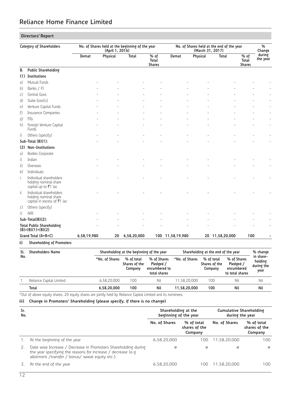# **Reliance Home Finance Limited**

## **Directors' Report**

| <b>Category of Shareholders</b> |                                                                                 |             | (April 1, 2016) | No. of Shares held at the beginning of the year |                                |                  | No. of Shares held at the end of the year<br>(March 31, 2017) |                 |                                |                              |
|---------------------------------|---------------------------------------------------------------------------------|-------------|-----------------|-------------------------------------------------|--------------------------------|------------------|---------------------------------------------------------------|-----------------|--------------------------------|------------------------------|
|                                 |                                                                                 | Demat       | Physical        | Total                                           | % of<br>Total<br><b>Shares</b> | Demat            | Physical                                                      | <b>Total</b>    | % of<br>Total<br><b>Shares</b> | Change<br>during<br>the year |
| В.                              | <b>Public Shareholding</b>                                                      |             |                 |                                                 |                                |                  |                                                               |                 |                                |                              |
|                                 | (1) Institutions                                                                |             |                 |                                                 |                                |                  |                                                               |                 |                                |                              |
| a)                              | Mutual Funds                                                                    |             |                 |                                                 |                                |                  |                                                               |                 |                                |                              |
| b)                              | Banks / FI                                                                      |             |                 |                                                 |                                |                  |                                                               |                 |                                |                              |
| c)                              | Central Govt.                                                                   |             |                 |                                                 |                                |                  |                                                               |                 |                                |                              |
| d)                              | State Govt(s)                                                                   |             |                 |                                                 |                                |                  |                                                               |                 |                                |                              |
| e)                              | Venture Capital Funds                                                           |             |                 |                                                 |                                |                  |                                                               |                 |                                |                              |
| $f$ )                           | Insurance Companies                                                             |             |                 |                                                 |                                |                  |                                                               |                 |                                |                              |
| g)                              | FIIs                                                                            |             |                 |                                                 |                                |                  |                                                               |                 |                                |                              |
| h)                              | Foreign Venture Capital<br>Funds                                                |             |                 |                                                 |                                |                  |                                                               |                 |                                | $\overline{\phantom{a}}$     |
| i)                              | Others (specify)                                                                |             |                 |                                                 |                                |                  |                                                               |                 |                                | $\overline{a}$               |
|                                 | Sub-Total (B)(1):                                                               |             |                 |                                                 |                                |                  |                                                               |                 |                                | $\overline{a}$               |
| (2)                             | Non-Institutions                                                                |             |                 |                                                 |                                |                  |                                                               |                 |                                |                              |
| a)                              | Bodies Corporate                                                                |             |                 |                                                 |                                |                  |                                                               |                 |                                |                              |
| i)                              | Indian                                                                          |             |                 |                                                 |                                |                  |                                                               |                 |                                |                              |
| ii)                             | Overseas                                                                        |             |                 |                                                 |                                |                  |                                                               |                 |                                |                              |
| b)                              | Individuals                                                                     |             |                 |                                                 |                                |                  |                                                               |                 |                                |                              |
| i.                              | Individual shareholders<br>holding nominal share<br>capital up to ₹1 lac        |             |                 |                                                 |                                |                  |                                                               |                 |                                |                              |
| ii.                             | Individual shareholders<br>holding nominal share<br>capital in excess of ₹1 lac |             |                 |                                                 |                                |                  |                                                               |                 |                                |                              |
| c)                              | Others (specify)                                                                |             |                 |                                                 |                                |                  |                                                               |                 |                                |                              |
| i)                              | <b>NRI</b>                                                                      |             |                 |                                                 |                                |                  |                                                               |                 |                                |                              |
|                                 | Sub-Total(B)(2):                                                                |             |                 |                                                 |                                |                  |                                                               |                 |                                |                              |
|                                 | <b>Total Public Shareholding</b><br>$(B)=(B)(1)+(B)(2)$                         |             |                 |                                                 |                                |                  |                                                               |                 |                                |                              |
|                                 | Grand Total (A+B+C)                                                             | 6,58,19,980 | 20              | 6,58,20,000                                     |                                | 100 11,58,19,980 |                                                               | 20 11,58,20,000 | 100                            |                              |

**ii) Shareholding of Promoters**

| Sl.<br>No. | <b>Shareholders Name</b> | Shareholding at the beginning of the year |                                        |                                                           | Shareholding at the end of the year | % change                               |                                                           |                                            |
|------------|--------------------------|-------------------------------------------|----------------------------------------|-----------------------------------------------------------|-------------------------------------|----------------------------------------|-----------------------------------------------------------|--------------------------------------------|
|            |                          | *No. of Shares                            | % of total<br>Shares of the<br>Company | % of Shares<br>Pledged /<br>encumbered to<br>total shares | *No. of Shares                      | % of total<br>Shares of the<br>Company | % of Shares<br>Pledged /<br>encumbered<br>to total shares | in share-<br>holding<br>during the<br>year |
|            | Reliance Capital Limited | 6.58.20.000                               | 100                                    | Nil                                                       | 11.58.20.000                        | 100                                    | Nil                                                       | Nil                                        |
|            | <b>Total</b>             | 6,58,20,000                               | 100                                    | Nil                                                       | 11.58.20.000                        | 100                                    | <b>Nil</b>                                                | Nil                                        |

\*Out of above equity shares, 20 equity shares are jointly held by Reliance Capital Limited and its nominees.

## **iii) Change in Promoters' Shareholding (please specify, if there is no change)**

| Sr.<br>No. |                                                                                                                                                                                     | Shareholding at the<br>beginning of the year |                                        | Cumulative Shareholding<br>during the year |                                        |  |
|------------|-------------------------------------------------------------------------------------------------------------------------------------------------------------------------------------|----------------------------------------------|----------------------------------------|--------------------------------------------|----------------------------------------|--|
|            |                                                                                                                                                                                     | No. of Shares                                | % of total<br>shares of the<br>Company | No. of Shares                              | % of total<br>shares of the<br>Company |  |
|            | At the beginning of the year                                                                                                                                                        | 6.58.20.000                                  | 100                                    | 11.58.20.000                               | 100                                    |  |
| 2.         | Date wise Increase / Decrease in Promoters Shareholding during<br>the year specifying the reasons for increase / decrease (e.g.<br>allotment /transfer / bonus/ sweat equity etc.): | #                                            | #                                      | #                                          | #                                      |  |
| 3.         | At the end of the year                                                                                                                                                              | 6,58,20,000                                  | 100                                    | 11.58.20.000                               | 100                                    |  |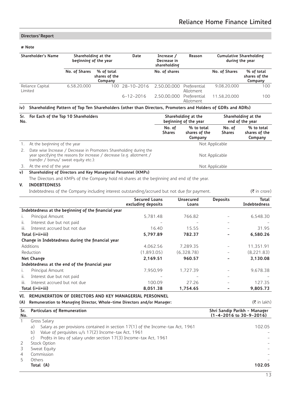**# Note**

| Shareholder's Name                                                                                                 |               | Shareholding at the<br>beginning of the year | Date<br>Increase /<br>Decrease in<br>shareholding |               | Reason                                       | Cumulative Shareholding<br>during the year |                                        |
|--------------------------------------------------------------------------------------------------------------------|---------------|----------------------------------------------|---------------------------------------------------|---------------|----------------------------------------------|--------------------------------------------|----------------------------------------|
|                                                                                                                    | No. of Shares | % of total<br>shares of the<br>Company       |                                                   | No. of shares |                                              | No. of Shares                              | % of total<br>shares of the<br>Company |
| Reliance Capital<br>Limited                                                                                        | 6.58.20.000   |                                              | 100 28-10-2016                                    | 2.50.00.000   | Preferential<br>Allotment                    | 9.08.20.000                                | 100                                    |
|                                                                                                                    |               |                                              | $6 - 12 - 2016$                                   | 2.50.00.000   | Preferential<br>Allotment                    | 11.58.20.000                               | 100                                    |
| Shareholding Pattern of Top Ten Shareholders (other than Directors, Promoters and Holders of GDRs and ADRs)<br>iv) |               |                                              |                                                   |               |                                              |                                            |                                        |
| For Each of the Top 10 Shareholders<br>Sr.<br>No.                                                                  |               |                                              |                                                   |               | Shareholding at the<br>beginning of the year |                                            | Shareholding at the<br>end of the year |
|                                                                                                                    |               |                                              |                                                   | No. of        | % to total                                   | No. of                                     | % to total                             |

|    |                                                                                                                                                                                      | <b>Shares</b>  | shares of the<br>Company | <b>Shares</b> | shares of the<br>Company |
|----|--------------------------------------------------------------------------------------------------------------------------------------------------------------------------------------|----------------|--------------------------|---------------|--------------------------|
|    | At the beginning of the year                                                                                                                                                         | Not Applicable |                          |               |                          |
|    | Date wise Increase / Decrease in Promoters Shareholding during the<br>year specifying the reasons for increase / decrease (e.g. allotment /<br>transfer / bonus/ sweat equity etc.): |                | Not Applicable           |               |                          |
| 3. | At the end of the year                                                                                                                                                               |                | Not Applicable           |               |                          |

## **v) Shareholding of Directors and Key Managerial Personnel (KMPs)**

The Directors and KMPs of the Company hold nil shares at the beginning and end of the year.

## **V. INDEBTEDNESS**

Indebtedness of the Company including interest outstanding/accrued but not due for payment.  $(*)$  in crore)

|                                                                                | <b>Secured Loans</b><br>excluding deposits | <b>Unsecured</b><br>Loans | <b>Deposits</b> | Total<br>Indebtedness  |
|--------------------------------------------------------------------------------|--------------------------------------------|---------------------------|-----------------|------------------------|
| Indebtedness at the beginning of the financial year                            |                                            |                           |                 |                        |
| Principal Amount<br>Ι.                                                         | 5,781.48                                   | 766.82                    |                 | 6,548.30               |
| Interest due but not paid<br>Ш.                                                |                                            |                           |                 |                        |
| Interest accrued but not due<br>iii.                                           | 16.40                                      | 15.55                     |                 | 31.95                  |
| Total (i+ii+iii)                                                               | 5.797.89                                   | 782.37                    |                 | 6,580.26               |
| Change in Indebtedness during the financial year                               |                                            |                           |                 |                        |
| Additions                                                                      | 4.062.56                                   | 7,289.35                  |                 | 11,351.91              |
| Reduction                                                                      | (1.893.05)                                 | (6,328.78)                |                 | (8,221.83)             |
| Net Change                                                                     | 2,169.51                                   | 960.57                    |                 | 3,130.08               |
| Indebtedness at the end of the financial year                                  |                                            |                           |                 |                        |
| Principal Amount<br>Τ.                                                         | 7.950.99                                   | 1.727.39                  |                 | 9,678.38               |
| Interest due but not paid<br>ii.                                               |                                            |                           |                 |                        |
| iii.<br>Interest accrued but not due                                           | 100.09                                     | 27.26                     |                 | 127.35                 |
| Total (i+ii+iii)                                                               | 8,051.38                                   | 1,754.65                  |                 | 9,805.73               |
| REMUNERATION OF DIRECTORS AND KEY MANAGERIAL PERSONNEL<br>VI.                  |                                            |                           |                 |                        |
| (A)<br>Remuneration to Managing Director, Whole-time Directors and/or Manager: |                                            |                           |                 | $(\bar{\tau}$ in lakh) |

| Sr.<br>No. | <b>Particulars of Remuneration</b>                                                    | Shri Sandip Parikh - Manager<br>$(1 - 4 - 2016$ to $30 - 9 - 2016)$ |
|------------|---------------------------------------------------------------------------------------|---------------------------------------------------------------------|
|            | Gross Salary                                                                          |                                                                     |
|            | Salary as per provisions contained in section 17(1) of the Income-tax Act, 1961<br>a) | 102.05                                                              |
|            | Value of perquisites u/s 17(2) Income-tax Act, 1961<br>b)                             |                                                                     |
|            | Profits in lieu of salary under section 17(3) Income-tax Act, 1961<br>$\mathsf{C}$ )  |                                                                     |
| 2          | Stock Option                                                                          |                                                                     |
| 3          | Sweat Equity                                                                          |                                                                     |
| 4          | Commission                                                                            |                                                                     |
| 5          | Others                                                                                |                                                                     |
|            | Total (A)                                                                             | 102.05                                                              |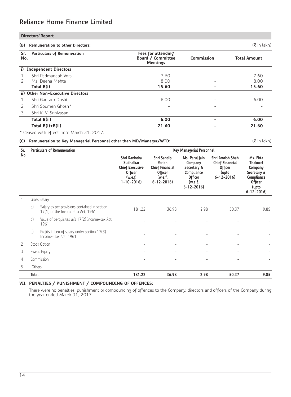|                                                                                                                         |              | <b>Directors' Report</b>                                                             |                                                                                                      |                                                                                                 |                                                                                                        |                                                                                          |                                                                                                                   |
|-------------------------------------------------------------------------------------------------------------------------|--------------|--------------------------------------------------------------------------------------|------------------------------------------------------------------------------------------------------|-------------------------------------------------------------------------------------------------|--------------------------------------------------------------------------------------------------------|------------------------------------------------------------------------------------------|-------------------------------------------------------------------------------------------------------------------|
| (B)                                                                                                                     |              | <b>Remuneration to other Directors:</b>                                              |                                                                                                      |                                                                                                 |                                                                                                        |                                                                                          | $(\bar{\bar{\tau}}$ in lakh)                                                                                      |
| Sr.<br>No.                                                                                                              |              | Particulars of Remuneration                                                          |                                                                                                      | Fees for attending<br>Board / Committee<br>Meetings                                             | Commission                                                                                             |                                                                                          | <b>Total Amount</b>                                                                                               |
|                                                                                                                         |              | i) Independent Directors                                                             |                                                                                                      |                                                                                                 |                                                                                                        |                                                                                          |                                                                                                                   |
| $\mathbf{1}$                                                                                                            |              | Shri Padmanabh Vora                                                                  |                                                                                                      | 7.60                                                                                            |                                                                                                        |                                                                                          | 7.60                                                                                                              |
| $\overline{c}$                                                                                                          |              | Ms. Deena Mehta                                                                      |                                                                                                      | 8.00                                                                                            |                                                                                                        | $\overline{\phantom{a}}$                                                                 | 8.00                                                                                                              |
|                                                                                                                         |              | Total B(i)                                                                           |                                                                                                      | 15.60                                                                                           |                                                                                                        | $\overline{a}$                                                                           | 15.60                                                                                                             |
|                                                                                                                         |              | ii) Other Non-Executive Directors                                                    |                                                                                                      |                                                                                                 |                                                                                                        |                                                                                          |                                                                                                                   |
| $\mathbf{1}$                                                                                                            |              | Shri Gautam Doshi                                                                    |                                                                                                      | 6.00                                                                                            |                                                                                                        | ÷                                                                                        | 6.00                                                                                                              |
| 2                                                                                                                       |              | Shri Soumen Ghosh*                                                                   |                                                                                                      |                                                                                                 |                                                                                                        |                                                                                          |                                                                                                                   |
| 3                                                                                                                       |              | Shri K. V. Srinivasan                                                                |                                                                                                      |                                                                                                 |                                                                                                        | $\equiv$                                                                                 |                                                                                                                   |
|                                                                                                                         |              | Total B(ii)                                                                          |                                                                                                      | 6.00                                                                                            |                                                                                                        | $\overline{\phantom{0}}$                                                                 | 6.00                                                                                                              |
|                                                                                                                         |              | Total B(i)+B(ii)                                                                     |                                                                                                      | 21.60                                                                                           |                                                                                                        | $\overline{\phantom{0}}$                                                                 | 21.60                                                                                                             |
| * Ceased with effect from March 31, 2017.<br>Remuneration to Key Managerial Personnel other than MD/Manager/WTD:<br>(C) |              |                                                                                      |                                                                                                      |                                                                                                 | $(\bar{\tau}$ in lakh)                                                                                 |                                                                                          |                                                                                                                   |
| Sr.<br>No.                                                                                                              |              | Particulars of Remuneration                                                          | Key Managerial Personnel                                                                             |                                                                                                 |                                                                                                        |                                                                                          |                                                                                                                   |
|                                                                                                                         |              |                                                                                      | Shri Ravindra<br>Sudhalkar<br><b>Chief Executive</b><br><b>Officer</b><br>(w.e.f.<br>$1 - 10 - 2016$ | Shri Sandip<br>Parikh<br><b>Chief Financial</b><br><b>Officer</b><br>(w.e.f.<br>$6 - 12 - 2016$ | Ms. Parul Jain<br>Company<br>Secretary &<br>Compliance<br><b>Officer</b><br>(w.e.f.<br>$6 - 12 - 2016$ | Shri Amrish Shah<br><b>Chief Financial</b><br><b>Officer</b><br>(upto<br>$6 - 12 - 2016$ | Ms. Ekta<br><b>Thakurel</b><br>Company<br>Secretary &<br>Compliance<br><b>Officer</b><br>(upto<br>$6 - 12 - 2016$ |
| $\mathbf{1}$                                                                                                            |              | Gross Salary                                                                         |                                                                                                      |                                                                                                 |                                                                                                        |                                                                                          |                                                                                                                   |
|                                                                                                                         | a)           | Salary as per provisions contained in section<br>$17(1)$ of the Income-tax Act, 1961 | 181.22                                                                                               | 36.98                                                                                           | 2.98                                                                                                   | 50.37                                                                                    | 9.85                                                                                                              |
|                                                                                                                         | b)           | Value of perquisites u/s 17(2) Income-tax Act,<br>1961                               |                                                                                                      |                                                                                                 |                                                                                                        |                                                                                          |                                                                                                                   |
|                                                                                                                         | c)           | Profits in lieu of salary under section 17(3)<br>Income-tax Act. 1961                |                                                                                                      |                                                                                                 |                                                                                                        |                                                                                          |                                                                                                                   |
| 2                                                                                                                       |              | Stock Option                                                                         |                                                                                                      |                                                                                                 |                                                                                                        |                                                                                          |                                                                                                                   |
| 3                                                                                                                       |              | Sweat Equity                                                                         |                                                                                                      |                                                                                                 |                                                                                                        |                                                                                          |                                                                                                                   |
| 4                                                                                                                       |              | Commission                                                                           |                                                                                                      |                                                                                                 |                                                                                                        |                                                                                          |                                                                                                                   |
| 5                                                                                                                       |              | Others                                                                               |                                                                                                      |                                                                                                 |                                                                                                        |                                                                                          |                                                                                                                   |
|                                                                                                                         | <b>Total</b> |                                                                                      | 181.22                                                                                               | 36.98                                                                                           | 2.98                                                                                                   | 50.37                                                                                    | 9.85                                                                                                              |

## **VII. PENALTIES / PUNISHMENT / COMPOUNDING OF OFFENCES:**

There were no penalties, punishment or compounding of offences to the Company, directors and officers of the Company during the year ended March 31, 2017.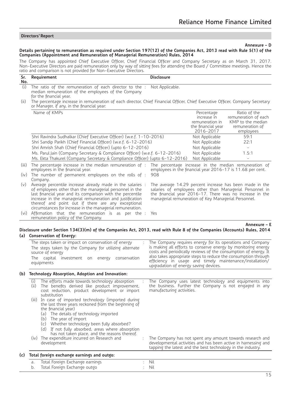#### **Annexure – D**

#### **Details pertaining to remuneration as required under Section 197(12) of the Companies Act, 2013 read with Rule 5(1) of the Companies (Appointment and Remuneration of Managerial Remuneration) Rules, 2014**

The Company has appointed Chief Executive Officer, Chief Financial Officer and Company Secretary as on March 31, 2017. Non-Executive Directors are paid remuneration only by way of sitting fees for attending the Board / Committee meetings. Hence the ratio and comparison is not provided for Non-Executive Directors.

| No.   |                                                                                                                                                                                                                                                                                                                                                                    | <b>Disclosure</b>                                    |                                                                                 |                                                                                                                                                                                 |
|-------|--------------------------------------------------------------------------------------------------------------------------------------------------------------------------------------------------------------------------------------------------------------------------------------------------------------------------------------------------------------------|------------------------------------------------------|---------------------------------------------------------------------------------|---------------------------------------------------------------------------------------------------------------------------------------------------------------------------------|
| (i)   | The ratio of the remuneration of each director to the :<br>median remuneration of the employees of the Company<br>for the financial year.                                                                                                                                                                                                                          | Not Applicable.                                      |                                                                                 |                                                                                                                                                                                 |
| (ii)  | The percentage increase in remuneration of each director, Chief Financial Officer, Chief Executive Officer, Company Secretary<br>or Manager, if any, in the financial year:                                                                                                                                                                                        |                                                      |                                                                                 |                                                                                                                                                                                 |
|       | Name of KMPs                                                                                                                                                                                                                                                                                                                                                       |                                                      | Percentage<br>increase in<br>remuneration in<br>the financial year<br>2016-2017 | Ratio of the<br>remuneration of each<br>KMP to the median<br>remuneration of<br>employees                                                                                       |
|       | Shri Ravindra Sudhalkar (Chief Executive Officer) (w.e.f. 1-10-2016)                                                                                                                                                                                                                                                                                               |                                                      | Not Applicable                                                                  | 59:1                                                                                                                                                                            |
|       | Shri Sandip Parikh (Chief Financial Officer) (w.e.f. 6-12-2016)                                                                                                                                                                                                                                                                                                    |                                                      | Not Applicable                                                                  | 22:1                                                                                                                                                                            |
|       | Shri Amrish Shah (Chief Financial Officer) (upto 6-12-2016)                                                                                                                                                                                                                                                                                                        |                                                      | Not Applicable                                                                  |                                                                                                                                                                                 |
|       | Ms. Parul Jain (Company Secretary & Compliance Officer) (w.e.f. 6-12-2016)                                                                                                                                                                                                                                                                                         |                                                      | Not Applicable                                                                  | 1.5:1                                                                                                                                                                           |
|       | Ms. Ekta Thakurel (Company Secretary & Compliance Officer) (upto 6-12-2016)                                                                                                                                                                                                                                                                                        |                                                      | Not Applicable                                                                  |                                                                                                                                                                                 |
| (iii) | The percentage increase in the median remuneration of :<br>employees in the financial year.                                                                                                                                                                                                                                                                        |                                                      |                                                                                 | The percentage increase in the median remuneration of<br>employees in the financial year 2016-17 is 11.68 per cent.                                                             |
| (iv)  | The number of permanent employees on the rolls of :<br>Company.                                                                                                                                                                                                                                                                                                    | 908                                                  |                                                                                 |                                                                                                                                                                                 |
| (v)   | Average percentile increase already made in the salaries<br>of employees other than the managerial personnel in the<br>last financial year and its comparison with the percentile<br>increase in the managerial remuneration and justification<br>thereof and point out if there are any exceptional<br>circumstances for increase in the managerial remuneration. | managerial remuneration of Key Managerial Personnel. |                                                                                 | The average 14.29 percent increase has been made in the<br>salaries of employees other than Managerial Personnel in<br>the financial year 2016-17. There was no increase in the |
|       | (vi) Affirmation that the remuneration is as per the :                                                                                                                                                                                                                                                                                                             | Yes                                                  |                                                                                 |                                                                                                                                                                                 |
|       | remuneration policy of the Company.                                                                                                                                                                                                                                                                                                                                |                                                      |                                                                                 |                                                                                                                                                                                 |

## **(a) Conservation of Energy:**

| (d) |             | CONSERVATION OF EMPTYY.                                                                                                                                                                                                                                                                                                                                |                                                                                                                                                                                                                                                                                                                                                                       |
|-----|-------------|--------------------------------------------------------------------------------------------------------------------------------------------------------------------------------------------------------------------------------------------------------------------------------------------------------------------------------------------------------|-----------------------------------------------------------------------------------------------------------------------------------------------------------------------------------------------------------------------------------------------------------------------------------------------------------------------------------------------------------------------|
|     |             | The steps taken or impact on conservation of energy<br>The steps taken by the Company for utilizing alternate<br>source of energy<br>The capital investment on energy<br>conservation<br>equipments                                                                                                                                                    | The Company requires energy for its operations and Company<br>is making all efforts to conserve energy by monitoring energy<br>costs and periodically reviews of the consumption of energy. It<br>also takes appropriate steps to reduce the consumption through<br>efficiency in usage and timely maintenance/installation/<br>upgradation of energy saving devices. |
| (b) |             | Technology Absorption, Adoption and Innovation:                                                                                                                                                                                                                                                                                                        |                                                                                                                                                                                                                                                                                                                                                                       |
|     | (i)<br>(ii) | The efforts made towards technology absorption<br>The benefits derived like product improvement,<br>cost reduction, product development or import<br>substitution                                                                                                                                                                                      | The Company uses latest technology and equipments into<br>the business. Further the Company is not engaged in any<br>manufacturing activities.                                                                                                                                                                                                                        |
|     | (iii)       | In case of imported technology (imported during<br>the last three years reckoned from the beginning of<br>the financial year)<br>(a) The details of technology imported<br>(b) The year of import<br>(c) Whether technology been fully absorbed?<br>(d) If not fully absorbed, areas where absorption<br>has not taken place, and the reasons thereof. |                                                                                                                                                                                                                                                                                                                                                                       |
|     |             | (iv) The expenditure incurred on Research and<br>development                                                                                                                                                                                                                                                                                           | The Company has not spent any amount towards research and<br>developmental activities and has been active in harnessing and<br>tapping the latest and the best technology in the industry.                                                                                                                                                                            |
| (c) |             | Total foreign exchange earnings and outgo:                                                                                                                                                                                                                                                                                                             |                                                                                                                                                                                                                                                                                                                                                                       |
|     | a.          | Total Foreign Exchange earnings                                                                                                                                                                                                                                                                                                                        | Nil                                                                                                                                                                                                                                                                                                                                                                   |
|     | b.          | Total Foreign Exchange outgo                                                                                                                                                                                                                                                                                                                           | Nil                                                                                                                                                                                                                                                                                                                                                                   |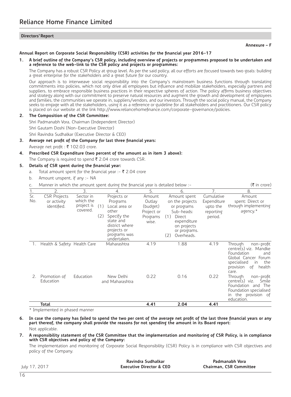#### **Annexure – F**

#### **Annual Report on Corporate Social Responsibility (CSR) activities for the financial year 2016-17**

#### **1. A brief outline of the Company's CSR policy, including overview of projects or programmes proposed to be undertaken and a reference to the web-link to the CSR policy and projects or programmes:**

The Company has a robust CSR Policy at group level. As per the said policy, all our efforts are focused towards two goals: building a great enterprise for the stakeholders and a great future for our country.

Our approach is to interweave social responsibility into the Company's mainstream business functions through translating commitments into policies, which not only drive all employees but influence and mobilize stakeholders, especially partners and suppliers, to embrace responsible business practices in their respective spheres of action. The policy affirms business objectives and strategy along with our commitment to preserve natural resources and augment the growth and development of employees and families, the communities we operate in, suppliers/vendors, and our investors. Through the social policy manual, the Company seeks to engage with all the stakeholders, using it as a reference or guideline for all stakeholders and practitioners. Our CSR policy is placed on our website at the link http://www.reliancehomefinance.com/corporate-governance/policies.

#### **2. The Composition of the CSR Committee:**

Shri Padmanabh Vora, Chairman (Independent Director) Shri Gautam Doshi (Non-Executive Director) Shri Ravindra Sudhalkar (Executive Director & CEO)

**3. Average net profit of the Company for last three financial years:** Average net profit :  $\bar{\tau}$  102.03 crore.

## **4. Prescribed CSR Expenditure (two percent of the amount as in item 3 above):**

The Company is required to spend  $\bar{\tau}$  2.04 crore towards CSR.

## **5. Details of CSR spent during the financial year:**

- a. Total amount spent for the financial year :-  $\bar{\tau}$  2.04 crore
- b. Amount unspent, if any :- NA
- c. Manner in which the amount spent during the financial year is detailed below :-  $\zeta$  in crore)

| 1.         | 2.                                                | 3.                                               | $\overline{4}$ .                                                                                                                                            | 5.                                                              | 6.                                                                                                                                               | 7.                                                            | 8.                                                                                                                                                           |
|------------|---------------------------------------------------|--------------------------------------------------|-------------------------------------------------------------------------------------------------------------------------------------------------------------|-----------------------------------------------------------------|--------------------------------------------------------------------------------------------------------------------------------------------------|---------------------------------------------------------------|--------------------------------------------------------------------------------------------------------------------------------------------------------------|
| Sr.<br>No. | <b>CSR Projects</b><br>or activity<br>identified. | Sector in<br>which the<br>project is<br>covered. | Projects or<br>Programs<br>(1)<br>Local area or<br>other<br>(2)<br>Specify the<br>state and<br>district where<br>projects or<br>programs was<br>undertaken. | Amount<br>Outlay<br>(budget)<br>Project or<br>Programs<br>wise. | Amount spent<br>on the projects<br>or programs<br>Sub-heads:<br>Direct<br>(1)<br>expenditure<br>on projects<br>or programs.<br>Overheads.<br>(2) | Cumulative<br>Expenditure<br>upto the<br>reporting<br>period. | Amount<br>spent: Direct or<br>through implementing<br>agency.*                                                                                               |
|            | Health & Safety Health Care                       |                                                  | Maharashtra                                                                                                                                                 | 4.19                                                            | 1.88                                                                                                                                             | 4.19                                                          | Through<br>non-profit<br>centre(s) viz. Mandke<br>Foundation<br>and<br>Global Cancer Forum<br>specialised<br>in<br>the<br>provision<br>of<br>health<br>care. |
| 2.         | Promotion of<br>Education                         | Education                                        | New Delhi<br>and Maharashtra                                                                                                                                | 0.22                                                            | 0.16                                                                                                                                             | 0.22                                                          | Through<br>non-profit<br>centre(s) viz.<br>Smile<br>Foundation and<br>The<br>Foundation specialised<br>in the provision of<br>education.                     |
|            | Total                                             |                                                  |                                                                                                                                                             | 4.41                                                            | 2.04                                                                                                                                             | 4.41                                                          |                                                                                                                                                              |
|            |                                                   |                                                  |                                                                                                                                                             |                                                                 |                                                                                                                                                  |                                                               |                                                                                                                                                              |

\* Implemented in phased manner

**6. In case the company has failed to spend the two per cent of the average net profit of the last three financial years or any part thereof, the company shall provide the reasons for not spending the amount in its Board report:** Not applicable.

#### **7. A responsibility statement of the CSR Committee that the implementation and monitoring of CSR Policy, is in compliance with CSR objectives and policy of the Company:**

The implementation and monitoring of Corporate Social Responsibility (CSR) Policy is in compliance with CSR objectives and policy of the Company.

|               | Ravindra Sudhalkar                  | Padmanabh Vora                 |
|---------------|-------------------------------------|--------------------------------|
| July 17, 2017 | <b>Executive Director &amp; CEO</b> | <b>Chairman. CSR Committee</b> |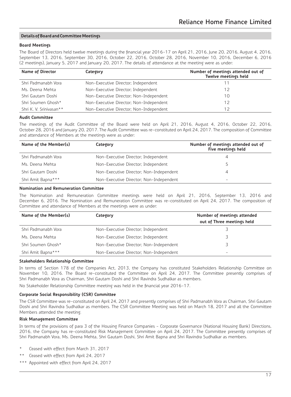## **Details of Board and Committee Meetings**

#### **Board Meetings**

The Board of Directors held twelve meetings during the financial year 2016-17 on April 21, 2016, June 20, 2016, August 4, 2016, September 13, 2016, September 30, 2016, October 22, 2016, October 28, 2016, November 10, 2016, December 6, 2016 (2 meetings), January 5, 2017 and January 20, 2017. The details of attendance at the meeting were as under:

| Name of Director        | Category                                | Number of meetings attended out of<br>Twelve meetings held |
|-------------------------|-----------------------------------------|------------------------------------------------------------|
| Shri Padmanabh Vora     | Non-Executive Director; Independent     | 11                                                         |
| Ms. Deena Mehta         | Non-Executive Director; Independent     | 12                                                         |
| Shri Gautam Doshi       | Non-Executive Director; Non-Independent | 10                                                         |
| Shri Soumen Ghosh*      | Non-Executive Director; Non-Independent | 12                                                         |
| Shri K. V. Sriniyasan** | Non-Executive Director; Non-Independent | 12                                                         |

#### **Audit Committee**

The meetings of the Audit Committee of the Board were held on April 21, 2016, August 4, 2016, October 22, 2016, October 28, 2016 and January 20, 2017. The Audit Committee was re-constituted on April 24, 2017. The composition of Committee and attendance of Members at the meetings were as under:

| Name of the Member(s) | Category                                | Number of meetings attended out of<br>Five meetings held |
|-----------------------|-----------------------------------------|----------------------------------------------------------|
| Shri Padmanabh Vora   | Non-Executive Director; Independent     |                                                          |
| Ms. Deena Mehta       | Non-Executive Director; Independent     |                                                          |
| Shri Gautam Doshi     | Non-Executive Director; Non-Independent |                                                          |
| Shri Amit Bapna***    | Non-Executive Director; Non-Independent | $\overline{\phantom{a}}$                                 |

### **Nomination and Remuneration Committee**

The Nomination and Remuneration Committee meetings were held on April 21, 2016, September 13, 2016 and December 6, 2016. The Nomination and Remuneration Committee was re-constituted on April 24, 2017. The composition of Committee and attendance of Members at the meetings were as under:

| Name of the Member(s) | Category                                | Number of meetings attended<br>out of Three meetings held |
|-----------------------|-----------------------------------------|-----------------------------------------------------------|
| Shri Padmanabh Vora   | Non-Executive Director; Independent     |                                                           |
| Ms. Deena Mehta       | Non-Executive Director; Independent     |                                                           |
| Shri Soumen Ghosh*    | Non-Executive Director; Non-Independent |                                                           |
| Shri Amit Bapna***    | Non-Executive Director; Non-Independent | -                                                         |

#### **Stakeholders Relationship Committee**

In terms of Section 178 of the Companies Act, 2013, the Company has constituted Stakeholders Relationship Committee on November 10, 2016. The Board re-constituted the Committee on April 24, 2017. The Committee presently comprises of Shri Padmanabh Vora as Chairman, Shri Gautam Doshi and Shri Ravindra Sudhalkar as members.

No Stakeholder Relationship Committee meeting was held in the financial year 2016-17.

#### **Corporate Social Responsibility (CSR) Committee**

The CSR Committee was re-constituted on April 24, 2017 and presently comprises of Shri Padmanabh Vora as Chairman, Shri Gautam Doshi and Shri Ravindra Sudhalkar as members. The CSR Committee Meeting was held on March 18, 2017 and all the Committee Members attended the meeting.

#### **Risk Management Committee**

In terms of the provisions of para 3 of the Housing Finance Companies - Corporate Governance (National Housing Bank) Directions, 2016, the Company has re-constituted Risk Management Committee on April 24, 2017. The Committee presently comprises of Shri Padmanabh Vora, Ms. Deena Mehta, Shri Gautam Doshi, Shri Amit Bapna and Shri Ravindra Sudhalkar as members.

- Ceased with effect from March 31, 2017
- \*\* Ceased with effect from April 24, 2017
- Appointed with effect from April 24, 2017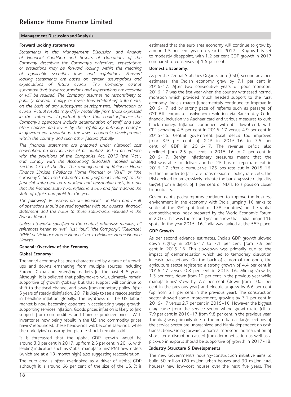## **Management Discussion and Analysis**

### **Forward looking statements**

*Statements in this Management Discussion and Analysis of Financial Condition and Results of Operations of the Company describing the Company's objectives, expectations or predictions may be forward looking within the meaning of applicable securities laws and regulations. Forward looking statements are based on certain assumptions and expectations of future events. The Company cannot guarantee that these assumptions and expectations are accurate or will be realised. The Company assumes no responsibility to publicly amend, modify or revise forward-looking statements, on the basis of any subsequent developments, information or events. Actual results may differ materially from those expressed in the statement. Important factors that could influence the Company's operations include determination of tariff and such other charges and levies by the regulatory authority, changes in government regulations, tax laws, economic developments within the country and such other factors globally.*

*The financial statement are prepared under historical cost convention, on accrual basis of accounting, and in accordance with the provisions of the Companies Act, 2013 (the "Act") and comply with the Accounting Standards notified under Section 133 of the Act. The management of Reliance Home Finance Limited ("Reliance Home Finance" or "RHF" or "the Company") has used estimates and judgments relating to the financial statement on a prudent and reasonable basis, in order that the financial statement reflect in a true and fair manner, the state of affairs and profit for the year.*

*The following discussions on our financial condition and result of operations should be read together with our audited financial statement and the notes to these statements included in the Annual Report.*

*Unless otherwise specified or the context otherwise requires, all references herein to "we", "us", "our", "the Company", "Reliance", "RHF" or "Reliance Home Finance" are to Reliance Home Finance Limited.*

## **General: Overview of the Economy**

## **Global Economy:**

The world economy has been characterized by a range of growth ups and downs emanating from multiple sources including Europe, China and emerging markets for the past 4-5 years. Although, it is believed that policymakers will ultimately remain supportive of growth globally, but that support will continue to shift to the fiscal channel and away from monetary policy. After 5 years of steady disinflation, 2017 is likely to see a reacceleration in headline inflation globally. The tightness of the US labour market is now becoming apparent in accelerating wage growth, supporting services inflation. Goods prices inflation is likely to find support from commodities and Chinese producer prices. With inventories now being rebuilt in the US and commodity prices having rebounded, these headwinds will become tailwinds, while the underlying consumption picture should remain solid.

It is forecasted that the global GDP growth would be around 3.0 per cent in 2017, up from 2.5 per cent in 2016, with leading indicators such as global manufacturing PMI new orders (which are at a 19-month high) also suggesting reacceleration.

The euro area is often overlooked as a driver of global GDP although it is around 66 per cent of the size of the US. It is

estimated that the euro area economy will continue to grow by around 1.5 per cent year-on-year till 2017. UK growth is set to modestly disappoint, with 1.2 per cent GDP growth in 2017 compared to consensus of 1.5 per cent.

## **Domestic Economy:**

As per the Central Statistics Organization (CSO) second advance estimates, the Indian economy grew by 7.1 per cent in 2016-17. After two consecutive years of poor monsoon, 2016-17 was the first year when the country witnessed normal monsoon which provided much needed support to the rural economy. India's macro fundamentals continued to improve in 2016-17 led by strong pace of reforms such as passage of GST Bill, corporate insolvency resolution via Bankruptcy Code, financial inclusion via Aadhaar card and various measures to curb black money. Inflation continued with its downtrend, with CPI averaging 4.5 per cent in 2016-17 versus 4.9 per cent in 2015-16. Central government fiscal deficit too improved from 3.9 per cent of GDP in 2015-16 to 3.5 per cent of GDP in 2016-17. The revenue deficit also declined from 2.5 per cent in 2015-16 to 2 per cent in 2016-17. Benign inflationary pressures meant that the RBI was able to deliver another 25 bps of repo rate cut in 2016-17 after a cumulative 125 bps rate cut in 2015-16. Further, in order to facilitate transmission of policy rate cuts, the RBI decided to progressively migrate the banking system liquidity target from a deficit of 1 per cent of NDTL to a position closer to neutrality.

Government's policy reforms continued to improve the business environment in the economy with India jumping 16 ranks to settle at the 39<sup>th</sup> spot (out of 138 countries) on the global competitiveness index prepared by the World Economic Forum in 2016. This was the second year in a row that India jumped 16 spots. In the year 2015-16, India was ranked at the 55<sup>th</sup> place.

## **GDP Growth**

As per second advance estimates, India's GDP growth slowed down slightly in 2016-17 to 7.1 per cent from 7.9 per cent in 2015-16. This slowdown was primarily due to the impact of demonetisation which led to temporary disruption in cash transactions. On the back of a normal monsoon, the agriculture sector registered a strong growth of 4.4 per cent in 2016-17 versus 0.8 per cent in 2015-16. Mining grew by 1.3 per cent, down from 12 per cent in the previous year while manufacturing grew by 7.7 per cent (down from 10.5 per cent in the previous year) and electricity grew by 6.6 per cent (up from 5.1 per cent in the previous year). The construction sector showed some improvement, growing by 3.1 per cent in 2016-17 versus 2.7 per cent in 2015-16. However, the biggest drag came from the service sector where growth rate fell to 7.9 per cent in 2016-17 from 9.8 per cent in the previous year. The drag was primarily due to the note ban as large sections of the service sector are unorganized and highly dependent on cash transactions. Going forward, a normal monsoon, normalization of short-term disruption caused from demonetisation as well as a pick-up in exports should be supportive of growth in 2017-18.

## **Industry Structure & Developments**

The new Government's housing-construction initiative aims to build 50 million (20 million urban houses and 30 million rural houses) new low-cost houses over the next five years. The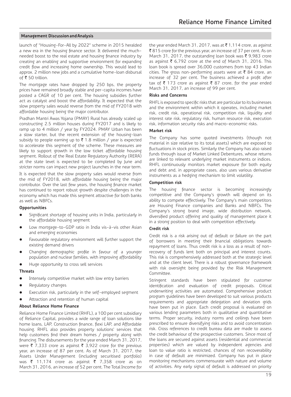launch of "Housing-For-All by 2022" scheme in 2015 heralded a new era in the housing finance sector. It delivered the muchneeded boost to the real estate and housing finance industry by creating an enabling and supportive environment for expanding credit flow and increasing home ownership. This would lead to approx. 2 million new jobs and a cumulative home-loan disbursal of  $\bar{\tau}$  50 trillion.

The mortgage rates have dropped by 250 bps, the property prices have remained broadly stable and per-capita incomes have posted a CAGR of 10 per cent. The housing subsidies further act as catalyst and boost the affordability. It expected that the slow property sales would reverse from the mid of FY2018 with affordable housing being the major contributor.

Pradhan Mantri Awas Yojana (PMAY) Rural has already scaled up constructing 2.5 million houses during FY2017 and is likely to ramp up to 4 million / year by FY2024. PMAY Urban has been a slow starter, but the recent extension of the housing-loan subsidy to people earning up to  $\bar{\tau}$  1.8 million / year is expected to accelerate this segment of the scheme. These measures are likely to support growth in the low ticket affordable housing segment. Rollout of the Real Estate Regulatory Authority (RERA) at the state level is expected to be completed by June and stricter norms can impact new project launches in the near term.

It is expected that the slow property sales would reverse from the mid of FY2018, with affordable housing being the major contributor. Over the last few years, the housing finance market has continued to report robust growth despite challenges in the economy which has made this segment attractive for both banks as well as NBFCs.

#### **Opportunities**

- Significant shortage of housing units in India, particularly in the affordable housing segment
- Low mortgage-to-GDP ratio in India vis-à-vis other Asian and emerging economies
- Favourable regulatory environment will further support the existing demand drivers
- Changing demographic profile in favour of a younger population and nuclear families, with improving affordability
- l Huge opportunity to cross sell services

#### **Threats**

- Intensely competitive market with low entry barriers
- Regulatory changes
- Execution risk, particularly in the self-employed segment
- Attraction and retention of human capital

#### **About Reliance Home Finance**

Reliance Home Finance Limited (RHFL), a 100 per cent subsidiary of Reliance Capital, provides a wide range of loan solutions like home loans, LAP, Construction finance, flexi LAP, and Affordable housing. RHFL also provides property solutions' services that help customers find their dream homes / property along with financing. The disbursements for the year ended March 31, 2017, were  $\bar{\tau}$  7,333 crore as against  $\bar{\tau}$  3,922 crore for the previous year, an increase of 87 per cent. As of March 31, 2017, the Assets Under Management (including securitised portfolio) was  $\bar{\tau}$  11,174 crore as against  $\bar{\tau}$  7,358 crore as on March 31, 2016, an increase of 52 per cent. The Total Income for

the year ended March 31, 2017, was at  $\bar{\tau}$  1,114 crore, as against ₹815 crore for the previous year, an increase of 37 per cent. As on March 31, 2017, the outstanding loan book was  $\bar{\tau}$  9,983 crore as against  $\bar{\tau}$  6,792 crore at the end of March 31, 2016. This loan book is spread over 36,000 customers from top 43 Indian cities. The gross non-performing assets were at  $\bar{\tau}$  84 crore, an increase of 32 per cent. The business achieved a profit after tax of  $\bar{\tau}$  173 crore as against  $\bar{\tau}$  87 crore, for the year ended March 31, 2017, an increase of 99 per cent.

#### **Risks and Concerns**

RHFL is exposed to specific risks that are particular to its businesses and the environment within which it operates, including market risk, credit risk, operational risk, competition risk, liquidity and interest rate risk, regulatory risk, human resource risk, execution risk, information security risks and macro-economic risks.

#### **Market risk**

The Company has some quoted investments (though not material in size relative to its total assets) which are exposed to fluctuations in stock prices. Similarly the Company has also raised funds through issue of Market Linked Debentures, whose returns are linked to relevant underlying market instruments or indices. RHFL continuously monitors market exposure for both equity and debt and, in appropriate cases, also uses various derivative instruments as a hedging mechanism to limit volatility.

#### **Competition risk**

The housing finance sector is becoming increasingly competitive and the Company's growth will depend on its ability to compete effectively. The Company's main competitors are Housing Finance companies and Banks and NBFCs. The Company's strong brand image, wide distribution network, diversified product offering and quality of management place it in a strong position to deal with competition effectively.

#### **Credit risk**

Credit risk is a risk arising out of default or failure on the part of borrowers in meeting their financial obligations towards repayment of loans. Thus credit risk is a loss as a result of nonrecovery of funds lent both on principal and interest counts. This risk is comprehensively addressed both at the strategic level and at the client level. There is a robust governance framework with risk oversight being provided by the Risk Management Committee.

Stringent standards have been stipulated for customer identification and evaluation of credit proposals. Critical underwriting activities are automated. Comprehensive product program guidelines have been developed to suit various products requirements and appropriate delegation and deviation grids have been put in place. Each credit proposal is evaluated on various lending parameters both in qualitative and quantitative terms. Proper security, industry norms and ceilings have been prescribed to ensure diversifying risks and to avoid concentration risk. Cross references to credit bureau data are made to assess the credit behaviour of the prospective customers. Since most of the loans are secured against assets (residential and commercial properties) which are valued by independent agencies and loan to value ratio is restricted, chances of non recoverability in case of default are minimized. Company has put in place monitoring mechanisms commensurate with nature and volume of activities. Any early signal of default is addressed on priority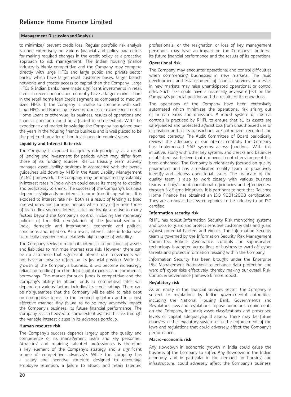## **Management Discussion and Analysis**

to minimize/ prevent credit loss. Regular portfolio risk analysis is done extensively on various financial and policy parameters for making required changes in the credit policy as a proactive approach to risk management. The Indian housing finance industry is highly competitive and the Company may compete directly with large HFCs and large public and private sector banks, which have larger retail customer bases, larger branch networks and greater access to capital than the Company. Large HFCs & Indian banks have made significant investments in retail credit in recent periods and currently have a larger market share in the retail home loan credit segment as compared to medium sized HFCs. If the Company is unable to compete with such large HFCs and Banks, by reason of our lesser experience in retail Home Loans or otherwise, its business, results of operations and financial condition could be affected to some extent. With the experience and market knowledge the Company has gained over the years in the housing finance business and is well placed to be the preferred provider of housing finance in coming years.

#### **Liquidity and Interest Rate risk**

The Company is exposed to liquidity risk principally, as a result of lending and investment for periods which may differ from those of its funding sources. RHFL's treasury team actively manages asset liability positions in accordance with the overall guidelines laid down by NHB in the Asset Liability Management (ALM) framework. The Company may be impacted by volatility in interest rates in India which could cause its margins to decline and profitability to shrink. The success of the Company's business depends significantly on interest income from its operations. It is exposed to interest rate risk, both as a result of lending at fixed interest rates and for reset periods which may differ from those of its funding sources. Interest rates are highly sensitive to many factors beyond the Company's control, including the monetary policies of the RBI, deregulation of the financial sector in India, domestic and international economic and political conditions and, inflation. As a result, interest rates in India have historically experienced a relatively high degree of volatility.

The Company seeks to match its interest rate positions of assets and liabilities to minimize interest rate risk. However, there can be no assurance that significant interest rate movements will not have an adverse effect on its financial position. With the growth of the Company's business, it will become increasingly reliant on funding from the debt capital markets and commercial borrowings. The market for such funds is competitive and the Company's ability to obtain funds at competitive rates will depend on various factors including its credit ratings. There can be no guarantee that the Company will be able to raise debt on competitive terms, in the required quantum and in a cost effective manner. Any failure to do so may adversely impact the Company's business, its future financial performance. The Company is also hedged to some extent against this risk through the variable interest clause in its advances portfolio.

#### **Human resource risk**

The Company's success depends largely upon the quality and competence of its management team and key personnel. Attracting and retaining talented professionals is therefore a key element of the Company's strategy and a significant source of competitive advantage. While the Company has a salary and incentive structure designed to encourage employee retention, a failure to attract and retain talented

professionals, or the resignation or loss of key management personnel, may have an impact on the Company's business, its future financial performance and the results of its operations.

### **Operational risk**

The Company may encounter operational and control difficulties when commencing businesses in new markets. The rapid development and establishment of financial services businesses in new markets may raise unanticipated operational or control risks. Such risks could have a materially adverse effect on the Company's financial position and the results of its operations.

The operations of the Company have been extensively automated which minimizes the operational risk arising out of human errors and omissions. A robust system of internal controls is practiced by RHFL to ensure that all its assets are safeguarded and protected against loss from unauthorized use or disposition and all its transactions are authorized, recorded and reported correctly. The Audit Committee of Board periodically reviews the adequacy of our internal controls. The Company has implemented SAP systems across functions. With this initiative, along with other key systems and checks and balances established, we believe that our overall control environment has been enhanced. The Company is relentlessly focused on quality parameters and has a dedicated quality team to proactively identify and address operational issues. The mandate of the quality team is also to work closely with various business teams to bring about operational efficiencies and effectiveness through Six Sigma initiatives. It is pertinent to note that Reliance Home Finance has obtained an ISO 9001:2008 certification. They are amongst the few companies in the industry to be ISO certified.

#### **Information security risk**

RHFL has robust Information Security Risk monitoring systems and tools to guard and protect sensitive customer data and guard against potential hackers and viruses. The Information Security team is governed by the Information Security Risk Management Committee. Robust governance, controls and sophisticated technology is adopted across lines of business to ward off cyber threats and protect information residing within the Company.

Information Security has been brought under the Enterprise Risk Management Framework to enhance data protection and ward off cyber risks effectively, thereby making our overall Risk, Control & Governance framework more robust.

## **Regulatory risk**

As an entity in the financial services sector, the Company is subject to regulations by Indian governmental authorities, including the National Housing Bank. Government's and Regulator's laws and regulations impose numerous requirements on the Company, including asset classifications and prescribed levels of capital adequacyliquid assets. There may be future changes in the regulatory system or in the enforcement of the laws and regulations that could adversely affect the Company's performance.

#### **Macro-economic risk**

Any slowdown in economic growth in India could cause the business of the Company to suffer. Any slowdown in the Indian economy, and in particular in the demand for housing and infrastructure, could adversely affect the Company's business.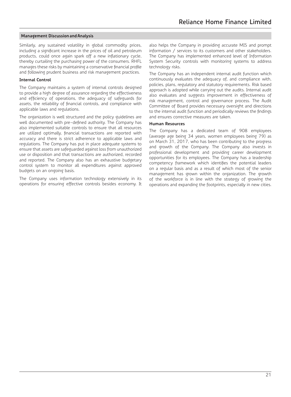#### **Management Discussion and Analysis**

Similarly, any sustained volatility in global commodity prices, including a significant increase in the prices of oil and petroleum products, could once again spark off a new inflationary cycle, thereby curtailing the purchasing power of the consumers. RHFL manages these risks by maintaining a conservative financial profile and following prudent business and risk management practices.

#### **Internal Control**

The Company maintains a system of internal controls designed to provide a high degree of assurance regarding the effectiveness and efficiency of operations, the adequacy of safeguards for assets, the reliability of financial controls, and compliance with applicable laws and regulations.

The organization is well structured and the policy guidelines are well documented with pre-defined authority. The Company has also implemented suitable controls to ensure that all resources are utilized optimally, financial transactions are reported with accuracy and there is strict adherence to applicable laws and regulations. The Company has put in place adequate systems to ensure that assets are safeguarded against loss from unauthorized use or disposition and that transactions are authorized, recorded and reported. The Company also has an exhaustive budgetary control system to monitor all expenditures against approved budgets on an ongoing basis.

The Company uses information technology extensively in its operations for ensuring effective controls besides economy. It

also helps the Company in providing accurate MIS and prompt information / services to its customers and other stakeholders. The Company has implemented enhanced level of Information System Security controls with monitoring systems to address technology risks.

The Company has an independent internal audit function which continuously evaluates the adequacy of, and compliance with, policies, plans, regulatory and statutory requirements. Risk based approach is adopted while carrying out the audits. Internal audit also evaluates and suggests improvement in effectiveness of risk management, control and governance process. The Audit Committee of Board provides necessary oversight and directions to the internal audit function and periodically reviews the findings and ensures corrective measures are taken.

#### **Human Resources**

The Company has a dedicated team of 908 employees (average age being 34 years, women employees being 79) as on March 31, 2017, who has been contributing to the progress and growth of the Company. The Company also invests in professional development and providing career development opportunities for its employees. The Company has a leadership competency framework which identifies the potential leaders on a regular basis and as a result of which most of the senior management has grown within the organization. The growth of the workforce is in line with the strategy of growing the operations and expanding the footprints, especially in new cities.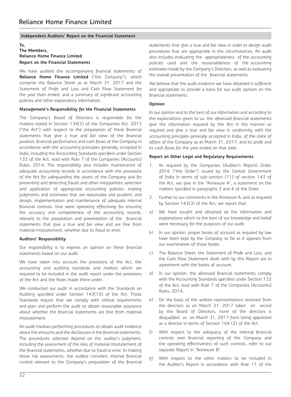## **Independent Auditors' Report on the Financial Statement**

#### **To, The Members, Reliance Home Finance Limited Report on the Financial Statements**

We have audited the accompanying financial statements of **Reliance Home Finance Limited** ("the Company"), which comprise the Balance Sheet as at March 31, 2017 and the Statement of Profit and Loss and Cash Flow Statement for the year then ended, and a summary of significant accounting policies and other explanatory information.

## **Management's Responsibility for the Financial Statements**

The Company's Board of Directors is responsible for the matters stated in Section 134(5) of the Companies Act, 2013 ("the Act") with respect to the preparation of these financial statements that give a true and fair view of the financial position, financial performance and cash flows of the Company in accordance with the accounting principles generally accepted in India, including the Accounting Standards specified under Section 133 of the Act, read with Rule 7 of the Companies (Accounts) Rules, 2014. This responsibility also includes maintenance of adequate accounting records in accordance with the provisions of the Act for safeguarding the assets of the Company and for preventing and detecting frauds and other irregularities; selection and application of appropriate accounting policies; making judgments and estimates that are reasonable and prudent; and design, implementation and maintenance of adequate internal financial controls, that were operating effectively for ensuring the accuracy and completeness of the accounting records, relevant to the preparation and presentation of the financial statements that give a true and fair view and are free from material misstatement, whether due to fraud or error.

## **Auditors' Responsibility**

Our responsibility is to express an opinion on these financial statements based on our audit.

We have taken into account the provisions of the Act, the accounting and auditing standards and matters which are required to be included in the audit report under the provisions of the Act and the Rules made there under.

We conducted our audit in accordance with the Standards on Auditing specified under Section 143(10) of the Act. Those Standards require that we comply with ethical requirements and plan and perform the audit to obtain reasonable assurance about whether the financial statements are free from material misstatement.

An audit involves performing procedures to obtain audit evidence about the amounts and the disclosures in the financial statements. The procedures selected depend on the auditor's judgment, including the assessment of the risks of material misstatement of the financial statements, whether due to fraud or error. In making those risk assessments, the auditor considers internal financial control relevant to the Company's preparation of the financial

statements that give a true and fair view in order to design audit procedures that are appropriate in the circumstances. An audit also includes evaluating the appropriateness of the accounting policies used and the reasonableness of the accounting estimates made by the Company's Directors, as well as evaluating the overall presentation of the financial statements.

We believe that the audit evidence we have obtained is sufficient and appropriate to provide a basis for our audit opinion on the financial statements.

## **Opinion**

In our opinion and to the best of our information and according to the explanations given to us, the aforesaid financial statements give the information required by the Act in the manner so required and give a true and fair view in conformity with the accounting principles generally accepted in India, of the state of affairs of the Company as at March 31, 2017, and its profit and its cash flows for the year ended on that date.

## **Report on Other Legal and Regulatory Requirements**

- 1. As required by the Companies (Auditor's Report) Order, 2016 ("the Order") issued by the Central Government of India in terms of sub-section (11) of section 143 of the Act, we give in the "Annexure A", a statement on the matters specified in paragraphs 3 and 4 of the Order.
- 2. Further to our comments in the Annexure A, and as required by Section 143(3) of the Act, we report that:
- a) We have sought and obtained all the information and explanations which to the best of our knowledge and belief were necessary for the purposes of our audit.
- b) In our opinion, proper books of account as required by law have been kept by the Company so far as it appears from our examination of those books.
- c) The Balance Sheet, the Statement of Profit and Loss, and the Cash Flow Statement dealt with by this Report are in agreement with the books of account.
- d) In our opinion, the aforesaid financial statements comply with the Accounting Standards specified under Section 133 of the Act, read with Rule 7 of the Companies (Accounts) Rules, 2014.
- e) On the basis of the written representations received from the directors as on March 31, 2017 taken on record by the Board of Directors, none of the directors is disqualified as on March 31, 2017 from being appointed as a director in terms of Section 164 (2) of the Act.
- f) With respect to the adequacy of the internal financial controls over financial reporting of the Company and the operating effectiveness of such controls, refer to our separate Report in "Annexure B".
- g) With respect to the other matters to be included in the Auditor's Report in accordance with Rule 11 of the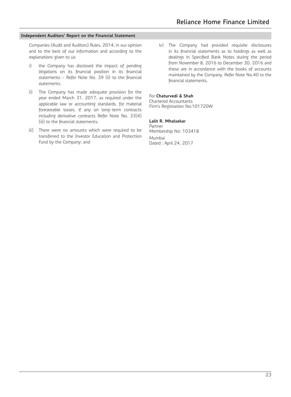#### **Independent Auditors' Report on the Financial Statement**

Companies (Audit and Auditors) Rules, 2014, in our opinion and to the best of our information and according to the explanations given to us:

- i) the Company has disclosed the impact of pending litigations on its financial position in its financial statements - Refer Note No. 39 (ii) to the financial statements.
- ii) The Company has made adequate provision for the year ended March 31, 2017, as required under the applicable law or accounting standards, for material foreseeable losses, if any on long-term contracts including derivative contracts Refer Note No. 33(4) (iii) to the financial statements;
- iii) There were no amounts which were required to be transferred to the Investor Education and Protection Fund by the Company; and

iv) The Company had provided requisite disclosures in its financial statements as to holdings as well as dealings in Specified Bank Notes during the period from November 8, 2016 to December 30, 2016 and these are in accordance with the books of accounts maintained by the Company. Refer Note No.40 to the financial statements.

#### For **Chaturvedi & Shah**

Chartered Accountants Firm's Registration No:101720W

#### **Lalit R. Mhalsekar**

Partner Membership No: 103418 Mumbai Dated : April 24, 2017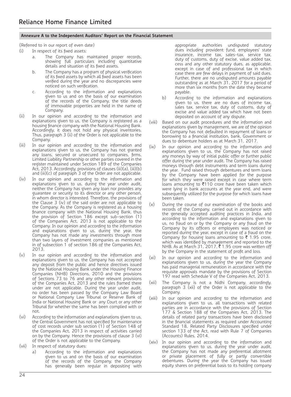#### **Annexure A to the Independent Auditors' Report on the Financial Statement**

(Referred to in our report of even date)

- (i) In respect of its fixed assets:
	- a. The Company has maintained proper records, showing full particulars including quantitative details and situation of its fixed assets.
	- b. The Company has a program of physical verification of its fixed assets by which all fixed assets has been verified during the year and no discrepancies were noticed on such verification.
	- c. According to the information and explanations given to us and on the basis of our examination of the records of the Company, the title deeds of immovable properties are held in the name of Company.
- (ii) In our opinion and according to the information and explanations given to us, the Company is registered as a housing finance company with the National Housing Bank. Accordingly, it does not hold any physical inventories. Thus, paragraph 3 (ii) of the Order is not applicable to the Company.
- (iii) In our opinion and according to the information and explanations given to us, the Company has not granted any loans, secured or unsecured to companies, firms, Limited Liability Partnership or other parties covered in the register maintained under Section 189 of the Companies Act, 2013. Accordingly, provisions of clauses (iii)(a), (iii)(b) and (iii)(c) of paragraph 3 of the Order are not applicable.
- (iv) In our opinion and according to the information and explanations given to us, during the year under audit, neither the Company has given any loan nor provides any guarantee or security to its director or any other person, in whom director is interested. Therefore, the provisions of the Clause 3 (iv) of the said order are not applicable to the Company. As the Company is registered as a housing finance company with the National Housing Bank, thus the provision of Section 186 except sub-section (1) of the Companies Act, 2013 is not applicable to the Company. In our opinion and according to the information and explanations given to us, during the year, the Company has not made any investments through more than two layers of investment companies as mentioned in of subsection 1 of section 186 of the Companies Act, 2013.
- (v) In our opinion and according to the information and explanations given to us, the Company has not accepted any deposit from the public and hence directives issued by the National Housing Bank under the Housing Finance Companies (NHB) Directions, 2010 and the provisions of Sections 73 to 76 and any other relevant provisions of the Companies Act, 2013 and the rules framed there under are not applicable. During the year under audit, no order has been passed by the Company Law Board or National Company Law Tribunal or Reserve Bank of India or National Housing Bank or any Court or any other Tribunal for whether the same has been complied with or not.
- (vi) According to the information and explanations given to us, the Central Government has not specified for maintenance of cost records under sub section (1) of Section 148 of the Companies Act, 2013 in respect of activities carried on by the Company. Hence the provisions of clause 3 (vi) of the Order is not applicable to the Company.
- (vii) In respect of statutory dues:
	- a) According to the information and explanations given to us and on the basis of our examination of the records of the Company, the Company has generally been regular in depositing with

appropriate authorities undisputed statutory dues including provident fund, employees' state insurance, income tax, sales-tax, service tax, duty of customs, duty of excise, value added tax, cess and any other statutory dues, as applicable, except in case of and professional tax in which case there are few delays in payment of said dues. Further, there are no undisputed amounts payable outstanding as at March 31, 2017 for a period of more than six months from the date they became payable.

- b) According to the information and explanations given to us, there are no dues of income tax, sales tax, service tax, duty of customs, duty of excise and value added tax which have not been deposited on account of any dispute.
- (viii) Based on our audit procedures and the information and explanations given by management, we are of the opinion the Company has not defaulted in repayment of loans or borrowing to a financial institution, bank, Government or dues to debenture holders as at March 31, 2017.
- (ix) In our opinion and according to the information and explanations given to us, the Company has not raised any moneys by way of initial public offer or further public offer during the year under audit. The Company has raised moneys through debt instruments and term loans during the year. Fund raised through debentures and term loans by the Company have been applied for the purpose for which they were raised except in case where term loans amounting to  $\bar{\tau}$ 110 crore have been taken which were lying in bank accounts at the year end, and were subsequently utilized for the purpose for which loans have been taken.
- (x) During the course of our examination of the books and records of the Company, carried out in accordance with the generally accepted auditing practices in India, and according to the information and explanations given to us, no fraud on or by the Company or any fraud on the Company by its officers or employees was noticed or reported during the year, except in case of a fraud on the Company for housing loans amounting to  $\bar{\tau}$  1.95 crore, which was identified by management and reported to the NHB. As at March 31, 2017,  $\bar{\bar{\tau}}$  1.95 crore was written off by the Company in the statement of profit and loss.
- (xi) In our opinion and according to the information and explanations given to us, during the year the Company has paid managerial remuneration in accordance with the requisite approvals mandate by the provisions of Section 197 read with Schedule V of the Companies Act, 2013.
- (xii) The Company is not a Nidhi Company, accordingly, paragraph<sup>'</sup> 3 (xii) of the Order is not applicable to the Company.
- (xiii) In our opinion and according to the information and explanations given to us, all transactions with related parties are in accordance with the provisions of Section 177 & Section 188 of the Companies Act, 2013. The details of related party transactions have been disclosed in the financial statements as required under Accounting Standard 18, Related Party Disclosures specified under section 133 of the Act, read with Rule 7 of Companies (Accounts) Rules, 2014.
- (xiv) In our opinion and according to the information and explanations given to us, during the year under audit, the Company has not made any preferential allotment or private placement of fully or partly convertible debentures. During the year the Company has issued equity shares on preferential basis to its holding company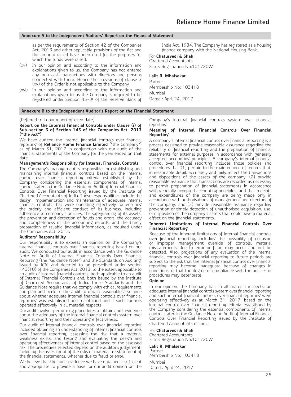#### **Annexure A to the Independent Auditors' Report on the Financial Statement**

as per the requirements of Section 42 of the Companies Act, 2013 and other applicable provisions of the Act and the amount raised have been used for the purposes for which the funds were raised.

- (xv) In our opinion and according to the information and explanations given to us, the Company has not entered any non-cash transactions with directors and persons connected with them. Hence the provisions of clause 3 (xv) of the Order is not applicable to the Company.
- (xvi) In our opinion and according to the information and explanations given to us the Company is required to be registered under Section 45-IA of the Reserve Bank of

India Act, 1934. The Company has registered as a housing finance company with the National Housing Bank.

#### For **Chaturvedi & Shah** Chartered Accountants

Firm's Registration No:101720W

#### **Lalit R. Mhalsekar**

Partner Membership No: 103418 Mumbai Dated : April 24, 2017

#### **Annexure B to the Independent Auditor's Report on the Financial Statement**

#### (Referred to in our report of even date)

#### **Report on the Internal Financial Controls under Clause (i) of Sub-section 3 of Section 143 of the Companies Act, 2013 ("the Act")**

We have audited the internal financial controls over financial reporting of **Reliance Home Finance Limited** ("the Company") as of March 31, 2017 in conjunction with our audit of the financial statements of the Company for the year ended on that date.

#### **Management's Responsibility for Internal Financial Controls**

The Company's management is responsible for establishing and maintaining internal financial controls based on the internal control over financial reporting criteria established by the Company considering the essential components of internal control stated in the Guidance Note on Audit of Internal Financial Controls Over Financial Reporting issued by the Institute of Chartered Accountants of India. These responsibilities include the design, implementation and maintenance of adequate internal financial controls that were operating effectively for ensuring the orderly and efficient conduct of its business, including adherence to company's policies, the safeguarding of its assets, the prevention and detection of frauds and errors, the accuracy and completeness of the accounting records, and the timely preparation of reliable financial information, as required under the Companies Act, 2013.

#### **Auditors' Responsibility**

Our responsibility is to express an opinion on the Company's internal financial controls over financial reporting based on our audit. We conducted our audit in accordance with the Guidance Note on Audit of Internal Financial Controls Over Financial Reporting (the "Guidance Note") and the Standards on Auditing, issued by ICAI and deemed to be prescribed under section 143(10) of the Companies Act, 2013, to the extent applicable to an audit of internal financial controls, both applicable to an audit of Internal Financial Controls and, both issued by the Institute of Chartered Accountants of India. Those Standards and the Guidance Note require that we comply with ethical requirements and plan and perform the audit to obtain reasonable assurance about whether adequate internal financial controls over financial reporting was established and maintained and if such controls operated effectively in all material respects.

Our audit involves performing procedures to obtain audit evidence about the adequacy of the internal financial controls system over financial reporting and their operating effectiveness.

Our audit of internal financial controls over financial reporting included obtaining an understanding of internal financial controls over financial reporting, assessing the risk that a material weakness exists, and testing and evaluating the design and operating effectiveness of internal control based on the assessed risk. The procedures selected depend on the auditor's judgement, including the assessment of the risks of material misstatement of the financial statements, whether due to fraud or error.

We believe that the audit evidence we have obtained is sufficient and appropriate to provide a basis for our audit opinion on the Company's internal financial controls system over financial reporting.

#### **Meaning of Internal Financial Controls Over Financial Reporting**

A company's internal financial control over financial reporting is a process designed to provide reasonable assurance regarding the reliability of financial reporting and the preparation of financial statements for external purposes in accordance with generally accepted accounting principles. A company's internal financial control over financial reporting includes those policies and procedures that (1) pertain to the maintenance of records that, in reasonable detail, accurately and fairly reflect the transactions and dispositions of the assets of the company; (2) provide reasonable assurance that transactions are recorded as necessary to permit preparation of financial statements in accordance with generally accepted accounting principles, and that receipts and expenditures of the company are being made only in accordance with authorisations of management and directors of the company; and (3) provide reasonable assurance regarding prevention or timely detection of unauthorised acquisition, use, or disposition of the company's assets that could have a material effect on the financial statements.

#### **Inherent Limitations of Internal Financial Controls Over Financial Reporting**

Because of the inherent limitations of internal financial controls over financial reporting, including the possibility of collusion or improper management override of controls, material misstatements due to error or fraud may occur and not be detected. Also, projections of any evaluation of the internal financial controls over financial reporting to future periods are subject to the risk that the internal financial control over financial reporting may become inadequate because of changes in conditions, or that the degree of compliance with the policies or procedures may deteriorate.

## **Opinion**

In our opinion, the Company has, in all material respects, an adequate internal financial controls system over financial reporting and such internal financial controls over financial reporting were operating effectively as at March 31, 2017, based on the internal control over financial reporting criteria established by the Company considering the essential components of internal control stated in the Guidance Note on Audit of Internal Financial Controls Over Financial Reporting issued by the Institute of Chartered Accountants of India.

#### For **Chaturvedi & Shah**

Chartered Accountants Firm's Registration No:101720W

#### **Lalit R. Mhalsekar**  Partner Membership No: 103418

Mumbai

Dated : April 24, 2017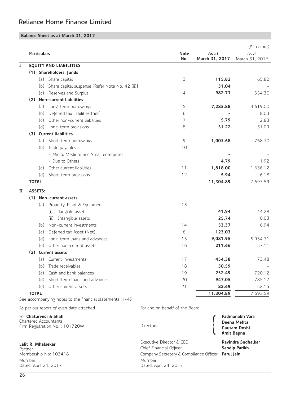# **Reliance Home Finance Limited**

## **Balance Sheet as at March 31, 2017**

|   |              | <b>Particulars</b> |                                                                | <b>Note</b>                                                                  | As at          | $(\bar{\bar{\mathbf{z}}}$ in crore)<br>As at |
|---|--------------|--------------------|----------------------------------------------------------------|------------------------------------------------------------------------------|----------------|----------------------------------------------|
|   |              |                    |                                                                | No.                                                                          | March 31, 2017 | March 31, 2016                               |
| I |              |                    | <b>EQUITY AND LIABILITIES:</b>                                 |                                                                              |                |                                              |
|   |              |                    | (1) Shareholders' funds                                        |                                                                              |                |                                              |
|   |              | (a)                | Share capital                                                  | 3                                                                            | 115.82         | 65.82                                        |
|   |              | (b)                | Share capital suspense [Refer Note No. 42 (ii)]                |                                                                              | 31.04          |                                              |
|   |              | (c)                | Reserves and Surplus                                           | 4                                                                            | 982.73         | 554.30                                       |
|   |              |                    | (2) Non-current liabilities                                    |                                                                              |                |                                              |
|   |              |                    | (a) Long-term borrowings                                       | 5                                                                            | 7,285.88       | 4,619.00                                     |
|   |              | (b)                | Deferred tax liabilities (net)                                 | 6                                                                            |                | 8.03                                         |
|   |              | (c)                | Other non-current liabilities                                  | 7                                                                            | 5.79           | 2.83                                         |
|   |              | (d)                | Long-term provisions                                           | 8                                                                            | 51.22          | 31.09                                        |
|   |              |                    | (3) Current liabilities                                        |                                                                              |                |                                              |
|   |              | (a)                | Short-term borrowings                                          | 9                                                                            | 1,003.68       | 768.30                                       |
|   |              | (b)                | Trade payables                                                 | 10                                                                           |                |                                              |
|   |              |                    | - Micro, Medium and Small enterprises                          |                                                                              |                |                                              |
|   |              |                    | - Due to Others                                                |                                                                              | 4.79           | 1.92                                         |
|   |              | (c)                | Other current liabilities                                      | 11                                                                           | 1,818.00       | 1,636.12                                     |
|   |              | (d)                | Short-term provisions                                          | 12                                                                           | 5.94           | 6.18                                         |
|   | <b>TOTAL</b> |                    |                                                                |                                                                              | 11,304.89      | 7,693.59                                     |
| п |              | <b>ASSETS:</b>     |                                                                |                                                                              |                |                                              |
|   |              |                    | (1) Non-current assets                                         |                                                                              |                |                                              |
|   |              | (a)                | Property, Plant & Equipment                                    | 13                                                                           |                |                                              |
|   |              |                    | Tangible assets<br>(i)                                         |                                                                              | 41.94          | 44.28                                        |
|   |              |                    | Intangible assets<br>(ii)                                      |                                                                              | 25.74          | 0.03                                         |
|   |              | (b)                | Non-current investments                                        | 14                                                                           | 53.37          | 6.94                                         |
|   |              | (c)                | Deferred tax Asset (Net)                                       | 6                                                                            | 123.03         |                                              |
|   |              | (d)                | Long-term loans and advances                                   | 15                                                                           | 9,081.95       | 5,954.31                                     |
|   |              | (e)                | Other non-current assets                                       | 16                                                                           | 211.66         | 57.11                                        |
|   | (2)          |                    | Current assets                                                 |                                                                              |                |                                              |
|   |              | (a)                | Current investments                                            | 17                                                                           | 454.38         | 73.48                                        |
|   |              | (b)                | Trade receivables                                              | 18                                                                           | 30.59          |                                              |
|   |              | (c)                | Cash and bank balances                                         | 19                                                                           | 252.49         | 720.12                                       |
|   |              |                    | (d) Short-term loans and advances                              | 20                                                                           | 947.05         | 785.17                                       |
|   |              |                    | (e) Other current assets                                       | 21                                                                           | 82.69          | 52.15                                        |
|   | <b>TOTAL</b> |                    |                                                                |                                                                              | 11,304.89      | 7,693.59                                     |
|   |              |                    | See accompanying notes to the financial statements '1-49'      |                                                                              |                |                                              |
|   |              |                    | As per our report of even date attached                        | For and on behalf of the Board                                               |                |                                              |
|   |              |                    | For Chaturvedi & Shah                                          |                                                                              |                | Padmanabh Vora                               |
|   |              |                    | <b>Chartered Accountants</b><br>Firm Registration No.: 101720W | Directors                                                                    |                | Deena Mehta<br>Gautam Doshi<br>Amit Bapna    |
|   |              |                    |                                                                | Executive Director & CEO                                                     |                | Ravindra Sudhalkar                           |
|   | Partner      |                    | Lalit R. Mhalsekar<br>Membership No: 103418                    | Chief Financial Officer<br>Company Secretary & Compliance Officer Parul Jain |                | Sandip Parikh                                |
|   | Mumbai       |                    | Dated: April 24, 2017                                          | Mumbai<br>Dated: April 24, 2017                                              |                |                                              |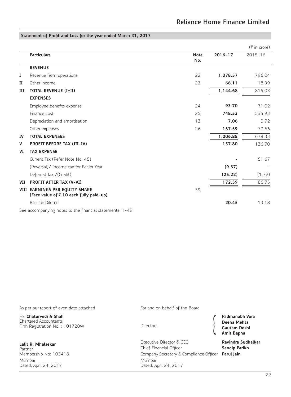## **Statement of Profit and Loss for the year ended March 31, 2017**

|              |                                                                          |                    |             | $(\bar{\bar{\mathbf{z}}}$ in crore) |
|--------------|--------------------------------------------------------------------------|--------------------|-------------|-------------------------------------|
|              | <b>Particulars</b>                                                       | <b>Note</b><br>No. | $2016 - 17$ | $2015 - 16$                         |
|              | <b>REVENUE</b>                                                           |                    |             |                                     |
| I            | Revenue from operations                                                  | 22                 | 1.078.57    | 796.04                              |
| $\mathbf{I}$ | Other income                                                             | 23                 | 66.11       | 18.99                               |
| III          | <b>TOTAL REVENUE (I+II)</b>                                              |                    | 1,144.68    | 815.03                              |
|              | <b>EXPENSES</b>                                                          |                    |             |                                     |
|              | Employee benefits expense                                                | 24                 | 93.70       | 71.02                               |
|              | Finance cost                                                             | 25                 | 748.53      | 535.93                              |
|              | Depreciation and amortisation                                            | 1 <sub>3</sub>     | 7.06        | 0.72                                |
|              | Other expenses                                                           | 26                 | 157.59      | 70.66                               |
| <b>IV</b>    | <b>TOTAL EXPENSES</b>                                                    |                    | 1,006.88    | 678.33                              |
| V            | PROFIT BEFORE TAX (III-IV)                                               |                    | 137.80      | 136.70                              |
| VI           | <b>TAX EXPENSE</b>                                                       |                    |             |                                     |
|              | Current Tax (Refer Note No. 45)                                          |                    |             | 51.67                               |
|              | (Reversal)/ Income tax for Earlier Year                                  |                    | (9.57)      |                                     |
|              | Deferred Tax /(Credit)                                                   |                    | (25.22)     | (1.72)                              |
| VII          | <b>PROFIT AFTER TAX (V-VI)</b>                                           |                    | 172.59      | 86.75                               |
|              | VIII EARNINGS PER EQUITY SHARE<br>(Face value of ₹10 each fully paid-up) | 39                 |             |                                     |
|              | Basic & Diluted                                                          |                    | 20.45       | 13.18                               |
|              | See accompanying notes to the financial statements '1-49'                |                    |             |                                     |

As per our report of even date attached For and on behalf of the Board

For **Chaturvedi & Shah** Chartered Accountants Firm Registration No.: 101720W Directors

#### **Lalit R. Mhalsekar**

Partner Membership No: 103418 Mumbai Dated: April 24, 2017

Executive Director & CEO Chief Financial Officer Company Secretary & Compliance Officer **Parul Jain** Mumbai Dated: April 24, 2017

**Padmanabh Vora Deena Mehta Gautam Doshi Amit Bapna**

{

**Ravindra Sudhalkar Sandip Parikh**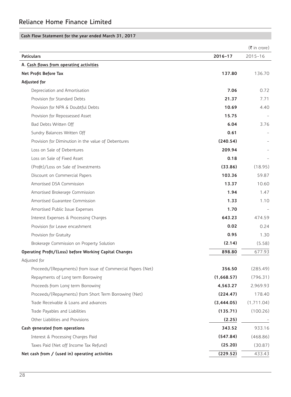## **Cash Flow Statement for the year ended March 31, 2017**

|                                                             |            | $(\bar{\bar{\mathbf{z}}}$ in crore) |
|-------------------------------------------------------------|------------|-------------------------------------|
| <b>Paticulars</b>                                           | 2016-17    | $2015 - 16$                         |
| A. Cash flows from operating activities                     |            |                                     |
| Net Profit Before Tax                                       | 137.80     | 136.70                              |
| Adjusted for                                                |            |                                     |
| Depreciation and Amortisation                               | 7.06       | 0.72                                |
| Provision for Standard Debts                                | 21.37      | 7.71                                |
| Provision for NPA & Doubtful Debts                          | 10.69      | 4.40                                |
| Provision for Repossessed Asset                             | 15.75      |                                     |
| Bad Debts Written Off                                       | 6.04       | 3.76                                |
| Sundry Balances Written Off                                 | 0.61       |                                     |
| Provision for Diminution in the value of Debentures         | (240.54)   |                                     |
| Loss on Sale of Debentures                                  | 209.94     |                                     |
| Loss on Sale of Fixed Asset                                 | 0.18       |                                     |
| (Profit)/Loss on Sale of Investments                        | (33.86)    | (18.95)                             |
| Discount on Commercial Papers                               | 103.36     | 59.87                               |
| Amortised DSA Commission                                    | 13.37      | 10.60                               |
| Amortised Brokerage Commission                              | 1.94       | 1.47                                |
| Amortised Guarantee Commission                              | 1.33       | 1.10                                |
| Amortised Public Issue Expenses                             | 1.70       |                                     |
| Interest Expenses & Processing Charges                      | 643.23     | 474.59                              |
| Provision for Leave encashment                              | 0.02       | 0.24                                |
| Provision for Gratuity                                      | 0.95       | 1.30                                |
| Brokerage Commission on Property Solution                   | (2.14)     | (5.58)                              |
| Operating Profit/(Loss) before Working Capital Changes      | 898.80     | 677.93                              |
| Adjusted for                                                |            |                                     |
| Proceeds/(Repayments) from issue of Commercial Papers (Net) | 356.50     | (285.49)                            |
| Repayments of Long term Borrowing                           | (1.668.57) | (796.31)                            |
| Proceeds from Long term Borrowing                           | 4,563.27   | 2,969.93                            |
| Proceeds/(Repayments) from Short Term Borrowing (Net)       | (224.47)   | 178.40                              |
| Trade Receivable & Loans and advances                       | (3,444.05) | (1,711.04)                          |
| Trade Payables and Liabilities                              | (135.71)   | (100.26)                            |
| Other Liabilities and Provisions                            | (2.25)     |                                     |
| Cash generated from operations                              | 343.52     | 933.16                              |
| Interest & Processing Charges Paid                          | (547.84)   | (468.86)                            |
| Taxes Paid (Net off Income Tax Refund)                      | (25.20)    | (30.87)                             |
| Net cash from / (used in) operating activities              | (229.52)   | 433.43                              |
|                                                             |            |                                     |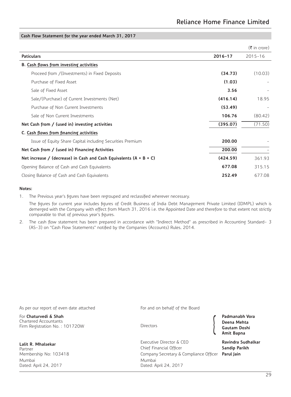## **Cash Flow Statement for the year ended March 31, 2017**

|                                                                      |          | $(\bar{\bar{\mathbf{z}}}$ in crore) |
|----------------------------------------------------------------------|----------|-------------------------------------|
| <b>Paticulars</b>                                                    | 2016-17  | $2015 - 16$                         |
| B. Cash flows from investing activities                              |          |                                     |
| Proceed from / (Investments) in Fixed Deposits                       | (34.73)  | (10.03)                             |
| Purchase of Fixed Asset                                              | (1.03)   |                                     |
| Sale of Fixed Asset                                                  | 3.56     |                                     |
| Sale/(Purchase) of Current Investments (Net)                         | (416.14) | 18.95                               |
| Purchase of Non Current Investments                                  | (53.49)  |                                     |
| Sale of Non Current Investments                                      | 106.76   | (80.42)                             |
| Net Cash from / (used in) investing activities                       | (395.07) | (71.50)                             |
| C. Cash flows from financing activities                              |          |                                     |
| Issue of Equity Share Capital including Securities Premium           | 200.00   |                                     |
| Net Cash from / (used in) Financing Activities                       | 200.00   |                                     |
| Net increase / (decrease) in Cash and Cash Equivalents $(A + B + C)$ | (424.59) | 361.93                              |
| Opening Balance of Cash and Cash Equivalents                         | 677.08   | 315.15                              |
| Closing Balance of Cash and Cash Equivalents                         | 252.49   | 677.08                              |

#### **Notes:**

Mumbai

Dated: April 24, 2017

1. The Previous year's figures have been regrouped and reclassified wherever necessary.

The figures for current year includes figures of Credit Business of India Debt Management Private Limited (IDMPL) which is demerged with the Company with effect from March 31, 2016 i.e. the Appointed Date and therefore to that extent not strictly comparable to that of previous year's figures.

2. The cash flow statement has been prepared in accordance with "Indirect Method" as prescribed in Accounting Standard- 3 (AS-3) on "Cash Flow Statements" notified by the Companies (Accounts) Rules, 2014.

| As per our report of even date attached                                                     | For and on behalf of the Board                                                                |                                                             |
|---------------------------------------------------------------------------------------------|-----------------------------------------------------------------------------------------------|-------------------------------------------------------------|
| For <b>Chaturvedi &amp; Shah</b><br>Chartered Accountants<br>Firm Registration No.: 101720W | <b>Directors</b>                                                                              | Padmanabh Vora<br>Deena Mehta<br>Gautam Doshi<br>Amit Bapna |
| Lalit R. Mhalsekar<br>Partner<br>Membership No: 103418                                      | Executive Director & CEO<br>Chief Financial Officer<br>Company Secretary & Compliance Officer | Ravindra Sudhalkar<br>Sandip Parikh<br>Parul Jain           |

Mumbai

Dated: April 24, 2017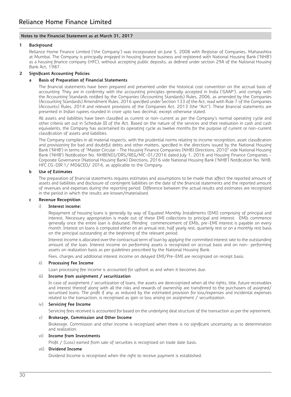#### **1 Background**

Reliance Home Finance Limited ('the Company') was incorporated on June 5, 2008 with Registrar of Companies, Maharashtra at Mumbai. The Company is principally engaged in housing finance business and registered with National Housing Bank ('NHB') as a housing finance company (HFC), without accepting public deposits, as defined under section 29A of the National Housing Bank Act, 1987.

#### **2 Significant Accounting Policies**

#### **a Basis of Preparation of Financial Statements**

 The financial statements have been prepared and presented under the historical cost convention on the accrual basis of accounting. They are in confirmity with the accounting principles generally accepted in India ('GAAP'), and comply with the Accounting Standards notified by the Companies (Accounting Standards) Rules, 2006, as amended by the Companies (Accounting Standards) Amendment Rules, 2016 specified under Section 133 of the Act, read with Rule 7 of the Companies (Accounts) Rules, 2014 and relevant provisions of the Companies Act, 2013 (the "Act"). These financial statements are presented in Indian rupees rounded in crore upto two decimal, except otherwise stated.

 All assets and liabilities have been classified as current or non-current as per the Company's normal operating cycle and other criteria set out in Schedule III of the Act. Based on the nature of the services and their realisation in cash and cash equivalents, the Company has ascertained its operating cycle as twelve months for the purpose of current or non-current classification of assets and liabilities.

 The Company complies in all material respects, with the prudential norms relating to income recognition, asset classification and provisioning for bad and doubtful debts and other matters, specified in the directions issued by the National Housing Bank ('NHB') in terms of "Master Circular - The Housing Finance Companies (NHB) Directions, 2010" vide National Housing Bank ('NHB') Notification No. NHB(ND)/DRS/REG/MC-01/2016 dated July 1, 2016 and Housing Finance Companies - Corporate Governance (National Housing Bank) Directions, 2016 vide National Housing Bank ('NHB') Notification No. NHB. HFC.CG-DIR.1/ MD&CEO/ 2016, as applicable to the Company.

#### **b Use of Estimates**

 The preparation of financial statements requires estimates and assumptions to be made that affect the reported amount of assets and liabilities and disclosure of contingent liabilities on the date of the financial statements and the reported amount of revenues and expenses during the reporting period. Difference between the actual results and estimates are recognized in the period in which the results are known/materialised.

#### **c Revenue Recognition**

## i) **Interest income:**

 Repayment of housing loans is generally by way of Equated Monthly Installments (EMI) comprising of principal and interest. Necessary appropriation is made out of these EMI collections to principal and interest. EMIs commence generally once the entire loan is disbursed. Pending commencement of EMIs, pre-EMI interest is payable on every month. Interest on loans is computed either on an annual rest, half yearly rest, quarterly rest or on a monthly rest basis on the principal outstanding at the beginning of the relevant period.

 Interest income is allocated over the contractual term of loan by applying the committed interest rate to the outstanding amount of the loan. Interest income on performing assets is recognized on accrual basis and on non- performing assets on realization basis as per guidelines prescribed by the National Housing Bank.

Fees, charges and additional interest income on delayed EMI/Pre-EMI are recognized on receipt basis.

#### ii) **Processing Fee Income**

Loan processing fee income is accounted for upfront as and when it becomes due.

#### iii) **Income from assignment / securitization**

 In case of assignment / securitization of loans, the assets are derecognized when all the rights, title, future receivables and interest thereof along with all the risks and rewards of ownership are transferred to the purchasers of assigned/ securtised loans. The profit if any, as reduced by the estimated provision for loss/expenses and incidental expenses related to the transaction, is recognised as gain or loss arising on assignment / securitization.

#### iv) **Servicing Fee Income**

Servicing fees received is accounted for based on the underlying deal structure of the transaction as per the agreement.

## v) **Brokerage, Commission and Other Income**

 Brokerage, Commission and other income is recognized when there is no significant uncertainty as to determination and realization.

#### vi) **Income from Investments**

Profit / (Loss) earned from sale of securities is recognised on trade date basis.

#### vii) **Dividend Income**

Dividend Income is recognised when the right to receive payment is established.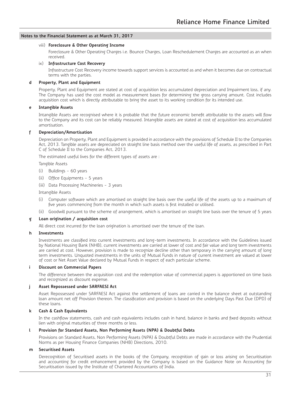#### viii) **Foreclosure & Other Operating Income**

 Foreclosure & Other Operating Charges i.e. Bounce Charges, Loan Reschedulement Charges are accounted as an when received.

#### ix) **Infrastructure Cost Recovery**

 Infrastructure Cost Recovery income towards support services is accounted as and when it becomes due on contractual terms with the parties.

#### **d Property, Plant and Equipment**

 Property, Plant and Equipment are stated at cost of acquisition less accumulated depreciation and Impairment loss, if any. The Company has used the cost model as measurement bases for determining the gross carrying amount. Cost includes acquisition cost which is directly attributable to bring the asset to its working condition for its intended use.

#### **e Intangible Assets**

 Intangible Assets are recognised where it is probable that the future economic benefit attributable to the assets will flow to the Company and its cost can be reliably measured. Intangible assets are stated at cost of acquisition less accumulated amortisation.

#### **f Depreciation/Amortisation**

 Depreciation on Property, Plant and Equipment is provided in accordance with the provisions of Schedule II to the Companies Act, 2013. Tangible assets are depreciated on straight line basis method over the useful life of assets, as prescribed in Part C of Schedule II to the Companies Act, 2013.

The estimated useful lives for the different types of assets are :

Tangible Assets

- (i) Buildings 60 years
- (ii) Office Equipments 5 years
- (iii) Data Processing Machineries 3 years

Intangible Assets

- (i) Computer software which are amortised on straight line basis over the useful life of the assets up to a maximum of five years commencing from the month in which such assets is first installed or utilised.
- (ii) Goodwill pursuant to the scheme of arrangement, which is amortised on straight line basis over the tenure of 5 years

## **g Loan origination / acquisition cost**

All direct cost incurred for the loan origination is amortised over the tenure of the loan.

### **h Investments**

 Investments are classified into current investments and long-term investments. In accordance with the Guidelines issued by National Housing Bank (NHB), current investments are carried at lower of cost and fair value and long term investments are carried at cost. However, provision is made to recognize decline other than temporary in the carrying amount of long term investments. Unquoted investments in the units of Mutual Funds in nature of current investment are valued at lower of cost or Net Asset Value declared by Mutual Funds in respect of each particular scheme.

#### **i Discount on Commercial Papers**

 The difference between the acquisition cost and the redemption value of commercial papers is apportioned on time basis and recognized as discount expense.

#### **j Asset Repossessed under SARFAESI Act**

 Asset Repossessed under SARFAESI Act against the settlement of loans are carried in the balance sheet at outstanding loan amount net off Provision thereon. The classification and provision is based on the underlying Days Past Due (DPD) of these loans.

## **k Cash & Cash Equivalents**

 In the cashflow statements, cash and cash equivalents includes cash in hand, balance in banks and fixed deposits without lien with original maturities of three months or less.

#### **l Provision for Standard Assets, Non Performing Assets (NPA) & Doubtful Debts**

 Provisions on Standard Assets, Non Performing Assets (NPA) & Doubtful Debts are made in accordance with the Prudential Norms as per Housing Finance Companies (NHB) Directions, 2010.

#### **m Securitised Assets**

 Derecognition of Securitised assets in the books of the Company, recognition of gain or loss arising on Securitisation and accounting for credit enhancement provided by the Company is based on the Guidance Note on Accounting for Securitisation issued by the Institute of Chartered Accountants of India.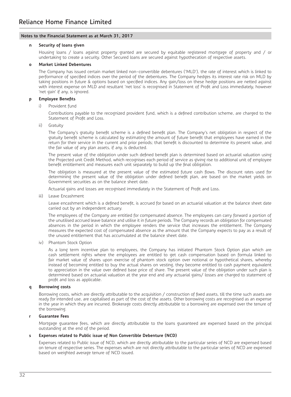#### **n Security of loans given**

 Housing loans / loans against property granted are secured by equitable registered mortgage of property and / or undertaking to create a security. Other Secured loans are secured against hypothecation of respective assets.

#### **o Market Linked Debentures**

 The Company has issued certain market linked non-convertible debentures ('MLD'), the rate of interest which is linked to performance of specified indices over the period of the debentures. The Company hedges its interest rate risk on MLD by taking positions in future & options based on specified indices. Any gain/loss on these hedge positions are netted against with interest expense on MLD and resultant 'net loss' is recognised in Statement of Profit and Loss immediately, however 'net gain' if any, is ignored.

#### **p Employee Benefits**

### i) Provident fund

 Contributions payable to the recognized provident fund, which is a defined contribution scheme, are charged to the Statement of Profit and Loss.

ii) Gratuity

 The Company's gratuity benefit scheme is a defined benefit plan. The Company's net obligation in respect of the gratuity benefit scheme is calculated by estimating the amount of future benefit that employees have earned in the return for their service in the current and prior periods; that benefit is discounted to determine its present value, and the fair value of any plan assets, if any, is deducted.

 The present value of the obligation under such defined benefit plan is determined based on actuarial valuation using the Projected unit Credit Method, which recognises each period of service as giving rise to additional unit of employee benefit entitlement and measures each unit separately to build up the final obligation.

 The obligation is measured at the present value of the estimated future cash flows. The discount rates used for determining the present value of the obligation under defined benefit plan, are based on the market yields on Government securities as on the balance sheet date.

Actuarial gains and losses are recognised immediately in the Statement of Profit and Loss.

iii) Leave Encashment

 Leave encashment which is a defined benefit, is accrued for based on an actuarial valuation at the balance sheet date carried out by an independent actuary.

 The employees of the Company are entitled for compensated absence. The employees can carry forward a portion of the unutilised accrued leave balance and utilise it in future periods. The Company records an obligation for compensated absences in the period in which the employee renders the service that increases the entitlement. The Company measures the expected cost of compensated absence as the amount that the Company expects to pay as a result of the unused entitlement that has accumulated at the balance sheet date.

iv) Phantom Stock Option

 As a long term incentive plan to employees, the Company has initiated Phantom Stock Option plan which are cash settlement rights where the employees are entitled to get cash compensation based on formula linked to fair market value of shares upon exercise of phantom stock option over notional or hypothetical shares, whereby instead of becoming entitled to buy the actual shares on vesting, they become entitled to cash payment equivalent to appreciation in the value over defined base price of share. The present value of the obligation under such plan is determined based on actuarial valuation at the year end and any actuarial gains/ losses are charged to statement of profit and loss as applicable.

#### **q Borrowing costs**

 Borrowing costs, which are directly attributable to the acquisition / construction of fixed assets, till the time such assets are ready for intended use, are capitalised as part of the cost of the assets. Other borrowing costs are recognised as an expense in the year in which they are incurred. Brokerage costs directly attributable to a borrowing are expensed over the tenure of the borrowing.

#### **r Guarantee Fees**

 Mortgage guarantee fees, which are directly attributable to the loans guaranteed are expensed based on the principal outstanding at the end of the period.

#### **s Expenses related to Public issue of Non Convertible Debenture (NCD)**

 Expenses related to Public issue of NCD, which are directly attributable to the particular series of NCD are expensed based on tenure of respective series. The expenses which are not directly attributable to the particular series of NCD are expensed based on weighted average tenure of NCD issued.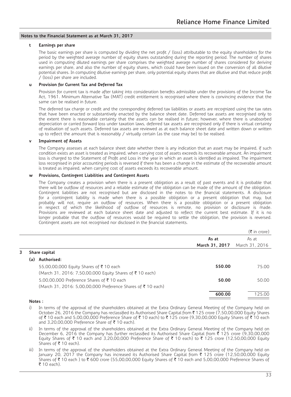#### **t Earnings per share**

 The basic earnings per share is computed by dividing the net profit / (loss) attributable to the equity shareholders for the period by the weighted average number of equity shares outstanding during the reporting period. The number of shares used in computing diluted earnings per share comprises the weighted average number of shares considered for deriving earnings per share, and also the number of equity shares, which could have been issued on the conversion of all dilutive potential shares. In computing dilutive earnings per share, only potential equity shares that are dilutive and that reduce profit / (loss) per share are included.

#### **u Provision for Current Tax and Deferred Tax**

 Provision for current tax is made after taking into consideration benefits admissible under the provisions of the Income Tax Act, 1961. Minimum Alternative Tax (MAT) credit entitlement is recognised where there is convincing evidence that the same can be realised in future.

 The deferred tax charge or credit and the corresponding deferred tax liabilities or assets are recognized using the tax rates that have been enacted or substantively enacted by the balance sheet date. Deferred tax assets are recognised only to the extent there is reasonable certainty that the assets can be realised in future; however, where there is unabsorbed depreciation or carried forward loss under taxation laws, deferred tax assets are recognised only if there is virtual certainty of realisation of such assets. Deferred tax assets are reviewed as at each balance sheet date and written down or written up to reflect the amount that is reasonably / virtually certain (as the case may be) to be realised.

#### **v Impairment of Assets**

 The Company assesses at each balance sheet date whether there is any indication that an asset may be impaired, if such condition exists an asset is treated as impaired, when carrying cost of assets exceeds its recoverable amount. An impairment loss is charged to the Statement of Profit and Loss in the year in which an asset is identified as impaired. The impairment loss recognised in prior accounting periods is reversed if there has been a change in the estimate of the recoverable amount is treated as impaired, when carrying cost of assets exceeds its recoverable amount.

#### **w Provisions, Contingent Liabilities and Contingent Assets**

 The Company creates a provision when there is a present obligation as a result of past events and it is probable that there will be outflow of resources and a reliable estimate of the obligation can be made of the amount of the obligation. Contingent liabilities are not recognised but are disclosed in the notes to the financial statements. A disclosure for a contingent liability is made when there is a possible obligation or a present obligation that may, but probably will not, require an outflow of resources. When there is a possible obligation or a present obligation in respect of which the likelihood of outflow of resources is remote, no provision or disclosure is made. Provisions are reviewed at each balance sheet date and adjusted to reflect the current best estimate. If it is no longer probable that the outflow of resources would be required to settle the obligation, the provision is reversed. Contingent assets are not recognised nor disclosed in the financial statements.

|   |                                                             |                | $(\bar{\tau}$ in crore) |
|---|-------------------------------------------------------------|----------------|-------------------------|
|   |                                                             | As at          | As at                   |
|   |                                                             | March 31, 2017 | March 31, 2016          |
| 3 | Share capital                                               |                |                         |
|   | Authorised:<br>(a)                                          |                |                         |
|   | 55,00,00,000 Equity Shares of ₹10 each                      | 550.00         | 75.00                   |
|   | (March 31, 2016: 7,50,00,000 Equity Shares of ₹10 each)     |                |                         |
|   | 5,00,00,000 Preference Shares of ₹10 each                   | 50.00          | 50.00                   |
|   | (March 31, 2016: 5,00,00,000 Preference Shares of ₹10 each) |                |                         |
|   |                                                             | 600.00         | 125.00                  |
|   |                                                             |                |                         |

#### **Notes :**

- i) In terms of the approval of the shareholders obtained at the Extra Ordinary General Meeting of the Company held on October 26, 2016 the Company has reclassified its Authorised Share Capital from ₹125 crore (7,50,00,000 Equity Shares of ₹ 10 each and 5,00,00,000 Preference Share of ₹ 10 each) to ₹ 125 crore (9,30,00,000 Equity Shares of ₹ 10 each and 3,20,00,000 Preference Share of  $\bar{\tau}$  10 each).
- ii) In terms of the approval of the shareholders obtained at the Extra Ordinary General Meeting of the Company held on December 6, 2016 the Company has further reclassified its Authorised Share Capital from  $\bar{z}$  125 crore (9,30,00,000 Equity Shares of ₹ 10 each and 3,20,00,000 Preference Share of ₹ 10 each) to ₹ 125 crore (12,50,00,000 Equity Shares of  $\bar{\tau}$  10 each).
- iii) In terms of the approval of the shareholders obtained at the Extra Ordinary General Meeting of the Company held on January 20, 2017 the Company has increased its Authorised Share Capital from  $\bar{\tau}$  125 crore (12,50,00,000 Equity Shares of  $\bar{\tau}$  10 each ) to  $\bar{\tau}$  600 crore (55,00,00,000 Equity Shares of  $\bar{\tau}$  10 each and 5,00,00,000 Preference Shares of  $\bar{z}$  10 each).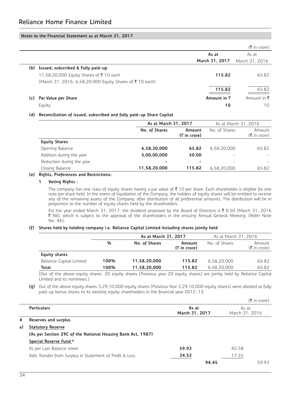|                                                         |                     | $(\bar{\tau}$ in crore) |
|---------------------------------------------------------|---------------------|-------------------------|
|                                                         | As at               | As at                   |
|                                                         | March 31, 2017      | March 31, 2016          |
| Issued, subscribed & Fully paid-up<br>(b)               |                     |                         |
| 11,58,20,000 Equity Shares of ₹10 each                  | 115.82              | 65.82                   |
| (March 31, 2016: 6,58,20,000 Equity Shares of ₹10 each) |                     |                         |
|                                                         | 115.82              | 65.82                   |
| Par Value per Share<br>(c)                              | Amount in $\bar{z}$ | Amount in $\bar{\tau}$  |
| Equity                                                  | 10                  | 10                      |

#### **(d) Reconciliation of issued, subscribed and fully paid-up Share Capital**

|                           | As at March 31, 2017 |                        | As at March 31, 2016 |                                               |
|---------------------------|----------------------|------------------------|----------------------|-----------------------------------------------|
|                           | No. of Shares        | Amount<br>$(5 \infty)$ | No. of Shares        | Amount<br>$(\bar{\bar{\mathbf{z}}}$ in crore) |
| <b>Equity Shares</b>      |                      |                        |                      |                                               |
| Opening Balance           | 6,58,20,000          | 65.82                  | 6.58.20.000          | 65.82                                         |
| Addition during the year  | 5,00,00,000          | 50.00                  |                      |                                               |
| Reduction during the year |                      |                        |                      |                                               |
| Closing Balance           | 11,58,20,000         | 115.82                 | 6,58,20,000          | 65.82                                         |

#### **(e) Rights, Preferences and Restrictions:**

#### **1 Voting Rights :**

The company has one class of equity shares having a par value of  $\bar{\tau}$  10 per share. Each shareholder is eligible for one vote per share held. In the event of liquidation of the Company, the holders of equity shares will be entitled to receive any of the remaining assets of the Company, after distribution of all preferential amounts. The distribution will be in proportion to the number of equity shares held by the shareholders.

For the year ended March 31, 2017, the dividend proposed by the Board of Directors is  $\bar{\tau}$  0.50 (March 31, 2016 ` Nil), which is subject to the approval of the shareholders in the ensuing Annual General Meeting. (Refer Note No. 46).

#### **(f) Shares held by holding company i.e. Reliance Capital Limited including shares jointly held**

|                          |      | As at March 31, 2017 |                        | As at March 31, 2016 |                                               |
|--------------------------|------|----------------------|------------------------|----------------------|-----------------------------------------------|
|                          | %    | No. of Shares        | Amount<br>$(5 \infty)$ | No. of Shares        | Amount<br>$(\bar{\bar{\mathbf{z}}}$ in crore) |
| Equity shares            |      |                      |                        |                      |                                               |
| Reliance Capital Limited | 100% | 11,58,20,000         | 115.82                 | 6.58.20.000          | 65.82                                         |
| Total                    | 100% | 11,58,20,000         | 115.82                 | 6.58.20.000          | 65.82                                         |

 (Out of the above equity shares, 20 equity shares (Previous year 20 equity shares) are jointly held by Reliance Capital Limited and its nominees.)

#### **(g)** Out of the above equity shares 3,29,10,000 equity shares (Previous Year 3,29,10,000 equity shares) were allotted as fully paid-up bonus shares to its existing equity shareholders in the financial year 2012-13.

|    |                                                             |                         |                         | $(\bar{\bar{\mathbf{z}}}$ in crore) |
|----|-------------------------------------------------------------|-------------------------|-------------------------|-------------------------------------|
|    | <b>Particulars</b>                                          | As at<br>March 31, 2017 | As at<br>March 31, 2016 |                                     |
| 4  | Reserves and surplus                                        |                         |                         |                                     |
| a) | <b>Statutory Reserve</b>                                    |                         |                         |                                     |
|    | (As per Section 29C of the National Housing Bank Act, 1987) |                         |                         |                                     |
|    | Special Reserve Fund #                                      |                         |                         |                                     |
|    | As per Last Balance sheet                                   | 59.93                   | 42.58                   |                                     |
|    | Add: Transfer from Surplus in Statement of Profit & Loss    | 34.52                   | 17.35                   |                                     |
|    |                                                             | 94.45                   |                         | 59.93                               |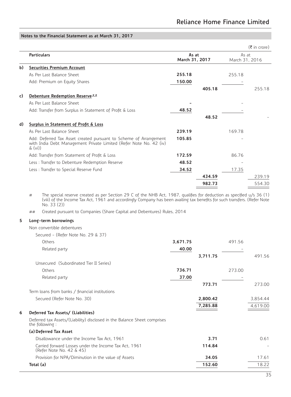|    |                                                                                                                                                       |                         |        |                         | $(\bar{\tau}$ in crore) |
|----|-------------------------------------------------------------------------------------------------------------------------------------------------------|-------------------------|--------|-------------------------|-------------------------|
|    | <b>Particulars</b>                                                                                                                                    | As at<br>March 31, 2017 |        | As at<br>March 31, 2016 |                         |
| b) | <b>Securities Premium Account</b>                                                                                                                     |                         |        |                         |                         |
|    | As Per Last Balance Sheet                                                                                                                             | 255.18                  |        | 255.18                  |                         |
|    | Add: Premium on Equity Shares                                                                                                                         | 150.00                  |        |                         |                         |
|    |                                                                                                                                                       |                         | 405.18 |                         | 255.18                  |
| c) | Debenture Redemption Reserve.##                                                                                                                       |                         |        |                         |                         |
|    | As Per Last Balance Sheet                                                                                                                             |                         |        |                         |                         |
|    | Add: Transfer from Surplus in Statement of Profit & Loss                                                                                              | 48.52                   |        |                         |                         |
|    |                                                                                                                                                       |                         | 48.52  |                         |                         |
| d) | Surplus in Statement of Profit & Loss                                                                                                                 |                         |        |                         |                         |
|    | As Per Last Balance Sheet                                                                                                                             | 239.19                  |        | 169.78                  |                         |
|    | Add: Deferred Tax Asset created pursuant to Scheme of Arrangement<br>with India Debt Management Private Limited (Refer Note No. 42 (iv)<br>$\&$ (vi)) | 105.85                  |        |                         |                         |
|    | Add: Transfer from Statement of Profit & Loss                                                                                                         | 172.59                  |        | 86.76                   |                         |
|    | Less: Transfer to Debenture Redemption Reserve                                                                                                        | 48.52                   |        |                         |                         |
|    | Less: Transfer to Special Reserve Fund                                                                                                                | 34.52                   |        | 17.35                   |                         |
|    |                                                                                                                                                       |                         | 434.59 |                         | 239.19                  |
|    |                                                                                                                                                       |                         | 982.73 |                         | 554.30                  |
|    |                                                                                                                                                       |                         |        |                         |                         |

# The special reserve created as per Section 29 C of the NHB Act, 1987, qualifies for deduction as specified u/s 36 (1) (viii) of the Income Tax Act, 1961 and accordingly Company has been availing tax benefits for such transfers. (Refer Note No. 33 (2))

## Created pursuant to Companies (Share Capital and Debentures) Rules, 2014

#### **5 Long-term borrowings**

Non convertible debentures

|   | Secured - (Refer Note No. 29 & 37)                                                         |          |          |        |          |
|---|--------------------------------------------------------------------------------------------|----------|----------|--------|----------|
|   | Others                                                                                     | 3,671.75 |          | 491.56 |          |
|   | Related party                                                                              | 40.00    |          |        |          |
|   |                                                                                            |          | 3,711.75 |        | 491.56   |
|   | Unsecured (Subordinated Tier II Series)                                                    |          |          |        |          |
|   | Others                                                                                     | 736.71   |          | 273.00 |          |
|   | Related party                                                                              | 37.00    |          |        |          |
|   |                                                                                            |          | 773.71   |        | 273.00   |
|   | Term loans from banks / financial institutions                                             |          |          |        |          |
|   | Secured (Refer Note No. 30)                                                                |          | 2,800.42 |        | 3,854.44 |
|   |                                                                                            |          | 7,285.88 |        | 4,619.00 |
| 6 | Deferred Tax Assets/ (Liabilities)                                                         |          |          |        |          |
|   | Deferred tax Assets/(Liability) disclosed in the Balance Sheet comprises<br>the following: |          |          |        |          |
|   | (a) Deferred Tax Asset                                                                     |          |          |        |          |
|   | Disallowance under the Income Tax Act, 1961                                                |          | 3.71     |        | 0.61     |
|   | Carried forward Losses under the Income Tax Act, 1961<br>(Refer Note No. 42 & 45)          |          | 114.84   |        |          |
|   | Provision for NPA/Diminution in the value of Assets                                        |          | 34.05    |        | 17.61    |
|   | Total (a)                                                                                  |          | 152.60   |        | 18.22    |
|   |                                                                                            |          |          |        |          |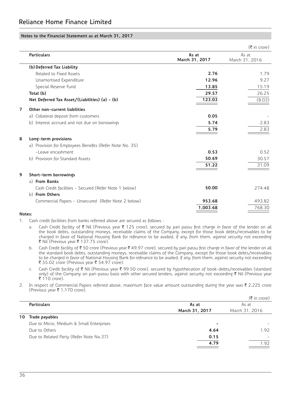|   |                                                         |                         | $(\bar{\bar{\mathbf{z}}}$ in crore) |
|---|---------------------------------------------------------|-------------------------|-------------------------------------|
|   | <b>Particulars</b>                                      | As at<br>March 31, 2017 | As at<br>March 31, 2016             |
|   | (b) Deferred Tax Liability                              |                         |                                     |
|   | Related to Fixed Assets                                 | 2.76                    | 1.79                                |
|   | Unamortised Expenditure                                 | 12.96                   | 9.27                                |
|   | Special Reserve Fund                                    | 13.85                   | 15.19                               |
|   | Total (b)                                               | 29.57                   | 26.25                               |
|   | Net Deferred Tax Asset/(Liabilities) (a) - (b)          | 123.03                  | (8.03)                              |
| 7 | Other non-current liabilities                           |                         |                                     |
|   | a) Collateral deposit from customers                    | 0.05                    |                                     |
|   | b) Interest accrued and not due on borrowings           | 5.74                    | 2.83                                |
|   |                                                         | 5.79                    | 2.83                                |
| 8 | Long-term provisions                                    |                         |                                     |
|   | a) Provision for Employees Benefits (Refer Note No. 35) |                         |                                     |
|   | -Leave encashment                                       | 0.53                    | 0.52                                |
|   | b) Provision for Standard Assets                        | 50.69                   | 30.57                               |
|   |                                                         | 51.22                   | 31.09                               |
| 9 | Short-term borrowings                                   |                         |                                     |
|   | a) From Banks                                           |                         |                                     |
|   | Cash Credit facilities - Secured (Refer Note 1 below)   | 50.00                   | 274.48                              |
|   | b) From Others                                          |                         |                                     |
|   | Commercial Papers - Unsecured (Refer Note 2 below)      | 953.68                  | 493.82                              |
|   |                                                         | 1,003.68                | 768.30                              |

#### **Notes:**

- 1. Cash credit facilities from banks referred above are secured as follows :
	- a. Cash Credit facility of  $\bar{\tau}$  Nil (Previous year  $\bar{\tau}$  125 crore), secured by pari passu first charge in favor of the lender on all the book debts, outstanding moneys, receivable claims of the Company, except for those book debts/receivables to be charged in favor of National Housing Bank for refinance to be availed, if any, from them, against security not exceeding ₹ Nil (Previous year ₹ 137.75 crore).
	- b. Cash Credit facility of  $\bar{z}$  50 crore (Previous year  $\bar{z}$  49.97 crore), secured by pari passu first charge in favor of the lender on all the standard book debts, outstanding moneys, receivable claims of the Company, except for those book debts/receivables to be charged in favor of National Housing Bank for refinance to be availed, if any, from them, against security not exceeding ₹ 55.02 crore (Previous year ₹ 54.97 crore).
	- c. Cash Credit facility of ₹ Nil (Previous year ₹ 99.50 crore), secured by hypothecation of book-debts/receivables (standard only) of the Company on pari-passu basis with other secured lenders, against security not exceeding ₹ Nil (Previous year  $\bar{\tau}$  110 crore).
- 2. In respect of Commercial Papers referred above, maximum face value amount outstanding during the year was  $\bar{\tau}$  2,225 crore (Previous year  $\bar{\tau}$  1,170 crore).

|     |                                          |                | $(\bar{\bar{\mathbf{z}}}$ in crore) |
|-----|------------------------------------------|----------------|-------------------------------------|
|     | <b>Particulars</b>                       | As at          | As at                               |
|     |                                          | March 31, 2017 | March 31, 2016                      |
| 10. | Trade payables                           |                |                                     |
|     | Due to Micro, Medium & Small Enterprises |                |                                     |
|     | Due to Others                            | 4.64           | 1.92                                |
|     | Due to Related Party (Refer Note No.37)  | 0.15           |                                     |
|     |                                          | 4.79           | 1.92                                |
|     |                                          |                |                                     |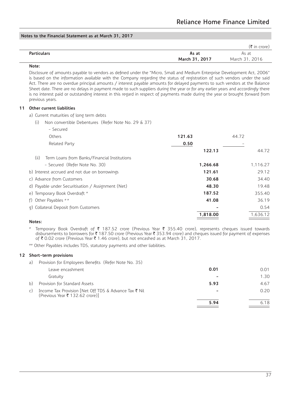|             |                | $(\bar{\bar{\mathbf{z}}}$ in crore) |
|-------------|----------------|-------------------------------------|
| Particulars | As at          | As at                               |
|             | March 31, 2017 | March 31, 2016                      |
|             |                |                                     |

## **Note:**

Disclosure of amounts payable to vendors as defined under the "Micro, Small and Medium Enterprise Development Act, 2006" is based on the information available with the Company regarding the status of registration of such vendors under the said Act. There are no overdue principal amounts / interest payable amounts for delayed payments to such vendors at the Balance Sheet date. There are no delays in payment made to such suppliers during the year or for any earlier years and accordingly there is no interest paid or outstanding interest in this regard in respect of payments made during the year or brought forward from previous years.

#### **11 Other current liabilities**

a) Current maturities of long term debts

(i) Non convertible Debentures (Refer Note No. 29 & 37)

| - Secured                                            |          |          |
|------------------------------------------------------|----------|----------|
| Others                                               | 121.63   | 44.72    |
| Related Party                                        | 0.50     |          |
|                                                      | 122.13   | 44.72    |
| (ii)<br>Term Loans from Banks/Financial Institutions |          |          |
| - Secured (Refer Note No. 30)                        | 1.266.68 | 1.116.27 |
| b) Interest accrued and not due on borrowings        | 121.61   | 29.12    |
| c) Advance from Customers                            | 30.68    | 34.40    |
| d) Payable under Securitisation / Assignment (Net)   | 48.30    | 19.48    |
| e) Temporary Book Overdraft #                        | 187.52   | 355.40   |
| f) Other Payables ##                                 | 41.08    | 36.19    |
| q) Collateral Deposit from Customers                 |          | 0.54     |
|                                                      | 1,818.00 | 1,636.12 |
|                                                      |          |          |

#### **Notes:**

# Temporary Book Overdraft of ₹ 187.52 crore (Previous Year ₹ 355.40 crore), represents cheques issued towards disbursements to borrowers for ₹187.50 crore (Previous Year ₹353.94 crore) and cheques issued for payment of expenses of ₹ 0.02 crore (Previous Year ₹ 1.46 crore), but not encashed as at March 31, 2017.

## Other Payables includes TDS, statutory payments and other liabilities.

#### **12 Short-term provisions**

a) Provision for Employees Benefits (Refer Note No. 35)

|    | Leave encashment                                                                         | 0.01 | 0.01 |
|----|------------------------------------------------------------------------------------------|------|------|
|    | Gratuity                                                                                 |      | 1.30 |
| b) | Provision for Standard Assets                                                            | 5.93 | 4.67 |
| c) | Income Tax Provision [Net Off TDS & Advance Tax ₹ Nil<br>(Previous Year ₹ 132.62 crore)] |      | 0.20 |
|    |                                                                                          | 594  | 6.18 |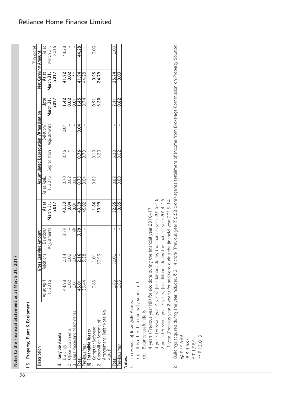Notes to the Financial Statement as at March 31, 2017 **Notes to the Financial Statement as at March 31, 2017**

| ц                     |
|-----------------------|
| í<br>ىن               |
|                       |
|                       |
| i                     |
| ļ                     |
|                       |
| ١<br>I<br>۰<br>i<br>í |
| r                     |
| ۹                     |

38

|                                                                                |                            |                      |                       |               |                                 |                                                |             |                   |                         | $(3)$ in crore) |
|--------------------------------------------------------------------------------|----------------------------|----------------------|-----------------------|---------------|---------------------------------|------------------------------------------------|-------------|-------------------|-------------------------|-----------------|
| Description                                                                    |                            |                      | Gross Carrying Amount |               |                                 | <b>Accumulated Depreciation / Amortisation</b> |             |                   | Net Carrying Amount     |                 |
|                                                                                | As at April                | Additions            | Deletion              | As at         | As at April,                    |                                                | Deletion/   | upto              | As at                   | As at           |
|                                                                                | , 2016                     |                      | Adjustments           | March 31,     | 1,2016                          | Depreciation                                   | Adjustments | March 31,         | March 31,               | March 31,       |
|                                                                                |                            |                      |                       | 2017          |                                 |                                                |             | 2017              | 2017                    | 2016            |
| Tangible Assets                                                                |                            |                      |                       |               |                                 |                                                |             |                   |                         |                 |
| Buildings                                                                      |                            |                      | 3.79                  |               |                                 | 0.76                                           | 0.04        |                   |                         | 44.28           |
|                                                                                | 44 0 0<br>0 0 0<br>4 0 0 1 | 2.000<br>2.000       |                       |               | 2<br>2<br>0<br>0<br>0<br>0<br>0 | #                                              |             | $\frac{400}{100}$ | $41.92$<br>0.02<br>0.02 |                 |
| Office Equipments<br>Data Processing Machineries                               |                            |                      | ☺                     |               |                                 |                                                |             |                   |                         |                 |
| <b>Total</b>                                                                   | 45.01                      | 2.16                 | 3.79                  | 43.39         | 0.73                            | 0.76                                           | 0.04        | 1.45              | 41.94                   | 44.28           |
| Previous Year                                                                  | 4<br>39.4.                 | 5.58                 |                       | 45.02         | 0.04                            | 07<br>0                                        |             | 0.74              | 44.28                   |                 |
|                                                                                |                            |                      |                       |               |                                 |                                                |             |                   |                         |                 |
|                                                                                | 0.85                       |                      | Ī                     |               | 0.82                            |                                                | I           |                   |                         | 0.03            |
| <b>ii) Intangible Assets</b><br>1 Computer Software<br>2 Goodwill on Scheme of | I                          | $\frac{1.01}{30.99}$ | Ï                     | 1.86<br>30.99 |                                 | 0.10<br>6.20                                   |             | 0.91<br>6.20      | 0.95<br>24.79           |                 |
| Arrangement [Refer Note No.<br>42(v)                                           |                            |                      |                       |               |                                 |                                                |             |                   |                         |                 |
| Total                                                                          | S<br>$\frac{8}{1}$         | 32.00                |                       | 32.85         | 0.82                            | 6.30                                           |             | 7.11              | 25.74                   | 0.03            |
| Previous Year                                                                  | $\frac{8}{1}$              |                      |                       | 0.85          | 0.80                            | 0.02                                           |             | 0.82              | 0.03                    |                 |
| i<br>http:                                                                     |                            |                      |                       |               |                                 |                                                |             |                   |                         |                 |

**Notes:**

 $\div$ 

In respect of Intangible Assets: 1. In respect of Intangible Assets:

It is other than internally generated. (a) It is other than internally generated.  $\begin{pmatrix} 1 \\ 0 \end{pmatrix}$ 

Balance useful life is: (b) Balance useful life is:

4 years (Previous year Nil) for additions during the financial year 2016-17 4 years (Previous year Nil) for additions during the financial year 2016-17

3 years (Previous year 4 years) for additions during the financial year 2015-16 3 years (Previous year 4 years) for additions during the financial year 2015-16

2 years (Previous year 3 years) for additions during the financial year 2014-15 2 years (Previous year 3 years) for additions during the financial year 2014-15

 1 year (Previous year 2 years) for additions during the financial year 2013-14 1 year (Previous year 2 years) for additions during the financial year 2013-14

Buildings acquired during the year includes, ₹ 2.14 crore (Previous year ₹ 5.58 crore) against settelment of Income from Brokerage Commission on Property Solution. 2. Buildings acquired during the year includes, **₹** 2.14 crore (Previous year ₹ 5.58 crore) against settelment of Income from Brokerage Commission on Property Solution.  $@714,999$ @ ` 14,999  $\overline{\sim}$ 

# ₹ 9,583 # ` 9,583

 $*71,986$  $*$  ₹ 1,986

 $**$   $\zeta$  13,013 \*\* ₹ 13,013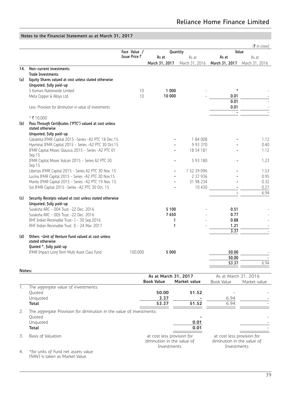|        |                                                                                     |                 |                            |                |                            | $(\bar{\bar{\tau}})$ in crore) |
|--------|-------------------------------------------------------------------------------------|-----------------|----------------------------|----------------|----------------------------|--------------------------------|
|        |                                                                                     | Face Value /    |                            | Quantity       |                            | Value                          |
|        |                                                                                     | Issue Price ₹   | As at                      | As at          | As at                      | As at                          |
| 14.    | Non-current investments                                                             |                 | March 31, 2017             | March 31, 2016 | March 31, 2017             | March 31, 2016                 |
|        | <b>Trade Investments</b>                                                            |                 |                            |                |                            |                                |
| (a)    | Equity Shares valued at cost unless stated otherwise                                |                 |                            |                |                            |                                |
|        | Unquoted, fully paid-up                                                             |                 |                            |                |                            |                                |
|        | S Kumars Nationwide Limited                                                         | 10 <sup>2</sup> | 1 000                      |                | $\star$                    |                                |
|        | Meta Copper & Alloys Ltd.                                                           | 10              | 10 000                     |                | 0.01                       |                                |
|        |                                                                                     |                 |                            |                | 0.01                       |                                |
|        | Less: Provision for diminution in value of investments                              |                 |                            |                | 0.01                       |                                |
|        | * ₹10,000                                                                           |                 |                            |                |                            |                                |
| (b)    | Pass Through Certificates ('PTC') valued at cost unless<br>stated otherwise         |                 |                            |                |                            |                                |
|        | Unquoted, fully paid-up                                                             |                 |                            |                |                            |                                |
|        | Cabaletta IFMR Capital 2015 - Series - A2 PTC 18 Dec.15                             |                 |                            | 1 84 008       |                            | 1.12                           |
|        | Hysminai IFMR Capital 2015 - Series -A2 PTC 30 Oct.15                               |                 |                            | 9 93 370       |                            | 0.40                           |
|        | IFMR Capital Mosec Glaucus 2015 - Series -A2 PTC 01                                 |                 |                            | 18 54 181      |                            | 1.12                           |
|        | Sep.15                                                                              |                 |                            |                |                            |                                |
|        | IFMR Capital Mosec Vulcan 2015 - Series A2 PTC 30<br>Sep.15                         |                 |                            | 5 93 180       |                            | 1.23                           |
|        | Libertas IFMR Capital 2015 - Series A2 PTC 30 Nov. 15                               |                 |                            | 1 52 39 096    |                            | 1.53                           |
|        | Lucina IFMR Capital 2015 - Series -A2 PTC 30 Nov.15                                 |                 |                            | 2 37 936       |                            | 0.95                           |
|        | Manto IFMR Capital 2015 - Series -A2 PTC 19 Nov. 15                                 |                 |                            | 31 98 234      |                            | 0.32                           |
|        | Sol IFMR Capital 2015 -Series -A2 PTC 30 Oct. 15                                    |                 |                            | 10 430         |                            | 0.27                           |
|        |                                                                                     |                 |                            |                |                            | 6.94                           |
| (c)    | Security Receipts valued at cost unless stated otherwise<br>Unquoted, fully paid-up |                 |                            |                |                            |                                |
|        | Suraksha ARC - 004 Trust -22 Dec. 2016                                              |                 | 5 1 0 0                    |                | 0.51                       |                                |
|        | Suraksha ARC - 005 Trust -22 Dec. 2016                                              |                 | 7650                       |                | 0.77                       |                                |
|        | RHF Indian Receivable Trust- I - 30 Sep.2016                                        |                 |                            | 1              | 0.88                       |                                |
|        | RHF Indian Receivable Trust II - 24 Mar. 2017                                       |                 |                            | 1              | 1.21                       |                                |
|        |                                                                                     |                 |                            |                | 3.37                       |                                |
| (d)    | Others - Unit of Venture Fund valued at cost unless                                 |                 |                            |                |                            |                                |
|        | stated otherwise                                                                    |                 |                            |                |                            |                                |
|        | Quoted *, fully paid-up                                                             |                 |                            |                |                            |                                |
|        | IFMR Impact Long Term Multi Asset Class Fund                                        | 100,000         | 5 000                      |                | 50.00                      |                                |
|        |                                                                                     |                 |                            |                | 50.00                      |                                |
|        |                                                                                     |                 |                            |                | 53.37                      | 6.94                           |
| Notes: |                                                                                     |                 |                            |                |                            |                                |
|        |                                                                                     |                 | As at March 31, 2017       |                | As at March 31, 2016       |                                |
|        |                                                                                     |                 | <b>Book Value</b>          | Market value   | Book Value Market value    |                                |
| 1.     | The aggregate value of investments:                                                 |                 |                            |                |                            |                                |
|        | Ouoted                                                                              |                 | 50.00                      | 51.52          |                            |                                |
|        | Unquoted                                                                            |                 | 3.37                       |                | 6.94                       |                                |
|        | <b>Total</b>                                                                        |                 | 53.37                      | 51.52          | 6.94                       |                                |
| 2.     | The aggregate Provision for diminution in the value of investments:                 |                 |                            |                |                            |                                |
|        | Quoted                                                                              |                 |                            |                |                            |                                |
|        | Unquoted                                                                            |                 |                            | 0.01           |                            |                                |
|        | Total                                                                               |                 |                            | 0.01           |                            |                                |
|        |                                                                                     |                 |                            |                |                            |                                |
| 3.     | Basis of Valuation                                                                  |                 | at cost less provision for |                | at cost less provision for |                                |

diminution in the value of Investments

4. \*for units of Fund net assets value (NAV) is taken as Market Value.

diminution in the value of Investments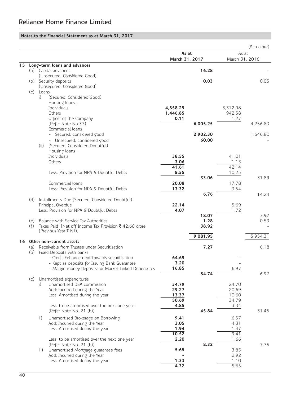|    |     |           |                                                                  |                |          |                | (₹ in crore) |
|----|-----|-----------|------------------------------------------------------------------|----------------|----------|----------------|--------------|
|    |     |           |                                                                  | As at          |          | As at          |              |
|    |     |           |                                                                  | March 31, 2017 |          | March 31, 2016 |              |
| 15 |     |           | Long-term loans and advances<br>(a) Capital advances             |                | 16.28    |                |              |
|    |     |           | (Unsecured, Considered Good)                                     |                |          |                |              |
|    |     |           | (b) Security deposits                                            |                | 0.03     |                | 0.05         |
|    |     |           | (Unsecured, Considered Good)                                     |                |          |                |              |
|    |     | (c) Loans |                                                                  |                |          |                |              |
|    |     | i)        | (Secured, Considered Good)                                       |                |          |                |              |
|    |     |           | Housing loans:                                                   |                |          |                |              |
|    |     |           | Individuals                                                      | 4,558.29       |          | 3,312.98       |              |
|    |     |           | Others                                                           | 1,446.85       |          | 942.58         |              |
|    |     |           | Officer of the Company                                           | 0.11           |          | 1.27           |              |
|    |     |           | (Refer Note No.37)                                               |                | 6,005.25 |                | 4,256.83     |
|    |     |           | Commercial loans                                                 |                |          |                |              |
|    |     |           | - Secured, considered good                                       |                | 2,902.30 |                | 1,646.80     |
|    |     |           | - Unsecured, considered good                                     |                | 60.00    |                |              |
|    |     | (ii)      | (Secured, Considered Doubtful)                                   |                |          |                |              |
|    |     |           | Housing loans:                                                   |                |          |                |              |
|    |     |           | Individuals                                                      | 38.55          |          | 41.01          |              |
|    |     |           | Others                                                           | 3.06           |          | 1.13           |              |
|    |     |           |                                                                  | 41.61          |          | 42.14          |              |
|    |     |           | Less: Provision for NPA & Doubtful Debts                         | 8.55           |          | 10.25          |              |
|    |     |           |                                                                  |                | 33.06    |                | 31.89        |
|    |     |           | Commercial loans                                                 | 20.08          |          | 17.78          |              |
|    |     |           | Less: Provision for NPA & Doubtful Debts                         | 13.32          |          | 3.54           |              |
|    |     |           |                                                                  |                | 6.76     |                | 14.24        |
|    |     |           | (d) Installments Due (Secured, Considered Doubtful)              |                |          |                |              |
|    |     |           | Principal Overdue                                                | 22.14          |          | 5.69           |              |
|    |     |           | Less: Provision for NPA & Doubtful Debts                         | 4.07           | 18.07    | 1.72           | 3.97         |
|    | (e) |           | Balance with Service Tax Authorities                             |                | 1.28     |                | 0.53         |
|    | (f) |           | Taxes Paid [Net off Income Tax Provision ₹ 42.68 crore           |                | 38.92    |                |              |
|    |     |           | (Previous Year ₹ Nil)]                                           |                |          |                |              |
|    |     |           |                                                                  |                | 9,081.95 |                | 5,954.31     |
| 16 |     |           | Other non-current assets                                         |                |          |                |              |
|    | (a) |           | Receivable from Trustee under Securitisation                     |                | 7.27     |                | 6.18         |
|    |     |           | (b) Fixed Deposits with banks                                    |                |          |                |              |
|    |     |           | - Credit Enhancement towards securitisation                      | 64.69          |          |                |              |
|    |     |           | - Kept as deposits for Issuing Bank Guarantee                    | 3.20           |          |                |              |
|    |     |           | - Margin money deposits for Market Linked Debentures             | 16.85          |          | 6.97           |              |
|    |     |           |                                                                  |                | 84.74    |                | 6.97         |
|    |     |           | (c) Unamortised expenditures                                     |                |          |                |              |
|    |     |           | i) Unamortised DSA commission                                    | 34.79          |          | 24.70          |              |
|    |     |           | Add: Incurred during the Year                                    | 29.27<br>13.37 |          | 20.69          |              |
|    |     |           | Less: Amortised during the year                                  | 50.69          |          | 10.60<br>34.79 |              |
|    |     |           | Less: to be amortised over the next one year                     | 4.85           |          | 3.34           |              |
|    |     |           | (Refer Note No. 21 (b))                                          |                | 45.84    |                | 31.45        |
|    |     |           |                                                                  |                |          |                |              |
|    |     | ii)       | Unamortised Brokerage on Borrowing                               | 9.41<br>3.05   |          | 6.57           |              |
|    |     |           | Add: Incurred during the Year<br>Less: Amortised during the year | 1.94           |          | 4.31<br>1.47   |              |
|    |     |           |                                                                  | 10.52          |          | 9.41           |              |
|    |     |           | Less: to be amortised over the next one year                     | 2.20           |          | 1.66           |              |
|    |     |           | (Refer Note No. 21 (b))                                          |                | 8.32     |                | 7.75         |
|    |     | iii)      | Unamortised Mortgage guarantee fees                              | 5.65           |          | 3.83           |              |
|    |     |           | Add: Incurred during the Year                                    |                |          | 2.92           |              |
|    |     |           | Less: Amortised during the year                                  | 1.33           |          | 1.10           |              |
|    |     |           |                                                                  | 4.32           |          | 5.65           |              |
|    |     |           |                                                                  |                |          |                |              |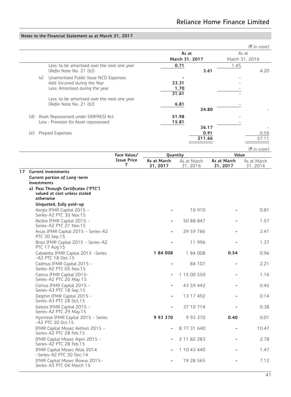|     |     |                                                                                                           |                        |                        |                         |                        | $(\bar{\bar{\mathbf{z}}}$ in crore) |
|-----|-----|-----------------------------------------------------------------------------------------------------------|------------------------|------------------------|-------------------------|------------------------|-------------------------------------|
|     |     |                                                                                                           |                        | As at                  |                         |                        | As at                               |
|     |     |                                                                                                           |                        |                        | March 31, 2017          |                        | March 31, 2016                      |
|     |     | Less: to be amortised over the next one year<br>(Refer Note No. 21 (b))                                   |                        | 0.71                   | 3.61                    | 1.45                   | 4.20                                |
|     | iv) | Unamortised Public Issue NCD Expenses<br>Add: Incurred during the Year<br>Less: Amortised during the year |                        | 33.31<br>1.70<br>31.61 |                         |                        |                                     |
|     |     | Less: to be amortised over the next one year<br>(Refer Note No. 21 (b))                                   |                        | 6.81                   | 24.80                   |                        |                                     |
| (d) |     | Asset Repossessed under SARFAESI Act<br>Less: Provision for Asset repossessed                             |                        | 51.98<br>15.81         |                         |                        |                                     |
| (e) |     | Prepaid Expenses                                                                                          |                        |                        | 36.17<br>0.91<br>211.66 |                        | 0.56<br>57.11                       |
|     |     | Face Value/                                                                                               |                        | Quantity               |                         | Value                  | $(\bar{\bar{\mathbf{z}}}$ in crore) |
|     |     | <b>Issue Price</b><br>₹                                                                                   | As at March<br>31.2017 |                        | As at March<br>31.2016  | As at March<br>31.2017 | As at March<br>31.2016              |

|                                                                      | ≺ | 31, 2017                 | 31, 2016    | 31, 2017 | 31, 2016 |
|----------------------------------------------------------------------|---|--------------------------|-------------|----------|----------|
| 17 Current investments                                               |   |                          |             |          |          |
| Current portion of Long-term                                         |   |                          |             |          |          |
| investments                                                          |   |                          |             |          |          |
| a) Pass Through Certificates ('PTC')<br>valued at cost unless stated |   |                          |             |          |          |
| otherwise                                                            |   |                          |             |          |          |
| Unquoted, fully paid-up                                              |   |                          |             |          |          |
| Aergia IFMR Capital 2015 -<br>Series-A2 PTC 30 Nov.15                |   |                          | 10 910      |          | 0.81     |
| Alcibie IFMR Capital 2015 -<br>Series-A2 PTC 27 Nov.15               |   | $\overline{\phantom{a}}$ | 50 88 847   |          | 1.57     |
| Arcas IFMR Capital 2015 - Series-A2<br>PTC 30 Sep.15                 |   | $\overline{\phantom{a}}$ | 29 59 786   |          | 2.41     |
| Brizo IFMR Capital 2015 - Series-A2<br>PTC 17 Aug.15                 |   |                          | 11 996      |          | 1.37     |
| Cabaletta IFMR Capital 2015 - Series<br>-A2 PTC 18 Dec.15            |   | 184008                   | 1 84 008    | 0.54     | 0.96     |
| Cadmus IFMR Capital 2015 -<br>Series-A2 PTC 05 Nov.15                |   |                          | 84 107      |          | 2.21     |
| Caerus IFMR Capital 2015-<br>Series-A2 PTC 20 May 15                 |   |                          | 1 15 00 550 |          | 1.16     |
| Comus IFMR Capital 2015 -<br>Series-A3 PTC 18 Sep.15                 |   |                          | 43 59 442   |          | 0.45     |
| Delphin IFMR Capital 2015 -<br>Series-A3 PTC 28 Oct.15               |   | $\overline{\phantom{a}}$ | 13 17 492   |          | 0.14     |
| Geloos IFMR Capital 2015 -<br>Series-A2 PTC 29 May.15                |   | $\overline{\phantom{a}}$ | 37 10 714   |          | 0.38     |
| Hysminai IFMR Capital 2015 - Series<br>-A2 PTC 30 Oct.15             |   | 9 93 370                 | 9 93 370    | 0.40     | 0.01     |
| IFMR Capital Mosec Aethon 2015 -<br>Series-A2 PTC 28 Feb.15          |   | $\overline{\phantom{a}}$ | 8 77 31 640 |          | 10.47    |
| IFMR Capital Mosec Agon 2015 -<br>Series-A2 PTC 28 Feb.15            |   | $\overline{\phantom{a}}$ | 2 11 82 283 |          | 2.78     |
| IFMR Capital Mosec Atlas 2014<br>-Series-A2 PTC 30 Dec.14            |   | $\overline{\phantom{a}}$ | 1 10 43 440 |          | 1.47     |
| IFMR Capital Mosec Boreas 2015-<br>Series-A3 PTC 04 March 15         |   |                          | 19 28 565   |          | 7.12     |
|                                                                      |   |                          |             |          |          |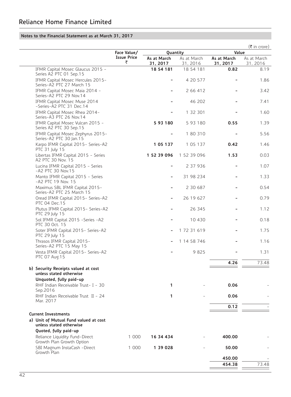|                                                                  |                                   |                          |             |                      | $(\bar{\bar{\tau}})$ in crore) |
|------------------------------------------------------------------|-----------------------------------|--------------------------|-------------|----------------------|--------------------------------|
|                                                                  | Face Value/<br><b>Issue Price</b> | Quantity<br>As at March  | As at March | Value<br>As at March | As at March                    |
|                                                                  | ₹                                 | 31, 2017                 | 31, 2016    | 31, 2017             | 31, 2016                       |
| IFMR Capital Mosec Glaucus 2015 -<br>Series A2 PTC 01 Sep.15     |                                   | 18 54 181                | 18 54 181   | 0.82                 | 8.19                           |
| IFMR Capital Mosec Hercules 2015-<br>Series-A2 PTC 27 March 15   |                                   |                          | 4 20 577    |                      | 1.86                           |
| IFMR Capital Mosec Maia 2014 -<br>Series-A2 PTC 29 Nov.14        |                                   |                          | 2 66 412    |                      | 3.42                           |
| IFMR Capital Mosec Muse 2014<br>-Series-A2 PTC 31 Dec.14         |                                   | $\overline{a}$           | 46 202      |                      | 7.41                           |
| IFMR Capital Mosec Rhea 2014-<br>Series-A3 PTC 26 Nov.14         |                                   | $\overline{\phantom{0}}$ | 1 32 301    |                      | 1.60                           |
| IFMR Capital Mosec Vulcan 2015 -<br>Series A2 PTC 30 Sep.15      |                                   | 5 93 180                 | 5 93 180    | 0.55                 | 1.39                           |
| IFMR Capital Mosec Zephyrus 2015-<br>Series-A2 PTC 30 Jan.15     |                                   |                          | 1 80 310    |                      | 5.56                           |
| Karpo IFMR Capital 2015 - Series-A2<br>PTC 31 July 15            |                                   | 1 05 1 37                | 1 05 1 3 7  | 0.42                 | 1.46                           |
| Libertas IFMR Capital 2015 - Series<br>A2 PTC 30 Nov. 15         |                                   | 1 52 39 096              | 1 52 39 096 | 1.53                 | 0.03                           |
| Lucina IFMR Capital 2015 - Series<br>-A2 PTC 30 Nov.15           |                                   | -                        | 2 37 936    |                      | 1.07                           |
| Manto IFMR Capital 2015 - Series<br>-A2 PTC 19 Nov. 15           |                                   |                          | 31 98 234   |                      | 1.33                           |
| Maximus SBL IFMR Capital 2015-<br>Series-A2 PTC 25 March 15      |                                   |                          | 2 30 687    |                      | 0.54                           |
| Oread IFMR Capital 2015- Series-A2<br>PTC 04 Dec.15              |                                   | $\overline{\phantom{0}}$ | 26 19 627   |                      | 0.79                           |
| Plutus IFMR Capital 2015- Series-A2<br>PTC 29 July 15            |                                   |                          | 26 345      |                      | 1.12                           |
| Sol IFMR Capital 2015 - Series - A2<br>PTC 30 Oct. 15            |                                   |                          | 10 430      |                      | 0.18                           |
| Soter IFMR Capital 2015 - Series-A2<br>PTC 29 July 15            |                                   | $\overline{\phantom{0}}$ | 1 72 31 619 |                      | 1.75                           |
| Thrasos IFMR Capital 2015-<br>Series-A2 PTC 15 May 15            |                                   |                          | 1 14 58 746 |                      | 1.16                           |
| Vesta IFMR Capital 2015- Series-A2<br>PTC 07 Aug.15              |                                   |                          | 9825        |                      | 1.31                           |
| b) Security Receipts valued at cost                              |                                   |                          |             | 4.26                 | 73.48                          |
| unless stated otherwise                                          |                                   |                          |             |                      |                                |
| Unquoted, fully paid-up                                          |                                   |                          |             |                      |                                |
| RHF Indian Receivable Trust– I – 30<br>Sep.2016                  |                                   | 1                        |             | 0.06                 |                                |
| RHF Indian Receivable Trust II - 24<br>Mar. 2017                 |                                   | 1                        |             | 0.06                 |                                |
|                                                                  |                                   |                          |             | 0.12                 |                                |
| <b>Current Investments</b>                                       |                                   |                          |             |                      |                                |
| a) Unit of Mutual Fund valued at cost<br>unless stated otherwise |                                   |                          |             |                      |                                |
| Quoted, fully paid-up                                            |                                   |                          |             |                      |                                |
| Reliance Liquidity Fund-Direct<br>Growth Plan Growth Option      | 1 000                             | 16 34 434                |             | 400.00               |                                |
| SBI Magnum InstaCash - Direct<br>Growth Plan                     | 1 000                             | 1 39 0 28                |             | 50.00                |                                |
|                                                                  |                                   |                          |             | 450.00               |                                |
|                                                                  |                                   |                          |             | 454.38               | 73.48                          |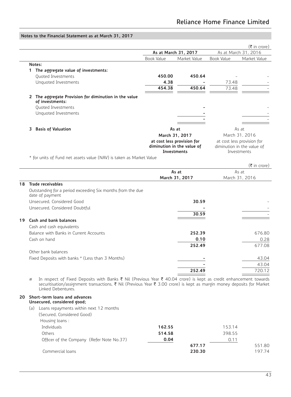|    |                                                                                                                                                                                                                                                                        |            |                                                  |                      | $(\bar{\bar{\mathbf{z}}}$ in crore) |
|----|------------------------------------------------------------------------------------------------------------------------------------------------------------------------------------------------------------------------------------------------------------------------|------------|--------------------------------------------------|----------------------|-------------------------------------|
|    |                                                                                                                                                                                                                                                                        |            | As at March 31, 2017                             | As at March 31, 2016 |                                     |
|    |                                                                                                                                                                                                                                                                        | Book Value | Market Value                                     | Book Value           | Market Value                        |
|    | Notes:                                                                                                                                                                                                                                                                 |            |                                                  |                      |                                     |
|    | 1 The aggregate value of investments:                                                                                                                                                                                                                                  |            |                                                  |                      |                                     |
|    | Quoted Investments                                                                                                                                                                                                                                                     | 450.00     | 450.64                                           |                      |                                     |
|    | Unquoted Investments                                                                                                                                                                                                                                                   | 4.38       |                                                  | 73.48                |                                     |
|    |                                                                                                                                                                                                                                                                        | 454.38     | 450.64                                           | 73.48                |                                     |
|    | 2 The aggregate Provision for diminution in the value<br>of investments:                                                                                                                                                                                               |            |                                                  |                      |                                     |
|    | Ouoted Investments                                                                                                                                                                                                                                                     |            |                                                  |                      |                                     |
|    | Unquoted Investments                                                                                                                                                                                                                                                   |            |                                                  |                      |                                     |
|    |                                                                                                                                                                                                                                                                        |            |                                                  |                      |                                     |
|    | <b>Basis of Valuation</b><br>3                                                                                                                                                                                                                                         |            | As at                                            | As at                |                                     |
|    |                                                                                                                                                                                                                                                                        |            | March 31, 2017                                   | March 31, 2016       |                                     |
|    |                                                                                                                                                                                                                                                                        |            | at cost less provision for                       |                      | at cost less provision for          |
|    |                                                                                                                                                                                                                                                                        |            | diminution in the value of<br><b>Investments</b> | Investments          | diminution in the value of          |
|    | * for units of Fund net assets value (NAV) is taken as Market Value                                                                                                                                                                                                    |            |                                                  |                      |                                     |
|    |                                                                                                                                                                                                                                                                        |            |                                                  |                      | $(\bar{\bar{\mathbf{z}}}$ in crore) |
|    |                                                                                                                                                                                                                                                                        |            | As at                                            |                      | As at                               |
|    |                                                                                                                                                                                                                                                                        |            | March 31, 2017                                   |                      | March 31, 2016                      |
| 18 | <b>Trade receivables</b>                                                                                                                                                                                                                                               |            |                                                  |                      |                                     |
|    | Outstanding for a period exceeding Six months from the due<br>date of payment                                                                                                                                                                                          |            |                                                  |                      |                                     |
|    | Unsecured, Considered Good                                                                                                                                                                                                                                             |            | 30.59                                            |                      |                                     |
|    | Unsecured, Considered Doubtful                                                                                                                                                                                                                                         |            |                                                  |                      |                                     |
|    |                                                                                                                                                                                                                                                                        |            | 30.59                                            |                      |                                     |
| 19 | Cash and bank balances                                                                                                                                                                                                                                                 |            |                                                  |                      |                                     |
|    | Cash and cash equivalents                                                                                                                                                                                                                                              |            |                                                  |                      |                                     |
|    | Balance with Banks in Current Accounts                                                                                                                                                                                                                                 |            | 252.39                                           |                      | 676.80                              |
|    | Cash on hand                                                                                                                                                                                                                                                           |            | 0.10                                             |                      | 0.28                                |
|    |                                                                                                                                                                                                                                                                        |            | 252.49                                           |                      | 677.08                              |
|    | Other bank balances                                                                                                                                                                                                                                                    |            |                                                  |                      |                                     |
|    | Fixed Deposits with banks # (Less than 3 Months)                                                                                                                                                                                                                       |            |                                                  |                      | 43.04                               |
|    |                                                                                                                                                                                                                                                                        |            |                                                  |                      | 43.04                               |
|    |                                                                                                                                                                                                                                                                        |            | 252.49                                           |                      | 720.12                              |
|    | In respect of Fixed Deposits with Banks ₹ Nil (Previous Year ₹ 40.04 crore) is kept as credit enhancement towards<br>#<br>securitisation/assignment transactions, ₹ Nil (Previous Year ₹ 3.00 crore) is kept as margin money deposits for Market<br>Linked Debentures. |            |                                                  |                      |                                     |
| 20 | Short-term loans and advances<br>Unsecured, considered good;                                                                                                                                                                                                           |            |                                                  |                      |                                     |
|    | (a) Loans repayments within next 12 months                                                                                                                                                                                                                             |            |                                                  |                      |                                     |
|    | (Secured, Considered Good)                                                                                                                                                                                                                                             |            |                                                  |                      |                                     |
|    | Housing loans:                                                                                                                                                                                                                                                         |            |                                                  |                      |                                     |
|    | Individuals                                                                                                                                                                                                                                                            | 162.55     |                                                  | 153.14               |                                     |

| Others                                    | 514.58 | 398.55 |
|-------------------------------------------|--------|--------|
| Officer of the Company (Refer Note No.37) | 0.04   | 0.11   |
|                                           | 677.17 | 551.80 |
| Commercial loans                          | 230.30 | 197.74 |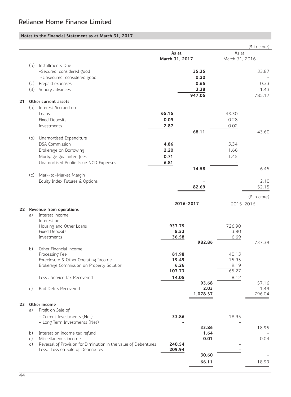|    |     |                                                                 |                |          |                | $(\bar{\bar{\mathbf{z}}}$ in crore) |
|----|-----|-----------------------------------------------------------------|----------------|----------|----------------|-------------------------------------|
|    |     |                                                                 | As at          |          | As at          |                                     |
|    |     |                                                                 | March 31, 2017 |          | March 31, 2016 |                                     |
|    |     | (b) Installments Due                                            |                |          |                |                                     |
|    |     | -Secured, considered good                                       |                | 35.35    |                | 33.87                               |
|    |     | -Unsecured, considered good                                     |                | 0.20     |                |                                     |
|    |     | (c) Prepaid expenses                                            |                | 0.65     |                | 0.33                                |
|    | (d) | Sundry advances                                                 |                | 3.38     |                | 1.43                                |
| 21 |     | Other current assets                                            |                | 947.05   |                | 785.17                              |
|    |     | (a) Interest Accrued on                                         |                |          |                |                                     |
|    |     | Loans                                                           | 65.15          |          | 43.30          |                                     |
|    |     | <b>Fixed Deposits</b>                                           | 0.09           |          | 0.28           |                                     |
|    |     | Investments                                                     | 2.87           |          | 0.02           |                                     |
|    |     |                                                                 |                | 68.11    |                | 43.60                               |
|    | (b) | Unamortised Expenditure                                         |                |          |                |                                     |
|    |     | <b>DSA Commission</b>                                           | 4.86           |          | 3.34           |                                     |
|    |     |                                                                 | 2.20           |          |                |                                     |
|    |     | Brokerage on Borrowing                                          |                |          | 1.66           |                                     |
|    |     | Mortgage guarantee fees                                         | 0.71           |          | 1.45           |                                     |
|    |     | Unamortised Public Issue NCD Expenses                           | 6.81           |          |                |                                     |
|    |     |                                                                 |                | 14.58    |                | 6.45                                |
|    | (c) | Mark-to-Market Margin                                           |                |          |                |                                     |
|    |     | Equity Index Futures & Options                                  |                |          |                | 2.10                                |
|    |     |                                                                 |                | 82.69    |                | 52.15                               |
|    |     |                                                                 |                |          |                | $(\bar{\bar{\mathbf{z}}}$ in crore) |
|    |     |                                                                 | 2016-2017      |          | 2015-2016      |                                     |
| 22 |     | Revenue from operations                                         |                |          |                |                                     |
|    | a)  | Interest income                                                 |                |          |                |                                     |
|    |     | Interest on:                                                    |                |          |                |                                     |
|    |     | Housing and Other Loans                                         | 937.75         |          | 726.90         |                                     |
|    |     | <b>Fixed Deposits</b>                                           | 8.53           |          | 3.80           |                                     |
|    |     | Investments                                                     | 36.58          | 982.86   | 6.69           | 737.39                              |
|    | b)  | Other Financial income                                          |                |          |                |                                     |
|    |     | Processing Fee                                                  | 81.98          |          | 40.13          |                                     |
|    |     | Foreclosure & Other Operating Income                            | 19.49          |          | 15.95          |                                     |
|    |     | Brokerage Commission on Property Solution                       | 6.26           |          | 9.19           |                                     |
|    |     |                                                                 | 107.73         |          | 65.27          |                                     |
|    |     | Less : Service Tax Recovered                                    | 14.05          |          | 8.12           |                                     |
|    |     |                                                                 |                | 93.68    |                | 57.16                               |
|    | c)  | <b>Bad Debts Recovered</b>                                      |                | 2.03     |                | 1.49                                |
|    |     |                                                                 |                | 1,078.57 |                | 796.04                              |
|    |     |                                                                 |                |          |                |                                     |
| 23 | a)  | Other income<br>Profit on Sale of                               |                |          |                |                                     |
|    |     |                                                                 |                |          |                |                                     |
|    |     | - Current Investments (Net)                                     | 33.86          |          | 18.95          |                                     |
|    |     | - Long Term Investments (Net)                                   |                | 33.86    |                | 18.95                               |
|    | b)  | Interest on income tax refund                                   |                | 1.64     |                |                                     |
|    | c)  | Miscellaneous income                                            |                | 0.01     |                | 0.04                                |
|    | d)  | Reversal of Provision for Diminution in the value of Debentures | 240.54         |          |                |                                     |
|    |     | Less: Loss on Sale of Debentures                                | 209.94         |          |                |                                     |
|    |     |                                                                 |                | 30.60    |                |                                     |
|    |     |                                                                 |                | 66.11    |                | 18.99                               |
|    |     |                                                                 |                |          |                |                                     |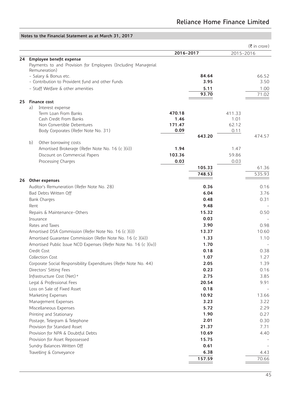|    |                     |                                                                  |           |               |           | $(\bar{\bar{\mathbf{z}}}$ in crore) |
|----|---------------------|------------------------------------------------------------------|-----------|---------------|-----------|-------------------------------------|
|    |                     |                                                                  | 2016-2017 |               | 2015-2016 |                                     |
| 24 |                     | Employee benefit expense                                         |           |               |           |                                     |
|    |                     | Payments to and Provision for Employees (Including Managerial    |           |               |           |                                     |
|    | Remuneration)       | - Salary & Bonus etc.                                            |           | 84.64         |           | 66.52                               |
|    |                     | - Contribution to Provident fund and other Funds                 |           | 3.95          |           | 3.50                                |
|    |                     | - Staff Welfare & other amenities                                |           | 5.11          |           | 1.00                                |
|    |                     |                                                                  |           | 93.70         |           | 71.02                               |
| 25 | <b>Finance cost</b> |                                                                  |           |               |           |                                     |
|    | a)                  | Interest expense                                                 |           |               |           |                                     |
|    |                     | Term Loan From Banks                                             | 470.18    |               | 411.33    |                                     |
|    |                     | Cash Credit From Banks                                           | 1.46      |               | 1.01      |                                     |
|    |                     | Non Convertible Debentures                                       | 171.47    |               | 62.12     |                                     |
|    |                     | Body Corporates (Refer Note No. 31)                              | 0.09      |               | 0.11      |                                     |
|    |                     |                                                                  |           | 643.20        |           | 474.57                              |
|    | b)                  | Other borrowing costs                                            |           |               |           |                                     |
|    |                     | Amortised Brokerage (Refer Note No. 16 (c )(ii))                 | 1.94      |               | 1.47      |                                     |
|    |                     | Discount on Commercial Papers                                    | 103.36    |               | 59.86     |                                     |
|    |                     | Processing Charges                                               | 0.03      |               | 0.03      |                                     |
|    |                     |                                                                  |           | 105.33        |           | 61.36                               |
|    |                     |                                                                  |           | 748.53        |           | 535.93                              |
| 26 | Other expenses      |                                                                  |           |               |           |                                     |
|    |                     | Auditor's Remuneration (Refer Note No. 28)                       |           | 0.36          |           | 0.16                                |
|    |                     | Bad Debts Written Off                                            |           | 6.04          |           | 3.76                                |
|    | <b>Bank Charges</b> |                                                                  |           | 0.48          |           | 0.31                                |
|    | Rent                |                                                                  |           | 9.48          |           |                                     |
|    |                     | Repairs & Maintenance-Others                                     |           | 15.32         |           | 0.50                                |
|    | Insurance           |                                                                  |           | 0.03          |           |                                     |
|    | Rates and Taxes     |                                                                  |           | 3.90          |           | 0.98                                |
|    |                     | Amortised DSA Commission (Refer Note No. 16 (c )(i))             |           | 13.37         |           | 10.60                               |
|    |                     | Amortised Guarantee Commission (Refer Note No. 16 (c )(iii))     |           | 1.33          |           | 1.10                                |
|    |                     | Amortised Public Issue NCD Expenses (Refer Note No. 16 (c )(iv)) |           | 1.70          |           |                                     |
|    | Credit Cost         |                                                                  |           | 0.18          |           | 0.38                                |
|    | Collection Cost     |                                                                  |           | 1.07          |           | 1.27                                |
|    |                     | Corporate Social Responsibility Expenditures (Refer Note No. 44) |           | 2.05          |           | 1.39                                |
|    |                     | Directors' Sitting Fees                                          |           | 0.23          |           | 0.16                                |
|    |                     | Infrastructure Cost (Net) <sup>#</sup>                           |           | 2.75          |           | 3.85                                |
|    |                     | Legal & Professional Fees                                        |           | 20.54         |           | 9.91                                |
|    |                     | Loss on Sale of Fixed Asset                                      |           | 0.18<br>10.92 |           | 13.66                               |
|    |                     | Marketing Expenses                                               |           | 3.23          |           | 3.22                                |
|    |                     | Management Expenses<br>Miscellaneous Expenses                    |           | 5.72          |           | 2.29                                |
|    |                     | Printing and Stationary                                          |           | 1.90          |           | 0.27                                |
|    |                     | Postage, Telegram & Telephone                                    |           | 2.01          |           | 0.30                                |
|    |                     | Provision for Standard Asset                                     |           | 21.37         |           | 7.71                                |
|    |                     | Provision for NPA & Doubtful Debts                               |           | 10.69         |           | 4.40                                |
|    |                     | Provision for Asset Repossessed                                  |           | 15.75         |           |                                     |
|    |                     | Sundry Balances Written Off                                      |           | 0.61          |           |                                     |
|    |                     | Travelling & Conveyance                                          |           | 6.38          |           | 4.43                                |
|    |                     |                                                                  |           | 157.59        |           | 70.66                               |
|    |                     |                                                                  |           |               |           |                                     |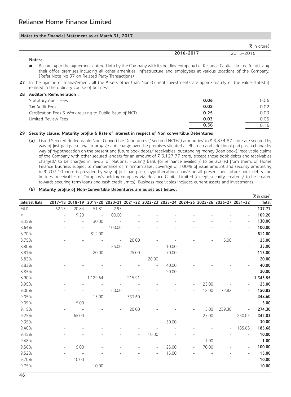|           | (₹<br>crore) |
|-----------|--------------|
| 2016-2017 | 2015-2016    |
|           |              |

**#** According to the agreement entered into by the Company with its holding company i.e. Reliance Capital Limited for utilizing their office premises including all other amenities, infrastructure and employees at various locations of the Company. (Refer Note No.37 on Related Party Transactions)

**27** In the opinion of management, all the Assets other than Non-Current Investments are approximately of the value stated if realised in the ordinary course of business.

## **28 Auditor's Remuneration :**

**Notes:**

| Statutory Audit Fees                                      | 0.06 | 0.06 |
|-----------------------------------------------------------|------|------|
| Tax Audit Fees                                            | 0.02 | 0.02 |
| Certification Fees & Work relating to Public Issue of NCD | 0.25 | 0.03 |
| Limited Review Fees                                       | 0.03 | 0.05 |
|                                                           | 0.36 | 0.16 |

## **29 Security clause, Maturity profile & Rate of interest in respect of Non convertible Debentures**

(a) Listed Secured Redeemable Non-Convertible Debentures ("Secured NCDs") amounting to ₹ 3,834.87 crore are secured by way of first pari passu legal mortgage and charge over the premises situated at Bharuch and additional pari passu charge by way of hypothecation on the present and future book debts/ receivables, outstanding money (loan book), receivable claims of the Company with other secured lenders for an amount of  $\bar{\tau}$  3,127.77 crore, except those book debts and receivables charged/ to be charged in favour of National Housing Bank for refinance availed / to be availed from them, of Home Finance Business subject to maintenance of minimum asset coverage of 100% of issue amount and security amounting to ₹ 707.10 crore is provided by way of first pari passu hypothecation charge on all present and future book debts and business receivables of Company's holding company viz. Reliance Capital Limited (except security created / to be created towards securing term loans and cash credit limits). Business receivables includes current assets and investments.

#### **(b) Maturity profile of Non-Convertible Debentures are as set out below:**

|                      |                          |                                                                                         |                          |                          |                          |                          |                          |                          |       |                          |                          | $(\bar{\tau}$ in crore) |
|----------------------|--------------------------|-----------------------------------------------------------------------------------------|--------------------------|--------------------------|--------------------------|--------------------------|--------------------------|--------------------------|-------|--------------------------|--------------------------|-------------------------|
| <b>Interest Rate</b> |                          | 2017-18 2018-19 2019-20 2020-21 2021-22 2022-23 2023-24 2024-25 2025-26 2026-27 2031-32 |                          |                          |                          |                          |                          |                          |       |                          |                          | Total                   |
| <b>MLD</b>           | 62.13                    | 20.84                                                                                   | 51.81                    | 2.93                     |                          |                          |                          |                          |       |                          | ÷                        | 137.71                  |
| $\#$                 | ÷,                       | 9.20                                                                                    | $\qquad \qquad -$        | 100.00                   |                          |                          |                          |                          |       |                          | $\overline{\phantom{a}}$ | 109.20                  |
| 8.35%                |                          | ÷                                                                                       | 130.00                   |                          |                          |                          |                          |                          |       |                          | $\overline{\phantom{a}}$ | 130.00                  |
| 8.64%                |                          |                                                                                         | $\blacksquare$           | 100.00                   |                          |                          |                          |                          |       |                          | $\overline{\phantom{a}}$ | 100.00                  |
| 8.70%                |                          | $\overline{\phantom{m}}$                                                                | 812.00                   |                          |                          |                          |                          |                          |       |                          | ÷                        | 812.00                  |
| 8.75%                |                          |                                                                                         | $\overline{\phantom{a}}$ |                          | 20.00                    |                          |                          |                          |       | 5.00                     |                          | 25.00                   |
| 8.80%                |                          |                                                                                         | $\overline{\phantom{a}}$ | 25.00                    | $\overline{\phantom{a}}$ | $\overline{\phantom{0}}$ | 10.00                    |                          |       |                          | ÷                        | 35.00                   |
| 8.81%                |                          | -                                                                                       | 20.00                    | $\overline{\phantom{0}}$ | 25.00                    | ÷,                       | 70.00                    |                          |       | $\overline{\phantom{a}}$ | $\overline{\phantom{a}}$ | 115.00                  |
| 8.82%                |                          |                                                                                         | Ē,                       |                          | ÷,                       | 20.00                    | $\overline{\phantom{a}}$ |                          |       |                          | $\overline{\phantom{m}}$ | 20.00                   |
| 8.83%                |                          |                                                                                         |                          |                          |                          | $\overline{\phantom{0}}$ | 40.00                    |                          |       |                          | $\overline{\phantom{m}}$ | 40.00                   |
| 8.85%                |                          |                                                                                         |                          |                          |                          | $\bar{ }$                | 20.00                    |                          |       | ۰                        | $\overline{\phantom{0}}$ | 20.00                   |
| 8.90%                |                          | $\overline{\phantom{0}}$                                                                | 1,129.64                 | $\overline{\phantom{0}}$ | 215.91                   |                          |                          |                          |       |                          | $\overline{\phantom{m}}$ | 1,345.55                |
| 8.95%                |                          |                                                                                         |                          |                          |                          |                          |                          | ٠                        | 25.00 |                          | $\overline{\phantom{m}}$ | 25.00                   |
| 9.00%                |                          |                                                                                         | $\overline{\phantom{m}}$ | 60.00                    |                          |                          |                          | $\bar{ }$                | 18.00 | 72.82                    | $\overline{\phantom{a}}$ | 150.82                  |
| 9.05%                |                          |                                                                                         | 15.00                    | $\overline{\phantom{0}}$ | 333.60                   |                          |                          |                          |       |                          | $\overline{\phantom{0}}$ | 348.60                  |
| 9.09%                |                          | 5.00                                                                                    | $\overline{a}$           |                          |                          |                          |                          |                          |       |                          |                          | 5.00                    |
| 9.15%                |                          |                                                                                         | ۰                        | $\overline{\phantom{0}}$ | 20.00                    |                          |                          | $\overline{\phantom{a}}$ | 15.00 | 239.30                   | $\overline{\phantom{0}}$ | 274.30                  |
| 9.25%                |                          | 65.00                                                                                   |                          |                          |                          |                          |                          |                          | 27.00 | $\overline{\phantom{a}}$ | 250.03                   | 342.03                  |
| 9.35%                |                          |                                                                                         |                          |                          |                          | $\bar{\phantom{a}}$      | 30.00                    |                          |       |                          |                          | 30.00                   |
| 9.40%                |                          |                                                                                         |                          |                          |                          |                          |                          |                          |       | $\overline{\phantom{a}}$ | 185.68                   | 185.68                  |
| 9.45%                |                          |                                                                                         |                          |                          |                          | 10.00                    |                          |                          |       |                          | $\overline{\phantom{a}}$ | 10.00                   |
| 9.48%                |                          |                                                                                         |                          |                          |                          |                          |                          | ۰                        | 1.00  |                          | $\overline{\phantom{m}}$ | 1.00                    |
| 9.50%                | $\overline{\phantom{a}}$ | 5.00                                                                                    | ۰                        |                          |                          | $\overline{\phantom{a}}$ | 25.00                    | $\overline{\phantom{a}}$ | 70.00 |                          | $\overline{\phantom{a}}$ | 100.00                  |
| 9.52%                |                          |                                                                                         |                          |                          |                          | ÷,                       | 15.00                    |                          |       |                          | $\overline{\phantom{0}}$ | 15.00                   |
| 9.70%                |                          | 10.00                                                                                   |                          |                          |                          |                          |                          |                          |       |                          | $\overline{\phantom{a}}$ | 10.00                   |
| 9.75%                |                          |                                                                                         | 10.00                    |                          |                          |                          |                          |                          |       |                          | $\overline{\phantom{0}}$ | 10.00                   |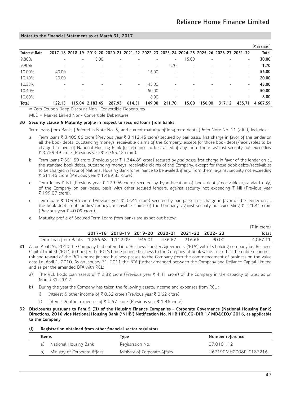|                      |                          |                          |                                                                                         |        |        |        |                          |                          |        |                          |                          | $(5$ in crore) |
|----------------------|--------------------------|--------------------------|-----------------------------------------------------------------------------------------|--------|--------|--------|--------------------------|--------------------------|--------|--------------------------|--------------------------|----------------|
| <b>Interest Rate</b> |                          |                          | 2017-18 2018-19 2019-20 2020-21 2021-22 2022-23 2023-24 2024-25 2025-26 2026-27 2031-32 |        |        |        |                          |                          |        |                          |                          | Total          |
| 9.80%                | $\overline{\phantom{a}}$ | $\overline{\phantom{a}}$ | 15.00                                                                                   |        |        |        | $\overline{\phantom{a}}$ | 15.00                    |        | $\overline{\phantom{a}}$ | ٠.                       | 30.00          |
| 9.90%                | $\overline{\phantom{a}}$ |                          | $\overline{\phantom{a}}$                                                                |        | ۰      | Ξ.     | 1.70                     | $\overline{\phantom{a}}$ |        | $\overline{\phantom{a}}$ | $\overline{\phantom{a}}$ | 1.70           |
| 10.00%               | 40.00                    | $\sim$                   | ۰                                                                                       | -      | $\sim$ | 16.00  | $\overline{\phantom{a}}$ |                          |        | $\overline{\phantom{a}}$ | -                        | 56.00          |
| 10.10%               | 20,00                    | $\overline{\phantom{a}}$ | -                                                                                       |        |        |        |                          |                          |        | $\overline{\phantom{a}}$ | $\overline{\phantom{a}}$ | 20.00          |
| 10.33%               | $\overline{\phantom{a}}$ |                          |                                                                                         |        | $\sim$ | 45.00  | $\overline{\phantom{a}}$ |                          |        | $\overline{\phantom{a}}$ | -                        | 45.00          |
| 10.40%               | $\overline{\phantom{a}}$ |                          |                                                                                         | -      | $\sim$ | 50.00  | $\overline{\phantom{a}}$ |                          |        | $\overline{\phantom{a}}$ | ۰.                       | 50.00          |
| 10.60%               | $\overline{\phantom{a}}$ |                          |                                                                                         |        | $\sim$ | 8.00   | -                        |                          |        |                          | $\overline{\phantom{a}}$ | 8.00           |
| <b>Total</b>         | 122.13                   |                          | 115.04 2.183.45                                                                         | 287.93 | 614.51 | 149.00 | 211.70                   | 15.00                    | 156.00 | 317.12                   | 435.71                   | 4.607.59       |

# Zero Coupon Deep Discount Non- Convertible Debentures

MLD = Market Linked Non- Convertible Debentures

## **30 Security clause & Maturity profile in respect to secured loans from banks**

Term loans from Banks [Refered in Note No. 5] and current maturity of long term debts [Refer Note No. 11 (a)(ii)] includes :

- Term loans  $\bar{\tau}$  3,405.66 crore (Previous year  $\bar{\tau}$  3,412.45 crore) secured by pari passu first charge in favor of the lender on all the book debts, outstanding moneys, receivable claims of the Company, except for those book debts/receivables to be charged in favor of National Housing Bank for refinance to be availed, if any, from them, against security not exceeding ₹ 3,759.49 crore (Previous year ₹ 3,765.42 crore).
- b Term loans ₹ 551.59 crore (Previous year ₹ 1,344.89 crore) secured by *pari passu* first charge in favor of the lender on all the standard book debts, outstanding moneys, receivable claims of the Company, except for those book debts/receivables to be charged in favor of National Housing Bank for refinance to be availed, if any, from them, against security not exceeding ₹ 611.46 crore (Previous year ₹ 1,489.83 crore).
- c Term loans ₹ Nil (Previous year ₹ 179.96 crore) secured by hypothecation of book-debts/receivables (standard only) of the Company on pari-passu basis with other secured lenders, against security not exceeding ₹ Nil (Previous year ₹ 199.07 crore).
- d Term loans  $\bar{\tau}$  109.86 crore (Previous year  $\bar{\tau}$  33.41 crore) secured by pari passu first charge in favor of the lender on all the book debts, outstanding moneys, receivable claims of the Company, against security not exceeding  $\bar{\tau}$  121.41 crore (Previous year  $\bar{\bar{\xi}}$  40.09 crore).
- e Maturity profile of Secured Term Loans from banks are as set out below;

|                                                             |  |  |                                                 | $(\bar{\bar{\tau}}$ in crore) |
|-------------------------------------------------------------|--|--|-------------------------------------------------|-------------------------------|
|                                                             |  |  | 2017-18 2018-19 2019-20 2020-21 2021-22 2022-23 | Total                         |
| Term Loan from Banks 1,266.68 1,112.09 945.01 436.67 216.66 |  |  | - 90.00                                         | 4.067.11                      |

- **31** As on April 26, 2010 the Company had entered into Business Transfer Agreements ('BTA') with its holding company i.e. Reliance Capital Limited ('RCL') to transfer the RCL's home finance business to the Company at book value, such that the entire economic risk and reward of the RCL's home finance business passes to the Company from the commencement of business on the value date i.e. April 1, 2010. As on January 31, 2011 the BTA further amended between the Company and Reliance Capital Limited and as per the amended BTA with RCL:
	- a) The RCL holds loan assets of ₹ 2.82 crore (Previous year ₹ 4.41 crore) of the Company in the capacity of trust as on March 31, 2017.
	- b) During the year the Company has taken the following assets, income and expenses from RCL :
		- i) Interest & other income of  $\bar{\bar{\tau}}$  0.52 crore (Previous year  $\bar{\bar{\tau}}$  0.62 crore)
		- ii) Interest & other expenses of  $\bar{\bar{\xi}}$  0.57 crore (Previous year  $\bar{\bar{\xi}}$  1.46 crore)
- **32 Disclosures pursuant to Para 5 (II) of the Housing Finance Companies Corporate Governance (National Housing Bank) Directions, 2016 vide National Housing Bank ('NHB') Notification No. NHB.HFC.CG-DIR.1/ MD&CEO/ 2016, as applicable to the Company**

#### **(i) Registration obtained from other financial sector regulators**

| Items |                                  | Type                          | Number reference      |  |  |
|-------|----------------------------------|-------------------------------|-----------------------|--|--|
|       | a) National Housing Bank         | Registration No.              | 07.0101.12            |  |  |
|       | b) Ministry of Corporate Affairs | Ministry of Corporate Affairs | U67190MH2008PLC183216 |  |  |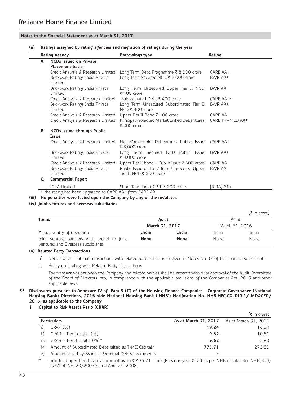**(ii) Ratings assigned by rating agencies and migration of ratings during the year**

|    | Rating agency                                            | Borrowings type                                                      | Rating          |
|----|----------------------------------------------------------|----------------------------------------------------------------------|-----------------|
| Α. | <b>NCDs issued on Private</b><br><b>Placement basis:</b> |                                                                      |                 |
|    | Credit Analysis & Research Limited                       | Long Term Debt Programme ₹ 8,000 crore                               | CARE AA+        |
|    | Brickwork Ratings India Private<br>Limited               | Long Term Secured NCD ₹ 2,000 crore                                  | BWR AA+         |
|    | Brickwork Ratings India Private<br>Limited               | Long Term Unsecured Upper Tier II NCD<br>₹ 100 crore                 | <b>BWR AA</b>   |
|    | Credit Analysis & Research Limited                       | Subordinated Debt ₹ 400 crore                                        | $CAREAA+*$      |
|    | Brickwork Ratings India Private<br>Limited               | Long Term Unsecured Subordinated Tier II<br>$NCD$ ₹ 400 crore        | BWR AA+         |
|    | Credit Analysis & Research Limited                       | Upper Tier II Bond ₹ 100 crore                                       | CARE AA         |
|    | Credit Analysis & Research Limited                       | Principal Projected Market Linked Debentures<br>₹ 300 crore          | CARE PP-MLD AA+ |
| В. | NCDs issued through Public<br>Issue:                     |                                                                      |                 |
|    | Credit Analysis & Research Limited                       | Non-Convertible Debentures Public Issue<br>₹ 3,000 crore             | CARE AA+        |
|    | Brickwork Ratings India Private<br>Limited               | Long Term Secured NCD Public Issue<br>₹ 3,000 crore                  | BWR AA+         |
|    | Credit Analysis & Research Limited                       | Upper Tier II bond - Public Issue ₹ 500 crore                        | CARE AA         |
|    | Brickwork Ratings India Private<br>Limited               | Public Issue of Long Term Unsecured Upper<br>Tier II NCD ₹ 500 crore | <b>BWR AA</b>   |
| C. | <b>Commercial Paper:</b>                                 |                                                                      |                 |
|    | <b>ICRA Limited</b>                                      | Short Term Debt CP ₹ 3,000 crore                                     | $[ICRA]$ A1 +   |

\* the rating has been upgraded to CARE AA+ from CARE AA.

**(iii) No penalties were levied upon the Company by any of the regulator.**

#### **(iv) Joint ventures and overseas subsidiaries**

|                                                                                   |             |                |       | $(\bar{\bar{\tau}}$ in crore) |
|-----------------------------------------------------------------------------------|-------------|----------------|-------|-------------------------------|
| Items                                                                             |             | As at          | As at |                               |
|                                                                                   |             | March 31, 2017 |       | March 31, 2016                |
| Area, country of operation                                                        | India       | India          | India | India                         |
| Joint venture partners with regard to Joint<br>ventures and Overseas subsidiaries | <b>None</b> | None           | None  | None                          |

#### **(v) Related Party Transactions**

- a) Details of all material transactions with related parties has been given in Notes No 37 of the financial statements.
- b) Policy on dealing with Related Party Transactions

 The transactions between the Company and related parties shall be entered with prior approval of the Audit Committee of the Board of Directors into, in compliance with the applicable provisions of the Companies Act, 2013 and other applicable laws.

#### **33 Disclosures pursuant to Annexure IV of Para 5 (II) of the Housing Finance Companies – Corporate Governance (National Housing Bank) Directions, 2016 vide National Housing Bank ('NHB') Notification No. NHB.HFC.CG-DIR.1/ MD&CEO/ 2016, as applicable to the Company**

#### **1 Capital to Risk Assets Ratio (CRAR)**

|        |                                                        |        | $(\bar{\bar{\mathbf{z}}}$ in crore)              |
|--------|--------------------------------------------------------|--------|--------------------------------------------------|
|        | <b>Particulars</b>                                     |        | <b>As at March 31, 2017</b> As at March 31, 2016 |
|        | CRAR(%)                                                | 19.24  | 16.34                                            |
| ii)    | $CRAR$ - Tier I capital $(\%)$                         | 9.62   | 10.51                                            |
| iii)   | CRAR - Tier II capital $(\%)^*$                        | 9.62   | 5.83                                             |
| iv)    | Amount of Subordinated Debt raised as Tier II Capital* | 773.71 | 273.00                                           |
| $\vee$ | Amount raised by issue of Perpetual Debts Instruments  |        |                                                  |

Includes Upper Tier II Capital amounting to ₹ 435.71 crore (Previous year ₹ Nil) as per NHB circular No. NHB(ND)/ DRS/Pol-No-23/2008 dated April 24, 2008.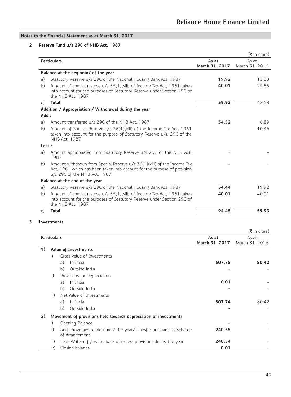**2 Reserve Fund u/s 29C of NHB Act, 1987**

|                 |                                                                                                                                                                                     |                | $(\bar{\bar{\mathbf{z}}}$ in crore) |
|-----------------|-------------------------------------------------------------------------------------------------------------------------------------------------------------------------------------|----------------|-------------------------------------|
|                 | <b>Particulars</b>                                                                                                                                                                  | As at          | As at                               |
|                 |                                                                                                                                                                                     | March 31, 2017 | March 31, 2016                      |
|                 | Balance at the beginning of the year                                                                                                                                                |                |                                     |
| a)              | Statutory Reserve u/s 29C of the National Housing Bank Act, 1987                                                                                                                    | 19.92          | 13.03                               |
| b)              | Amount of special reserve u/s 36(1)(viii) of Income Tax Act, 1961 taken<br>into account for the purposes of Statutory Reserve under Section 29C of<br>the NHB Act, 1987             | 40.01          | 29.55                               |
| $\mathcal{C}$ ) | <b>Total</b>                                                                                                                                                                        | 59.93          | 42.58                               |
|                 | Addition / Appropriation / Withdrawal during the year                                                                                                                               |                |                                     |
| Add:            |                                                                                                                                                                                     |                |                                     |
| a)              | Amount transferred u/s 29C of the NHB Act, 1987                                                                                                                                     | 34.52          | 6.89                                |
| b)              | Amount of Special Reserve u/s 36(1)(viii) of the Income Tax Act, 1961<br>taken into account for the purpose of Statutory Reserve u/s. 29C of the<br>NHB Act, 1987                   |                | 10.46                               |
| Less :          |                                                                                                                                                                                     |                |                                     |
| a)              | Amount appropriated from Statutory Reserve u/s 29C of the NHB Act,<br>1987                                                                                                          |                |                                     |
| b)              | Amount withdrawn from Special Reserve u/s 36(1)(viii) of the Income Tax<br>Act, 1961 which has been taken into account for the purpose of provision<br>u/s 29C of the NHB Act, 1987 |                |                                     |
|                 | Balance at the end of the year                                                                                                                                                      |                |                                     |
| a)              | Statutory Reserve u/s 29C of the National Housing Bank Act, 1987                                                                                                                    | 54.44          | 19.92                               |
| b)              | Amount of special reserve u/s 36(1)(viii) of Income Tax Act, 1961 taken<br>into account for the purposes of Statutory Reserve under Section 29C of<br>the NHB Act, 1987             | 40.01          | 40.01                               |
| C)              | <b>Total</b>                                                                                                                                                                        | 94.45          | 59.93                               |

## **3 Investments**

|    |                    |                                                                                     |                | (₹ in crore)   |
|----|--------------------|-------------------------------------------------------------------------------------|----------------|----------------|
|    | <b>Particulars</b> |                                                                                     | As at          | As at          |
|    |                    |                                                                                     | March 31, 2017 | March 31, 2016 |
| 1) |                    | Value of Investments                                                                |                |                |
|    | i)                 | Gross Value of Investments                                                          |                |                |
|    |                    | In India<br>a)                                                                      | 507.75         | 80.42          |
|    |                    | b)<br>Outside India                                                                 |                |                |
|    | $\mathsf{ii}$ )    | Provisions for Depreciation                                                         |                |                |
|    |                    | In India<br>a)                                                                      | 0.01           |                |
|    |                    | b)<br>Outside India                                                                 |                |                |
|    | iii)               | Net Value of Investments                                                            |                |                |
|    |                    | In India<br>a)                                                                      | 507.74         | 80.42          |
|    |                    | b)<br>Outside India                                                                 |                |                |
| 2) |                    | Movement of provisions held towards depreciation of investments                     |                |                |
|    | i)                 | Opening Balance                                                                     |                |                |
|    | ii)                | Add: Provisions made during the year/ Transfer pursuant to Scheme<br>of Arrangement | 240.55         |                |
|    | iii)               | Less: Write-off / write-back of excess provisions during the year                   | 240.54         |                |
|    | iv)                | Closing balance                                                                     | 0.01           |                |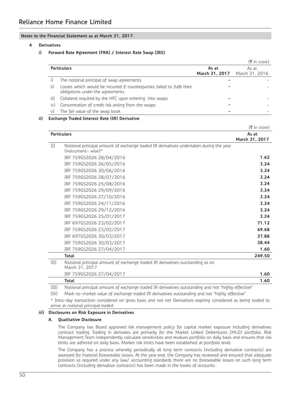## **4 Derivatives**

## **i) Forward Rate Agreement (FRA) / Interest Rate Swap (IRS)**

|      |                                                                                                             |                         | $(\bar{\tau}$ in crore) |
|------|-------------------------------------------------------------------------------------------------------------|-------------------------|-------------------------|
|      | <b>Particulars</b>                                                                                          | As at<br>March 31, 2017 | As at<br>March 31, 2016 |
|      | The notional principal of swap agreements                                                                   |                         |                         |
| ii)  | Losses which would be incurred if counterparties failed to fulfil their<br>obligations under the agreements |                         |                         |
| iii) | Collateral required by the HFC upon entering into swaps                                                     |                         |                         |
| iv)  | Concentration of credit risk arising from the swaps                                                         |                         |                         |
| V)   | The fair value of the swap book                                                                             |                         |                         |

#### **ii) Exchange Traded Interest Rate (IR) Derivative**

|       |                                                                                                                | $(\bar{\bar{\mathbf{z}}}$ in crore) |
|-------|----------------------------------------------------------------------------------------------------------------|-------------------------------------|
|       | <b>Particulars</b>                                                                                             | As at<br>March 31, 2017             |
| (I)   | Notional principal amount of exchange traded IR derivatives undertaken during the year<br>$(instrument-wise)*$ |                                     |
|       | IRF 759GS2026 28/04/2016                                                                                       | 1.62                                |
|       | IRF 759GS2026 26/05/2016                                                                                       | 3.24                                |
|       | IRF 759GS2026 30/06/2016                                                                                       | 3.24                                |
|       | IRF 759GS2026 28/07/2016                                                                                       | 3.24                                |
|       | IRF 759GS2026 25/08/2016                                                                                       | 3.24                                |
|       | IRF 759GS2026 29/09/2016                                                                                       | 3.24                                |
|       | IRF 759GS2026 27/10/2016                                                                                       | 3.24                                |
|       | IRF 759GS2026 24/11/2016                                                                                       | 3.24                                |
|       | IRF 759GS2026 29/12/2016                                                                                       | 3.24                                |
|       | IRF 759GS2026 25/01/2017                                                                                       | 3.24                                |
|       | IRF 697GS2026 23/02/2017                                                                                       | 71.12                               |
|       | IRF 759GS2026 23/02/2017                                                                                       | 69.68                               |
|       | IRF 697GS2026 30/03/2017                                                                                       | 37.88                               |
|       | IRF 759GS2026 30/03/2017                                                                                       | 38.44                               |
|       | IRF 759GS2026 27/04/2017                                                                                       | 1.60                                |
|       | <b>Total</b>                                                                                                   | 249.50                              |
| (II)  | Notional principal amount of exchange traded IR derivatives outstanding as on<br>March 31, 2017                |                                     |
|       | IRF 759GS2026 27/04/2017                                                                                       | 1.60                                |
|       | <b>Total</b>                                                                                                   | 1.60                                |
| (TIT) | Notional principal amount of exchange traded IP derivatives outstanding and not "bigbly effective"             |                                     |

(III) Notional principal amount of exchange traded IR derivatives outstanding and not "highly effective"

(IV) Mark-to-market value of exchange traded IR derivatives outstanding and not "highly effective"

\* Intra-day transaction considered on gross basis and not net Derivatives expiring considered as being traded to arrive at notional principal traded

### **iii) Disclosures on Risk Exposure in Derivatives**

#### **A. Qualitative Disclosure**

The Company has Board approved risk management policy for capital market exposure including derivatives contract trading. Trading in derivates are primarily for the Market Linked Debentures (MLD) portfolio. Risk Management Team independently calculate sensitivities and revalues portfolio on daily basis and ensures that risk limits are adhered on daily basis. Market risk limits have been established at portfolio level.

 The Company has a process whereby periodically all long term contracts (including derivative contracts) are assessed for material foreseeable losses. At the year end, the Company has reviewed and ensured that adequate provision as required under any law/ accounting standards there are no foreseeable losses on such long term contracts (including derivative contracts) has been made in the books of accounts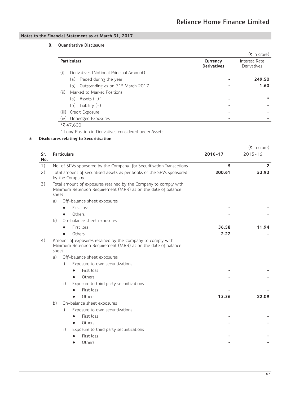## **B. Quantitative Disclosure**

|       |                                                      |                                | $(\bar{\bar{\mathbf{z}}}$ in crore) |
|-------|------------------------------------------------------|--------------------------------|-------------------------------------|
|       | <b>Particulars</b>                                   | Currency<br><b>Derivatives</b> | Interest Rate<br>Derivatives        |
| (i)   | Derivatives (Notional Principal Amount)              |                                |                                     |
|       | Traded during the year<br>(a)                        |                                | 249.50                              |
|       | Outstanding as on 31 <sup>st</sup> March 2017<br>(b) |                                | 1.60                                |
| (ii)  | Marked to Market Positions                           |                                |                                     |
|       | Assets (+)^<br>(a)                                   |                                | $\star$                             |
|       | (b)<br>Liability (–)                                 |                                |                                     |
| (iii) | Credit Exposure                                      |                                |                                     |
| (iv)  | Unhedged Exposures                                   |                                |                                     |
|       |                                                      |                                |                                     |

 $*$ ই 47,600

^ Long Position in Derivatives considered under Assets

## **5 Disclosures relating to Securitisation**

|            |       |                    |                                                                                                                                   |             | $(\bar{\bar{\mathbf{z}}}$ in crore) |
|------------|-------|--------------------|-----------------------------------------------------------------------------------------------------------------------------------|-------------|-------------------------------------|
| Sr.<br>No. |       | <b>Particulars</b> |                                                                                                                                   | $2016 - 17$ | $2015 - 16$                         |
| 1)         |       |                    | No. of SPVs sponsored by the Company for Securitisation Transactions                                                              | 5           | $\overline{2}$                      |
| 2)         |       |                    | Total amount of securitised assets as per books of the SPVs sponsored<br>by the Company                                           | 300.61      | 53.93                               |
| 3)         | sheet |                    | Total amount of exposures retained by the Company to comply with<br>Minimum Retention Requirement (MRR) as on the date of balance |             |                                     |
|            | a)    |                    | Off-balance sheet exposures                                                                                                       |             |                                     |
|            |       | $\bullet$          | First loss                                                                                                                        |             |                                     |
|            |       | $\bullet$          | Others                                                                                                                            |             |                                     |
|            | b)    |                    | On-balance sheet exposures                                                                                                        |             |                                     |
|            |       |                    | First loss                                                                                                                        | 36.58       | 11.94                               |
|            |       |                    | Others                                                                                                                            | 2.22        |                                     |
| 4)         | sheet |                    | Amount of exposures retained by the Company to comply with<br>Minimum Retention Requirement (MRR) as on the date of balance       |             |                                     |
|            | a)    |                    | Off-balance sheet exposures                                                                                                       |             |                                     |
|            |       | i)                 | Exposure to own securitizations                                                                                                   |             |                                     |
|            |       |                    | First loss                                                                                                                        |             |                                     |
|            |       |                    | Others                                                                                                                            |             |                                     |
|            |       | ii)                | Exposure to third party securitizations                                                                                           |             |                                     |
|            |       |                    | First loss                                                                                                                        |             |                                     |
|            |       |                    | Others                                                                                                                            | 13.36       | 22.09                               |
|            | b)    |                    | On-balance sheet exposures                                                                                                        |             |                                     |
|            |       | i)                 | Exposure to own securitizations                                                                                                   |             |                                     |
|            |       |                    | First loss                                                                                                                        |             |                                     |
|            |       |                    | Others                                                                                                                            |             |                                     |
|            |       | ii)                | Exposure to third party securitizations                                                                                           |             |                                     |
|            |       |                    | First loss                                                                                                                        |             |                                     |
|            |       |                    | Others                                                                                                                            |             |                                     |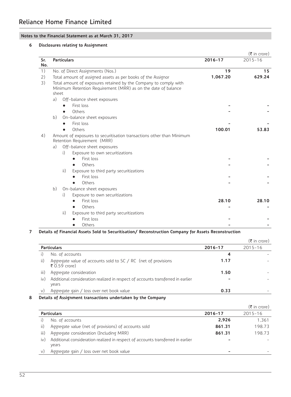## **6 Disclosures relating to Assignment**

 $\overline{a}$ 

|            |       |                    |                                                                                                                                   |             | $(\bar{\bar{\mathbf{z}}}$ in crore) |
|------------|-------|--------------------|-----------------------------------------------------------------------------------------------------------------------------------|-------------|-------------------------------------|
| Sr.<br>No. |       | <b>Particulars</b> |                                                                                                                                   | $2016 - 17$ | $2015 - 16$                         |
| 1)         |       |                    | No. of Direct Assignments (Nos.)                                                                                                  | 19          | 15                                  |
| 2)         |       |                    | Total amount of assigned assets as per books of the Assignor                                                                      | 1,067.20    | 629.24                              |
| 3)         | sheet |                    | Total amount of exposures retained by the Company to comply with<br>Minimum Retention Requirement (MRR) as on the date of balance |             |                                     |
|            | a)    |                    | Off-balance sheet exposures                                                                                                       |             |                                     |
|            |       |                    | First loss                                                                                                                        |             |                                     |
|            |       |                    | Others                                                                                                                            |             |                                     |
|            | b)    |                    | On-balance sheet exposures                                                                                                        |             |                                     |
|            |       |                    | First loss                                                                                                                        |             |                                     |
|            |       |                    | Others                                                                                                                            | 100.01      | 53.83                               |
| 4)         |       |                    | Amount of exposures to securitisation transactions other than Minimum<br>Retention Requirement (MRR)                              |             |                                     |
|            | a)    |                    | Off-balance sheet exposures                                                                                                       |             |                                     |
|            |       | i)                 | Exposure to own securitizations                                                                                                   |             |                                     |
|            |       |                    | First loss                                                                                                                        |             |                                     |
|            |       |                    | Others                                                                                                                            |             |                                     |
|            |       | ii)                | Exposure to third party securitizations                                                                                           |             |                                     |
|            |       |                    | First loss                                                                                                                        |             |                                     |
|            |       |                    | Others                                                                                                                            |             |                                     |
|            | b)    |                    | On-balance sheet exposures                                                                                                        |             |                                     |
|            |       | i)                 | Exposure to own securitizations                                                                                                   |             |                                     |
|            |       |                    | First loss<br>$\bullet$                                                                                                           | 28.10       | 28.10                               |
|            |       |                    | Others                                                                                                                            |             |                                     |
|            |       | ii)                | Exposure to third party securitizations                                                                                           |             |                                     |
|            |       |                    | First loss                                                                                                                        |             |                                     |
|            |       |                    | Others                                                                                                                            |             |                                     |

**7 Details of Financial Assets Sold to Securitisation/ Reconstruction Company for Assets Reconstruction**

|        |                                                                                          |         | $(\bar{\tau}$ in crore) |
|--------|------------------------------------------------------------------------------------------|---------|-------------------------|
|        | <b>Particulars</b>                                                                       | 2016-17 | $2015 - 16$             |
|        | No. of accounts                                                                          | Δ       |                         |
| ii)    | Aggregate value of accounts sold to SC / RC (net of provisions<br>₹ 0.59 crore)          | 1.17    |                         |
| iii)   | Aggregate consideration                                                                  | 1.50    |                         |
| iv)    | Additional consideration realized in respect of accounts transferred in earlier<br>vears |         |                         |
| $\vee$ | Aggregate gain / loss over net book value                                                | 0.33    |                         |

**8 Details of Assignment transactions undertaken by the Company** 

|        |                                                                                          |                          | $(\bar{\bar{\mathbf{z}}}$ in crore) |
|--------|------------------------------------------------------------------------------------------|--------------------------|-------------------------------------|
|        | <b>Particulars</b>                                                                       | 2016-17                  | $2015 - 16$                         |
|        | No. of accounts                                                                          | 2.926                    | 1.361                               |
| ii)    | Aggregate value (net of provisions) of accounts sold                                     | 861.31                   | 198.73                              |
| iii)   | Aggregate consideration (Including MRR)                                                  | 861.31                   | 198.73                              |
| iv)    | Additional consideration realized in respect of accounts transferred in earlier<br>vears |                          |                                     |
| $\vee$ | Aggregate gain / loss over net book value                                                | $\overline{\phantom{0}}$ |                                     |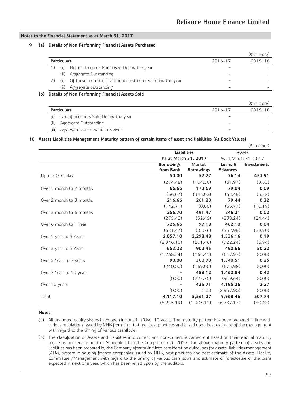#### **9 (a) Details of Non Performing Financial Assets Purchased**

|                    |                                                               |         | $(\bar{\bar{\mathbf{z}}}$ in crore) |
|--------------------|---------------------------------------------------------------|---------|-------------------------------------|
| <b>Particulars</b> |                                                               | 2016-17 | $2015 - 16$                         |
| (i)                | No. of accounts Purchased During the year                     |         |                                     |
| (ii)               | Aggregate Outstanding                                         |         |                                     |
|                    | (i) Of these, number of accounts restructured during the year |         |                                     |
| (ii)               | Aggregate outstanding                                         |         |                                     |
|                    | Details of Nep Performing Financial Assets Sold               |         |                                     |

**(b) Details of Non Performing Financial Assets Sold** 

|       |                                      |                          | $(\bar{\tau}$ in crore) |
|-------|--------------------------------------|--------------------------|-------------------------|
|       | <b>Particulars</b>                   | 2016-17                  | $2015 - 16$             |
|       | No. of accounts Sold During the year |                          |                         |
| (ii)  | Aggregate Outstanding                |                          |                         |
| (iii) | Aggregate consideration received     | $\overline{\phantom{a}}$ |                         |

#### **10 Assets Liabilities Management Maturity pattern of certain items of asset and liabilities (At Book Values)**

|                          |                                |                                    |                            | $(\bar{\bar{\mathbf{z}}}$ in crore) |
|--------------------------|--------------------------------|------------------------------------|----------------------------|-------------------------------------|
|                          | <b>Liabilities</b>             |                                    |                            | Assets                              |
|                          | As at March 31, 2017           |                                    |                            | As at March 31, 2017                |
|                          | <b>Borrowings</b><br>from Bank | <b>Market</b><br><b>Borrowings</b> | Loans &<br><b>Advances</b> | Investments                         |
| Upto 30/31 day           | 50.00                          | 52.27                              | 76.14                      | 453.91                              |
|                          | (274.48)                       | (104.30)                           | (61.97)                    | (3.63)                              |
| Over 1 month to 2 months | 66.66                          | 173.69                             | 79.04                      | 0.09                                |
|                          | (66.67)                        | (346.03)                           | (63.46)                    | (5.32)                              |
| Over 2 month to 3 months | 216.66                         | 261.20                             | 79.44                      | 0.32                                |
|                          | (142.71)                       | (0.00)                             | (66.77)                    | (10.19)                             |
| Over 3 month to 6 months | 256.70                         | 491.47                             | 246.31                     | 0.02                                |
|                          | (275.42)                       | (52.45)                            | (238.24)                   | (24.44)                             |
| Over 6 month to 1 Year   | 726.66                         | 97.18                              | 462.10                     | 0.04                                |
|                          | (631.47)                       | (35.76)                            | (352.96)                   | (29.90)                             |
| Over 1 year to 3 Years   | 2,057.10                       | 2,298.48                           | 1,336.16                   | 0.19                                |
|                          | (2,346.10)                     | (201.46)                           | (722.24)                   | (6.94)                              |
| Over 3 year to 5 Years   | 653.32                         | 902.45                             | 490.66                     | 50.22                               |
|                          | (1.268.34)                     | (166.41)                           | (647.97)                   | (0.00)                              |
| Over 5 Year to 7 years   | 90.00                          | 360.70                             | 1,540.51                   | 0.25                                |
|                          | (240.00)                       | (169.00)                           | (675.98)                   | (0.00)                              |
| Over 7 Year to 10 years  |                                | 488.12                             | 1,462.84                   | 0.43                                |
|                          | (0.00)                         | (227.70)                           | (949.64)                   | (0.00)                              |
| Over 10 years            |                                | 435.71                             | 4.195.26                   | 2.27                                |
|                          | (0.00)                         | 0.00                               | (2,957.90)                 | (0.00)                              |
| Total                    | 4,117.10                       | 5,561.27                           | 9,968.46                   | 507.74                              |
|                          | (5,245.19)                     | (1,303.11)                         | (6,737.13)                 | (80.42)                             |

#### **Notes:**

- (a) All unquoted equity shares have been included in 'Over 10 years'. The maturity pattern has been prepared in line with various regulations issued by NHB from time to time, best practices and based upon best estimate of the management with regard to the timing of various cashflows.
- (b) The classification of Assets and Liabilities into current and non-current is carried out based on their residual maturity profile as per requirement of Schedule III to the Companies Act, 2013. The above maturity pattern of assets and liabilities has been prepared by the Company after taking into consideration guidelines for assets-liabilities management (ALM) system in housing finance companies issued by NHB, best practices and best estimate of the Assets-Liability Committee /Management with regard to the timing of various cash flows and estimate of foreclosure of the loans expected in next one year, which has been relied upon by the auditors.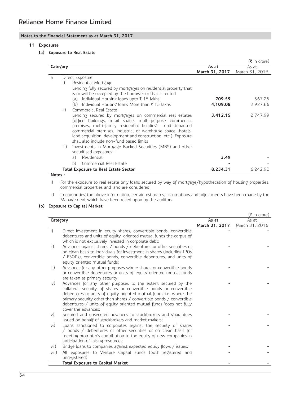## **11 Exposures**

**(a) Exposure to Real Estate** 

|   |          |                                                                                                                                                                                                                                                                                                                                                                                                                                                            |          | $(\bar{\bar{\mathbf{z}}}$ in crore) |
|---|----------|------------------------------------------------------------------------------------------------------------------------------------------------------------------------------------------------------------------------------------------------------------------------------------------------------------------------------------------------------------------------------------------------------------------------------------------------------------|----------|-------------------------------------|
|   | Category |                                                                                                                                                                                                                                                                                                                                                                                                                                                            | As at    | As at                               |
|   |          |                                                                                                                                                                                                                                                                                                                                                                                                                                                            |          | March 31, 2017 March 31, 2016       |
| a |          | Direct Exposure                                                                                                                                                                                                                                                                                                                                                                                                                                            |          |                                     |
|   | i)       | Residential Mortgage                                                                                                                                                                                                                                                                                                                                                                                                                                       |          |                                     |
|   |          | Lending fully secured by mortgages on residential property that                                                                                                                                                                                                                                                                                                                                                                                            |          |                                     |
|   |          | is or will be occupied by the borrower or that is rented                                                                                                                                                                                                                                                                                                                                                                                                   |          |                                     |
|   |          | Individual Housing loans upto ₹15 lakhs<br>(a)                                                                                                                                                                                                                                                                                                                                                                                                             | 709.59   | 567.25                              |
|   |          | (b) Individual Housing loans More than ₹15 lakhs                                                                                                                                                                                                                                                                                                                                                                                                           | 4,109.08 | 2,927.66                            |
|   | ii)      | Commercial Real Estate                                                                                                                                                                                                                                                                                                                                                                                                                                     |          |                                     |
|   | iii)     | Lending secured by mortgages on commercial real estates<br>(office buildings, retail space, multi-purpose commercial<br>premises, multi-family residential buildings, multi-tenanted<br>commercial premises, industrial or warehouse space, hotels,<br>land acquisition, development and construction, etc.). Exposure<br>shall also include non-fund based limits<br>Investments in Mortgage Backed Securities (MBS) and other<br>securitised exposures - | 3,412.15 | 2.747.99                            |
|   |          | Residential<br>a)                                                                                                                                                                                                                                                                                                                                                                                                                                          | 3.49     |                                     |
|   |          |                                                                                                                                                                                                                                                                                                                                                                                                                                                            |          |                                     |
|   |          | h)<br>Commercial Real Estate                                                                                                                                                                                                                                                                                                                                                                                                                               |          |                                     |
|   |          | Total Exposure to Real Estate Sector                                                                                                                                                                                                                                                                                                                                                                                                                       | 8.234.31 | 6.242.90                            |

#### **Notes :**

i) For the exposure to real estate only loans secured by way of mortgage/hypothecation of housing properties, commercial properties and land are considered.

ii) In computing the above information, certain estimates, assumptions and adjustments have been made by the Management which have been relied upon by the auditors.

## **(b) Exposure to Capital Market**

|                 |                                                                                                         |                | $(\bar{\bar{\mathbf{z}}}$ in crore) |
|-----------------|---------------------------------------------------------------------------------------------------------|----------------|-------------------------------------|
| Category        |                                                                                                         | As at          | As at                               |
|                 |                                                                                                         | March 31, 2017 | March 31, 2016                      |
| i)              | Direct investment in equity shares, convertible bonds, convertible                                      |                |                                     |
|                 | debentures and units of equity-oriented mutual funds the corpus of                                      |                |                                     |
|                 | which is not exclusively invested in corporate debt;                                                    |                |                                     |
| $\mathsf{ii}$ ) | Advances against shares / bonds / debentures or other securities or                                     |                |                                     |
|                 | on clean basis to individuals for investment in shares (including IPOs                                  |                |                                     |
|                 | / ESOPs), convertible bonds, convertible debentures, and units of                                       |                |                                     |
|                 | equity oriented mutual funds;                                                                           |                |                                     |
| iii)            | Advances for any other purposes where shares or convertible bonds                                       |                |                                     |
|                 | or convertible debentures or units of equity oriented mutual funds                                      |                |                                     |
|                 | are taken as primary security;                                                                          |                |                                     |
| iv)             | Advances for any other purposes to the extent secured by the                                            |                |                                     |
|                 | collateral security of shares or convertible bonds or convertible                                       |                |                                     |
|                 | debentures or units of equity oriented mutual funds i.e. where the                                      |                |                                     |
|                 | primary security other than shares / convertible bonds / convertible                                    |                |                                     |
|                 | debentures / units of equity oriented mutual funds 'does not fully                                      |                |                                     |
|                 | cover the advances:                                                                                     |                |                                     |
| $\vee$          | Secured and unsecured advances to stockbrokers and guarantees                                           |                |                                     |
|                 | issued on behalf of stockbrokers and market makers;                                                     |                |                                     |
| vi)             | Loans sanctioned to corporates against the security of shares                                           |                |                                     |
|                 | / bonds / debentures or other securities or on clean basis for                                          |                |                                     |
|                 | meeting promoter's contribution to the equity of new companies in<br>anticipation of raising resources; |                |                                     |
|                 |                                                                                                         |                |                                     |
| vii)            | Bridge loans to companies against expected equity flows / issues;                                       |                |                                     |
| viii)           | All exposures to Venture Capital Funds (both registered and                                             |                |                                     |
|                 | unregistered)                                                                                           |                |                                     |
|                 | <b>Total Exposure to Capital Market</b>                                                                 |                |                                     |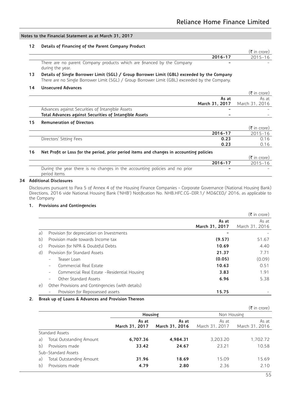| Notes to the Financial Statement as at March 31, 2017 |  |  |  |  |  |  |
|-------------------------------------------------------|--|--|--|--|--|--|
|-------------------------------------------------------|--|--|--|--|--|--|

#### **12 Details of Financing of the Parent Company Product**

|                                                                        |         | $(\bar{\bar{\tau}}$ in crore) |
|------------------------------------------------------------------------|---------|-------------------------------|
|                                                                        | 2016-17 | 2015-16                       |
| There are no parent Company products which are financed by the Company |         |                               |
| during the year.                                                       |         |                               |

## **13 Details of Single Borrower Limit (SGL) / Group Borrower Limit (GBL) exceeded by the Company** There are no Single Borrower Limit (SGL) / Group Borrower Limit (GBL) exceeded by the Company.

#### **14 Unsecured Advances**

|                                                                                             |                | $(\bar{\bar{\mathbf{z}}}$ in crore)                                                      |
|---------------------------------------------------------------------------------------------|----------------|------------------------------------------------------------------------------------------|
|                                                                                             | As at          | As at                                                                                    |
|                                                                                             | March 31, 2017 | March 31, 2016                                                                           |
| Advances against Securities of Intangible Assets                                            |                |                                                                                          |
| Total Advances against Securities of Intangible Assets                                      |                |                                                                                          |
| <b>Remuneration of Directors</b>                                                            |                |                                                                                          |
|                                                                                             |                | $(\bar{\bar{\mathbf{z}}}$ in crore)                                                      |
|                                                                                             | 2016-17        | $2015 - 16$                                                                              |
| Directors' Sitting Fees                                                                     | 0.23           | 0.16                                                                                     |
|                                                                                             | 0.23           | 0.16                                                                                     |
|                                                                                             |                |                                                                                          |
|                                                                                             |                | $(\bar{\bar{\mathbf{z}}}$ in crore)                                                      |
|                                                                                             | $2016 - 17$    | $2015 - 16$                                                                              |
| During the year there is no changes in the accounting policies and no prior<br>period items |                |                                                                                          |
|                                                                                             |                | Net Profit or Loss for the period, prior period items and changes in accounting policies |

## **34 Additional Disclosures**

Disclosures pursuant to Para 5 of Annex 4 of the Housing Finance Companies – Corporate Governance (National Housing Bank) Directions, 2016 vide National Housing Bank ('NHB') Notification No. NHB.HFC.CG-DIR.1/ MD&CEO/ 2016, as applicable to the Company

## **1. Provisions and Contingencies**

|              |                                                   |                | $(\bar{\tau}$ in crore) |
|--------------|---------------------------------------------------|----------------|-------------------------|
|              |                                                   | As at          | As at                   |
|              |                                                   | March 31, 2017 | March 31, 2016          |
| a)           | Provision for depreciation on Investments         |                |                         |
| b)           | Provision made towards Income tax                 | (9.57)         | 51.67                   |
| C)           | Provision for NPA & Doubtful Debts                | 10.69          | 4.40                    |
| (d)          | Provision for Standard Assets                     | 21.37          | 7.71                    |
|              | Teaser Loan                                       | (0.05)         | (0.09)                  |
|              | Commercial Real Estate                            | 10.63          | 0.51                    |
|              | Commercial Real Estate - Residential Housing      | 3.83           | 1.91                    |
|              | Other Standard Assets                             | 6.96           | 5.38                    |
| $\epsilon$ ) | Other Provisions and Contingencies (with details) |                |                         |
|              | Provision for Repossessed assets                  | 15.75          |                         |

## **2. Break up of Loans & Advances and Provision Thereon**

|    |                          |                         |                         |                         | $(\bar{\bar{\tau}}$ in crore) |
|----|--------------------------|-------------------------|-------------------------|-------------------------|-------------------------------|
|    |                          | Housing                 |                         | Non Housing             |                               |
|    |                          | As at<br>March 31, 2017 | As at<br>March 31, 2016 | As at<br>March 31, 2017 | As at<br>March 31, 2016       |
|    | <b>Standard Assets</b>   |                         |                         |                         |                               |
| a) | Total Outstanding Amount | 6,707.36                | 4,984.31                | 3,203.20                | 1,702.72                      |
| b) | Provisions made          | 33.42                   | 24.67                   | 23.21                   | 10.58                         |
|    | Sub-Standard Assets      |                         |                         |                         |                               |
| a) | Total Outstanding Amount | 31.96                   | 18.69                   | 15.09                   | 15.69                         |
| b) | Provisions made          | 4.79                    | 2.80                    | 2.36                    | 2.10                          |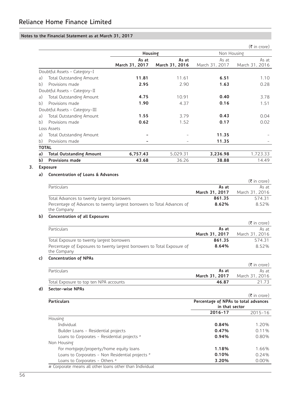|    |                                 |                         |                         |                         | (₹ in crore)            |
|----|---------------------------------|-------------------------|-------------------------|-------------------------|-------------------------|
|    |                                 | Housing                 |                         | Non Housing             |                         |
|    |                                 | As at<br>March 31, 2017 | As at<br>March 31, 2016 | As at<br>March 31, 2017 | As at<br>March 31, 2016 |
|    | Doubtful Assets - Category-I    |                         |                         |                         |                         |
| a) | Total Outstanding Amount        | 11.81                   | 11.61                   | 6.51                    | 1.10                    |
| b) | Provisions made                 | 2.95                    | 2.90                    | 1.63                    | 0.28                    |
|    | Doubtful Assets - Category-II   |                         |                         |                         |                         |
| a) | Total Outstanding Amount        | 4.75                    | 10.91                   | 0.40                    | 3.78                    |
| b) | Provisions made                 | 1.90                    | 4.37                    | 0.16                    | 1.51                    |
|    | Doubtful Assets - Category-III  |                         |                         |                         |                         |
| a) | Total Outstanding Amount        | 1.55                    | 3.79                    | 0.43                    | 0.04                    |
| b) | Provisions made                 | 0.62                    | 1.52                    | 0.17                    | 0.02                    |
|    | Loss Assets                     |                         |                         |                         |                         |
| a) | Total Outstanding Amount        |                         |                         | 11.35                   |                         |
| b) | Provisions made                 |                         |                         | 11.35                   |                         |
|    | <b>TOTAL</b>                    |                         |                         |                         |                         |
| a) | <b>Total Outstanding Amount</b> | 6,757.43                | 5,029.31                | 3,236.98                | 1,723.33                |
| b) | <b>Provisions made</b>          | 43.68                   | 36.26                   | 38.88                   | 14.49                   |
|    |                                 |                         |                         |                         |                         |

## **3. Exposure**

## **a) Concentration of Loans & Advances**

|                                                                                        |                | $(\bar{\bar{\tau}}$ in crore) |
|----------------------------------------------------------------------------------------|----------------|-------------------------------|
| Particulars                                                                            | As at          | As at                         |
|                                                                                        | March 31, 2017 | March 31, 2016                |
| Total Advances to twenty largest borrowers                                             | 861.35         | 574.31                        |
| Percentage of Advances to twenty largest borrowers to Total Advances of<br>the Company | 8.62%          | 8.52%                         |
|                                                                                        |                |                               |

## **b) Concentration of all Exposures**

|                                                                                         |                | $(\bar{\tau}$ in crore) |
|-----------------------------------------------------------------------------------------|----------------|-------------------------|
| Particulars                                                                             | As at          | As at                   |
|                                                                                         | March 31, 2017 | March 31, 2016          |
| Total Exposure to twenty largest borrowers                                              | 861.35         | 574.31                  |
| Percentage of Exposures to twenty largest borrowers to Total Exposure of<br>the Company | 8.64%          | 8.52%                   |
|                                                                                         |                |                         |

## **c) Concentration of NPAs**

|                                        |                | $(\bar{\tau}$ in crore) |
|----------------------------------------|----------------|-------------------------|
| <b>Particulars</b>                     | As at          | As at                   |
|                                        | March 31, 2017 | March 31, 2016          |
| Total Exposure to top ten NPA accounts | 46.87          | 21 73                   |
|                                        |                |                         |

## **d) Sector-wise NPAs**

| <b>Particulars</b>                               |         | Percentage of NPAs to total advances<br>in that sector |  |  |
|--------------------------------------------------|---------|--------------------------------------------------------|--|--|
|                                                  | 2016-17 | $2015 - 16$                                            |  |  |
| Housing                                          |         |                                                        |  |  |
| Individual                                       | 0.84%   | 1.20%                                                  |  |  |
| Builder Loans - Residential projects             | 0.47%   | 0.11%                                                  |  |  |
| Loans to Corporates - Residential projects #     | 0.94%   | 0.80%                                                  |  |  |
| Non Housing                                      |         |                                                        |  |  |
| For mortgage/property/home equity loans          | 1.18%   | 1.66%                                                  |  |  |
| Loans to Corporates - Non Residential projects # | 0.10%   | 0.24%                                                  |  |  |
| Loans to Corporates - Others #                   | 3.20%   | 0.00%                                                  |  |  |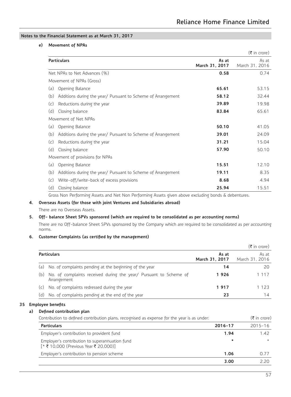### **e) Movement of NPAs**

|     |                                                              |                         | $(\bar{\bar{\mathbf{z}}}$ in crore) |
|-----|--------------------------------------------------------------|-------------------------|-------------------------------------|
|     | <b>Particulars</b>                                           | As at<br>March 31, 2017 | As at<br>March 31, 2016             |
|     | Net NPAs to Net Advances (%)                                 | 0.58                    | 0.74                                |
|     | Movement of NPAs (Gross)                                     |                         |                                     |
| (a) | Opening Balance                                              | 65.61                   | 53.15                               |
| (b) | Additions during the year/ Pursuant to Scheme of Arrangement | 58.12                   | 32.44                               |
| (c) | Reductions during the year                                   | 39.89                   | 19.98                               |
| (d) | Closing balance                                              | 83.84                   | 65.61                               |
|     | Movement of Net NPAs                                         |                         |                                     |
| (a) | Opening Balance                                              | 50.10                   | 41.05                               |
| (b) | Additions during the year/ Pursuant to Scheme of Arrangement | 39.01                   | 24.09                               |
| (c) | Reductions during the year                                   | 31.21                   | 15.04                               |
| (d) | Closing balance                                              | 57.90                   | 50.10                               |
|     | Movement of provisions for NPAs                              |                         |                                     |
| (a) | Opening Balance                                              | 15.51                   | 12.10                               |
| (b) | Additions during the year/ Pursuant to Scheme of Arrangement | 19.11                   | 8.35                                |
| (c) | Write-off/write-back of excess provisions                    | 8.68                    | 4.94                                |
| (d) | Closing balance                                              | 25.94                   | 15.51                               |

Gross Non Performing Assets and Net Non Performing Assets given above excluding bonds & debentures.

## **4. Overseas Assets (for those with joint Ventures and Subsidiaries abroad)**

There are no Overseas Assets.

## **5. Off- balance Sheet SPVs sponsored (which are required to be consolidated as per accounting norms)**

There are no Off-balance Sheet SPVs sponsored by the Company which are required to be consolidated as per accounting norms.

## **6. Customer Complaints (as certified by the management)**

|     | <b>Particulars</b>                                                               | As at<br>March 31, 2017 | As at<br>March 31, 2016 |
|-----|----------------------------------------------------------------------------------|-------------------------|-------------------------|
| (a) | No. of complaints pending at the beginning of the year                           | 14                      | 20                      |
| (b) | No. of complaints received during the year/ Pursuant to Scheme of<br>Arrangement | 1926                    | 1 1 1 7                 |
| (c) | No. of complaints redressed during the year                                      | 1917                    | 1 1 2 3                 |
| (d) | No. of complaints pending at the end of the year                                 | 23                      | 14                      |

## **a) Defined contribution plan**

| Contribution to defined contribution plans, recognised as expense for the year is as under: |         | $(\bar{\bar{\mathbf{z}}}$ in crore) |  |
|---------------------------------------------------------------------------------------------|---------|-------------------------------------|--|
| <b>Particulars</b>                                                                          | 2016-17 | $2015 - 16$                         |  |
| Employer's contribution to provident fund                                                   | 1.94    | 1.42                                |  |
| Employer's contribution to superannuation fund<br>[* ₹ 10,000 (Previous Year ₹ 20,000)]     | ÷       | $\star$                             |  |
| Employer's contribution to pension scheme                                                   | 1.06    | 0.77                                |  |
|                                                                                             | 3.00    | 2 2N                                |  |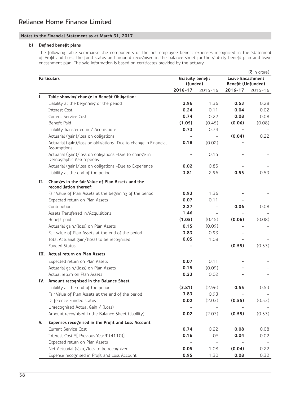## **b) Defined benefit plans**

 The following table summarise the components of the net employee benefit expenses recognized in the Statement of Profit and Loss, the fund status and amount recognised in the balance sheet for the gratuity benefit plan and leave encashment plan. The said information is based on certificates provided by the actuary.

|     |                                                                                   |                                     |             |                                                      | $(\bar{\bar{\mathbf{z}}}$ in crore) |
|-----|-----------------------------------------------------------------------------------|-------------------------------------|-------------|------------------------------------------------------|-------------------------------------|
|     | <b>Particulars</b>                                                                | <b>Gratuity benefit</b><br>(funded) |             | <b>Leave Encashment</b><br><b>Benefit (Unfunded)</b> |                                     |
|     |                                                                                   | $2016 - 17$                         | $2015 - 16$ | 2016-17                                              | $2015 - 16$                         |
| Ι.  | Table showing change in Benefit Obligation:                                       |                                     |             |                                                      |                                     |
|     | Liability at the beginning of the period                                          | 2.96                                | 1.36        | 0.53                                                 | 0.28                                |
|     | Interest Cost                                                                     | 0.24                                | 0.11        | 0.04                                                 | 0.02                                |
|     | Current Service Cost                                                              | 0.74                                | 0.22        | 0.08                                                 | 0.08                                |
|     | Benefit Paid                                                                      | (1.05)                              | (0.45)      | (0.06)                                               | (0.08)                              |
|     | Liability Transferred in / Acquisitions                                           | 0.73                                | 0.74        |                                                      |                                     |
|     | Actuarial (gain)/loss on obligations                                              | $\overline{\phantom{a}}$            | $\bar{a}$   | (0.04)                                               | 0.22                                |
|     | Actuarial (gain)/loss on obligations -Due to change in Financial<br>Assumptions   | 0.18                                | (0.02)      |                                                      |                                     |
|     | Actuarial (gain)/loss on obligations -Due to change in<br>Demographic Assumptions |                                     | 0.15        |                                                      |                                     |
|     | Actuarial (gain)/loss on obligations -Due to Experience                           | 0.02                                | 0.85        |                                                      |                                     |
|     | Liability at the end of the period                                                | 3.81                                | 2.96        | 0.55                                                 | 0.53                                |
| Н.  | Changes in the fair Value of Plan Assets and the<br>reconciliation thereof:       |                                     |             |                                                      |                                     |
|     | Fair Value of Plan Assets at the beginning of the period                          | 0.93                                | 1.36        |                                                      |                                     |
|     | Expected return on Plan Assets                                                    | 0.07                                | 0.11        |                                                      |                                     |
|     | Contributions                                                                     | 2.27                                |             | 0.06                                                 | 0.08                                |
|     | Assets Transferred in/Acquisitions                                                | 1.46                                | $\sim$      |                                                      |                                     |
|     | Benefit paid                                                                      | (1.05)                              | (0.45)      | (0.06)                                               | (0.08)                              |
|     | Actuarial gain/(loss) on Plan Assets                                              | 0.15                                | (0.09)      |                                                      |                                     |
|     | Fair value of Plan Assets at the end of the period                                | 3.83                                | 0.93        |                                                      |                                     |
|     | Total Actuarial gain/(loss) to be recognized                                      | 0.05                                | 1.08        |                                                      |                                     |
|     | Funded Status                                                                     |                                     | $\bar{a}$   | (0.55)                                               | (0.53)                              |
|     | III. Actual return on Plan Assets                                                 |                                     |             |                                                      |                                     |
|     | Expected return on Plan Assets                                                    | 0.07                                | 0.11        |                                                      |                                     |
|     | Actuarial gain/(loss) on Plan Assets                                              | 0.15                                | (0.09)      |                                                      |                                     |
|     | Actual return on Plan Assets                                                      | 0.23                                | 0.02        |                                                      |                                     |
| IV. | Amount recognised in the Balance Sheet                                            |                                     |             |                                                      |                                     |
|     | Liability at the end of the period                                                | (3.81)                              | (2.96)      | 0.55                                                 | 0.53                                |
|     | Fair Value of Plan Assets at the end of the period                                | 3.83                                | 0.93        |                                                      |                                     |
|     | Difference Funded status                                                          | 0.02                                | (2.03)      | (0.55)                                               | (0.53)                              |
|     | Unrecognised Actual Gain / (Loss)                                                 | $\overline{\phantom{a}}$            |             |                                                      |                                     |
|     | Amount recognised in the Balance Sheet (liability)                                | 0.02                                | (2.03)      | (0.55)                                               | (0.53)                              |
|     |                                                                                   |                                     |             |                                                      |                                     |
| V.  | Expenses recognised in the Profit and Loss Account                                |                                     |             |                                                      |                                     |
|     | Current Service Cost                                                              | 0.74                                | 0.22        | 0.08                                                 | 0.08                                |
|     | Interest Cost *[ Previous Year ₹ (4110)]                                          | 0.16                                | 0*          | 0.04                                                 | 0.02                                |
|     | Expected return on Plan Assets<br>Net Actuarial (gain)/loss to be recognized      | 0.05                                | 1.08        | (0.04)                                               | 0.22                                |
|     |                                                                                   |                                     |             |                                                      |                                     |
|     | Expense recognised in Profit and Loss Account                                     | 0.95                                | 1.30        | 0.08                                                 | 0.32                                |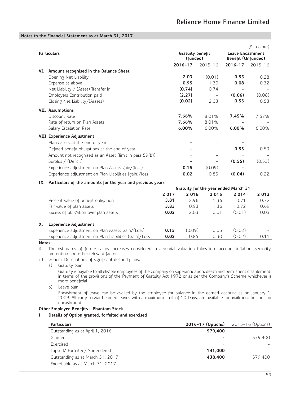|    | <b>Particulars</b>                                             |         | <b>Gratuity benefit</b><br>(funded) |                                      | <b>Leave Encashment</b><br><b>Benefit (Unfunded)</b> |             |
|----|----------------------------------------------------------------|---------|-------------------------------------|--------------------------------------|------------------------------------------------------|-------------|
|    |                                                                |         | $2016 - 17$                         | $2015 - 16$                          | $2016 - 17$                                          | $2015 - 16$ |
|    | VI. Amount recognised in the Balance Sheet                     |         |                                     |                                      |                                                      |             |
|    | Opening Net Liability                                          |         | 2.03                                | (0.01)                               | 0.53                                                 | 0.28        |
|    | Expense as above                                               |         | 0.95                                | 1.30                                 | 0.08                                                 | 0.32        |
|    | Net Liability / (Asset) Transfer In                            |         | (0.74)                              | 0.74                                 |                                                      |             |
|    | Employers Contribution paid                                    |         | (2.27)                              | $\sim$                               | (0.06)                                               | (0.08)      |
|    | Closing Net Liability/(Assets)                                 |         | (0.02)                              | 2.03                                 | 0.55                                                 | 0.53        |
|    | VII. Assumptions                                               |         |                                     |                                      |                                                      |             |
|    | Discount Rate                                                  |         | 7.66%                               | 8.01%                                | 7.45%                                                | 7.57%       |
|    | Rate of return on Plan Assets                                  |         | 7.66%                               | 8.01%                                |                                                      |             |
|    | Salary Escalation Rate                                         |         | 6.00%                               | 6.00%                                | 6.00%                                                | 6.00%       |
|    | VIII. Experience Adjustment                                    |         |                                     |                                      |                                                      |             |
|    | Plan Assets at the end of year                                 |         |                                     |                                      |                                                      |             |
|    | Defined benefit obligations at the end of year                 |         |                                     |                                      | 0.55                                                 | 0.53        |
|    | Amount not recognised as an Asset (limit in para 59(b))        |         |                                     |                                      |                                                      |             |
|    | Surplus / (Deficit)                                            |         |                                     |                                      | (0.55)                                               | (0.53)      |
|    | Experience adjustment on Plan Assets gain/(loss)               |         | 0.15                                | (0.09)                               |                                                      |             |
|    | Experience adjustment on Plan Liabilities (gain)/loss          |         | 0.02                                | 0.85                                 | (0.04)                                               | 0.22        |
|    | IX. Particulars of the amounts for the year and previous years |         |                                     |                                      |                                                      |             |
|    |                                                                |         |                                     | Gratuity for the year ended March 31 |                                                      |             |
|    |                                                                | 2 0 1 7 | 2016                                | 2 0 1 5                              | 2 0 1 4                                              | 2 0 1 3     |
|    | Present value of benefit obligation                            | 3.81    | 2.96                                | 1.36                                 | 0.71                                                 | 0.72        |
|    | Fair value of plan assets                                      | 3.83    | 0.93                                | 1.36                                 | 0.72                                                 | 0.69        |
|    | Excess of obligation over plan assets                          | 0.02    | 2.03                                | 0.01                                 | (0.01)                                               | 0.03        |
| Х. | <b>Experience Adjustment</b>                                   |         |                                     |                                      |                                                      |             |
|    | Experience adjustment on Plan Assets Gain/(Loss)               | 0.15    | (0.09)                              | 0.05                                 | (0.02)                                               |             |
|    | Experience adjustment on Plan Liabilities (Gain)/Loss          | 0.02    | 0.85                                | 0.30                                 | (0.02)                                               | 0.11        |

i) The estimates of future salary increases considered in actuarial valuation takes into account inflation, seniority, promotion and other relevant factors.

iii) General Descriptions of significant defined plans:

a) Gratuity plan

 Gratuity is payable to all eligible employees of the Company on superannuation, death and permanent disablement, in terms of the provisions of the Payment of Gratuity Act 1972 or as per the Company's Scheme whichever is more beneficial.

b) Leave plan

 Encashment of leave can be availed by the employee for balance in the earned account as on January 1, 2009. All carry forward earned leaves with a maximum limit of 10 Days, are available for availment but not for encashment.

#### **Other Employee Benefits – Phantom Stock**

## **I. Details of Option granted, forfeited and exercised**

| <b>Particulars</b>               | 2016-17 (Options)        | 2015-16 (Options) |
|----------------------------------|--------------------------|-------------------|
| Outstanding as at April 1, 2016  | 579.400                  |                   |
| Granted                          |                          | 579,400           |
| Exercised                        | $\overline{\phantom{a}}$ |                   |
| Lapsed/Forfeited/Surrendered     | 141.000                  |                   |
| Outstanding as at March 31, 2017 | 438.400                  | 579,400           |
| Exercisable as at March 31, 2017 | $\overline{\phantom{0}}$ |                   |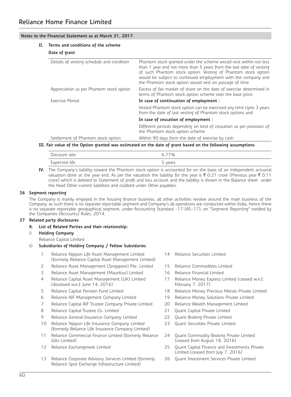| Notes to the Financial Statement as at March 31, 2017     |                                                                                                                                                                                                                                                                                                                                      |
|-----------------------------------------------------------|--------------------------------------------------------------------------------------------------------------------------------------------------------------------------------------------------------------------------------------------------------------------------------------------------------------------------------------|
| Terms and conditions of the scheme<br>п.<br>Date of grant |                                                                                                                                                                                                                                                                                                                                      |
| Details of vesting schedule and condition                 | Phantom stock granted under the scheme would vest within not less<br>than 1 year and not more than 5 years from the last date of vesting<br>of such Phantom stock option. Vesting of Phantom stock option<br>would be subject to continued employment with the company and<br>the Phantom stock option would vest on passage of time |
| Appreciation as per Phantom stock option                  | Excess of fair market of share on the date of exercise determined in<br>terms of Phantom stock option scheme over the base price.                                                                                                                                                                                                    |
| Exercise Period                                           | In case of continuation of employment :                                                                                                                                                                                                                                                                                              |
|                                                           | Vested Phantom stock option can be exercised any time Upto 3 years<br>from the date of last vesting of Phantom stock options and                                                                                                                                                                                                     |
|                                                           | In case of cessation of employment :                                                                                                                                                                                                                                                                                                 |
|                                                           | Different periods depending on kind of cessation as per provision of<br>the Phantom stock option scheme                                                                                                                                                                                                                              |
| Settlement of Phantom stock option                        | Within 90 days from the date of exercise by cash                                                                                                                                                                                                                                                                                     |

#### **III. Fair value of the Option granted was estimated on the date of grant based on the following assumptions**

| Discount rate | 77%     |
|---------------|---------|
| Expected life | 5 years |

**IV.** The Company's liability toward the Phantom stock option is accounted for on the basis of an independent actuarial valuation done at the year end. As per the valuation the liability for the year is  $\bar{\tau}$  0.21 crore (Previous year  $\bar{\tau}$  0.11 crore) which is debited to Statement of profit and loss account and the liability is shown in the Balance sheet under the head Other current liabilities and clubbed under Other payables.

#### **36 Segment reporting**

The Company is mainly engaged in the housing finance business, all other activities revolve around the main business of the Company, as such there is no separate reportable segment and Company's all operations are conducted within India, hence there is no separate reportable geographical segment, under Accounting Standard -17 (AS-17), on "Segment Reporting" notified by the Companies (Accounts) Rules, 2014.

#### **37 Related party disclosures**

- **A. List of Related Parties and their relationship:**
- i) **Holding Company**
	- Reliance Capital Limited
- ii) **Subsidiaries of Holding Company / Fellow Subsidaries**
	- 1 Reliance Nippon Life Asset Management Limited (formerly Reliance Capital Asset Management Limited)
	- 2 Reliance Asset Management (Singapore) Pte. Limited 15 Reliance Commodities Limited
	- 3 Reliance Asset Management (Mauritius) Limited 16 Reliance Financial Limited
	- 4 Reliance Capital Asset Management (UK) Limited (dissolved w.e.f. June 14, 2016)
	-
	-
	- 7 Reliance Capital AIF Trustee Company Private Limited 20 Reliance Wealth Management Limited
	- 8 Reliance Capital Trustee Co. Limited 21 Quant Capital Private Limited
	- 9 Reliance General Insurance Company Limited 22 Quant Broking Private Limited
	- 10 Reliance Nippon Life Insurance Company Limited (formerly Reliance Life Insurance Company Limited)
	- 11 Reliance Commercial Finance Limited (formerly Reliance Gilts Limited)
	-
	- 13 Reliance Corporate Advisory Services Limited (formerly Reliance Spot Exchange Infrastructure Limited)
- 14 Reliance Securities Limited
- 
- 
- 17 Reliance Money Express Limited (ceased w.e.f. February 7, 2017)
- 5 Reliance Capital Pension Fund Limited 18 Reliance Money Precious Metals Private Limited
- 6 Reliance AIF Management Company Limited 19 Reliance Money Solutions Private Limited
	-
	-
	-
	- 23 Quant Securities Private Limited
	- 24 Quant Commodity Broking Private Limited (ceased from August 18, 2016)
- 12 Reliance Exchangenext Limited 25 Quant Capital Finance and Investments Private Limited (ceased from July 7, 2016)
	- 26 Quant Investment Services Private Limited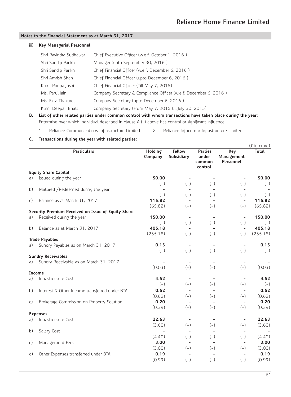## iii) **Key Managerial Personnel**

| Shri Ravindra Sudhalkar | Chief Executive Officer (w.e.f. October 1, 2016)                 |
|-------------------------|------------------------------------------------------------------|
| Shri Sandip Parikh      | Manager (upto September 30, 2016)                                |
| Shri Sandip Parikh      | Chief Financial Officer (w.e.f. December 6, 2016)                |
| Shri Amrish Shah        | Chief Financial Officer (upto December 6, 2016)                  |
| Kum. Roopa Joshi        | Chief Financial Officer (Till May 7, 2015)                       |
| Ms. Parul Jain          | Company Secretary & Compliance Officer (w.e.f. December 6, 2016) |
| Ms. Ekta Thakurel       | Company Secretary (upto December 6, 2016)                        |
| Kum. Deepali Bhatt      | Company Secretary (From May 7, 2015 till July 30, 2015)          |

**B. List of other related parties under common control with whom transactions have taken place during the year:** Enterprise over which individual described in clause A (ii) above has control or significant influence.

1 Reliance Communications Infrastructure Limited 2 Reliance Infocomm Infrastructure Limited

## **C. Transactions during the year with related parties:**

|    |                                                    |                          |                                   |                                              |                                   | $(\bar{\bar{\mathbf{z}}}$ in crore) |
|----|----------------------------------------------------|--------------------------|-----------------------------------|----------------------------------------------|-----------------------------------|-------------------------------------|
|    | <b>Particulars</b>                                 | Holding<br>Company       | <b>Fellow</b><br>Subsidiary       | <b>Parties</b><br>under<br>common<br>control | Key<br>Management<br>Personnel    | <b>Total</b>                        |
|    | <b>Equity Share Capital</b>                        |                          |                                   |                                              |                                   |                                     |
| a) | Issued during the year                             | 50.00                    | $\overline{\phantom{a}}$          | $\overline{\phantom{a}}$                     | $\overline{\phantom{0}}$          | 50.00                               |
|    |                                                    | $(-)$                    | $(-)$                             | $(-)$                                        | $(-)$                             | $(-)$                               |
| b) | Matured / Redeemed during the year                 |                          |                                   |                                              | $\overline{\phantom{a}}$          |                                     |
|    |                                                    | $(-)$                    | $(-)$                             | $(-)$                                        | $(-)$                             | $(-)$                               |
| C) | Balance as at March 31, 2017                       | 115.82                   |                                   |                                              | $\overline{\phantom{a}}$          | 115.82                              |
|    |                                                    | (65.82)                  | $(-)$                             | $(-)$                                        | $(-)$                             | (65.82)                             |
|    | Security Premium Received on Issue of Equity Share |                          |                                   |                                              |                                   |                                     |
| a) | Received during the year                           | 150.00                   | $\overline{\phantom{a}}$<br>$(-)$ | $\overline{\phantom{0}}$                     | $\overline{\phantom{a}}$          | 150.00                              |
| b) |                                                    | $(-)$<br>405.18          |                                   | $(-)$<br>$\overline{\phantom{a}}$            | $(-)$<br>$\overline{\phantom{a}}$ | $(-)$<br>405.18                     |
|    | Balance as at March 31, 2017                       | (255.18)                 | $(-)$                             | $(-)$                                        | $(-)$                             | (255.18)                            |
|    | <b>Trade Payables</b>                              |                          |                                   |                                              |                                   |                                     |
| a) | Sundry Payables as on March 31, 2017               | 0.15                     | $\overline{\phantom{a}}$          | $\overline{\phantom{a}}$                     | $\overline{\phantom{a}}$          | 0.15                                |
|    |                                                    | $(-)$                    | $(-)$                             | $(-)$                                        | $(-)$                             | $(-)$                               |
|    | <b>Sundry Receivables</b>                          |                          |                                   |                                              |                                   |                                     |
| a) | Sundry Receivable as on March 31, 2017             |                          |                                   |                                              | $\qquad \qquad \blacksquare$      |                                     |
|    |                                                    | (0.03)                   | $(-)$                             | $(-)$                                        | $(-)$                             | (0.03)                              |
|    | Income                                             |                          |                                   |                                              |                                   |                                     |
| a) | Infrastructure Cost                                | 4.52                     |                                   |                                              | $\overline{\phantom{0}}$          | 4.52                                |
|    |                                                    | $(-)$                    | $(-)$                             | $(-)$                                        | $(-)$                             | $(-)$                               |
| b) | Interest & Other Income transferred under BTA      | 0.52                     |                                   | $\overline{a}$                               | $\qquad \qquad \blacksquare$      | 0.52                                |
|    |                                                    | (0.62)                   | $(-)$                             | $(-)$                                        | $(-)$                             | (0.62)                              |
| c) | Brokerage Commission on Property Solution          | 0.20                     |                                   | $\overline{\phantom{0}}$                     | $\overline{\phantom{a}}$          | 0.20                                |
|    |                                                    | (0.39)                   | $(-)$                             | $(-)$                                        | $(-)$                             | (0.39)                              |
|    | <b>Expenses</b>                                    |                          |                                   |                                              |                                   |                                     |
| a) | Infrastructure Cost                                | 22.63                    |                                   | $\overline{\phantom{a}}$                     | $\overline{\phantom{a}}$          | 22.63                               |
|    |                                                    | (3.60)                   | $(-)$                             | $(-)$                                        | $(-)$                             | (3.60)                              |
| b) | Salary Cost                                        | $\overline{\phantom{0}}$ | $\overline{\phantom{a}}$          | $\overline{\phantom{a}}$                     | $\overline{\phantom{a}}$          |                                     |
|    |                                                    | (4.40)                   | $(-)$                             | $(-)$                                        | $(-)$                             | (4.40)                              |
| c) | Management Fees                                    | 3.00                     | $\overline{\phantom{a}}$          | $\overline{\phantom{a}}$                     | $\overline{\phantom{a}}$          | 3.00                                |
|    |                                                    | (3.00)                   | $(-)$                             | $(-)$                                        | $(-)$                             | (3.00)                              |
| d) | Other Expenses transferred under BTA               | 0.19                     |                                   |                                              | $\overline{\phantom{0}}$          | 0.19                                |
|    |                                                    | (0.99)                   | $(-)$                             | $(-)$                                        | $(-)$                             | (0.99)                              |
|    |                                                    |                          |                                   |                                              |                                   |                                     |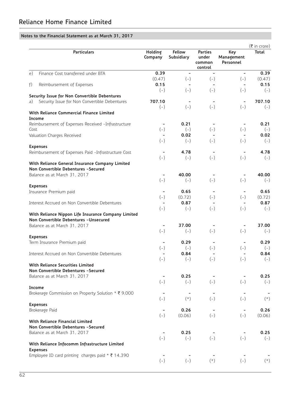| <b>Particulars</b>                                                      | Holding<br>Company       | <b>Fellow</b><br>Subsidiary       | <b>Parties</b><br>under<br>common | Key<br>Management<br>Personnel    | $(\bar{\bar{\mathbf{z}}}$ in crore)<br><b>Total</b> |
|-------------------------------------------------------------------------|--------------------------|-----------------------------------|-----------------------------------|-----------------------------------|-----------------------------------------------------|
|                                                                         |                          |                                   | control                           |                                   |                                                     |
| Finance Cost transferred under BTA<br>e)                                | 0.39<br>(0.47)           | $\overline{\phantom{a}}$<br>$(-)$ | $\overline{\phantom{a}}$<br>$(-)$ | $\overline{\phantom{a}}$<br>$(-)$ | 0.39<br>(0.47)                                      |
| Reimbursement of Expenses<br>f)                                         | 0.15                     |                                   |                                   | $\overline{\phantom{a}}$          | 0.15                                                |
|                                                                         | $(-)$                    | $(-)$                             | $(-)$                             | $(-)$                             | $(-)$                                               |
| Security Issue for Non Convertible Debentures                           |                          |                                   |                                   |                                   |                                                     |
| Security Issue for Non Convertible Debentures<br>a)                     | 707.10                   |                                   |                                   | $\overline{\phantom{a}}$          | 707.10                                              |
|                                                                         | $(-)$                    | $(-)$                             | $(-)$                             | $(-)$                             | $(-)$                                               |
| With Reliance Commercial Finance Limited                                |                          |                                   |                                   |                                   |                                                     |
| Income                                                                  |                          |                                   |                                   |                                   |                                                     |
| Reimbursement of Expenses Received -Infrastructure                      |                          | 0.21                              |                                   | $\overline{\phantom{a}}$          | 0.21                                                |
| Cost                                                                    | $(-)$                    | $(-)$                             | $(-)$                             | $(-)$                             | $(-)$                                               |
| Valuation Charges Received                                              | $\overline{\phantom{a}}$ | 0.02                              | $\overline{\phantom{a}}$          | $\overline{\phantom{a}}$          | 0.02                                                |
|                                                                         | $(-)$                    | $(-)$                             | $(-)$                             | $(-)$                             | $(-)$                                               |
| <b>Expenses</b><br>Reimbursement of Expenses Paid -Infrastructure Cost  |                          | 4.78                              |                                   | $\overline{\phantom{a}}$          | 4.78                                                |
|                                                                         | $(-)$                    | $(-)$                             | $(-)$                             | $(-)$                             | $(-)$                                               |
| With Reliance General Insurance Company Limited                         |                          |                                   |                                   |                                   |                                                     |
| Non Convertible Debentures -Secured                                     |                          |                                   |                                   |                                   |                                                     |
| Balance as at March 31, 2017                                            | $\overline{\phantom{a}}$ | 40.00                             |                                   | $\overline{\phantom{a}}$          | 40.00                                               |
|                                                                         | $(-)$                    | $(-)$                             | $(-)$                             | $(-)$                             | $(-)$                                               |
| <b>Expenses</b>                                                         |                          |                                   |                                   |                                   |                                                     |
| Insurance Premium paid                                                  | $\overline{\phantom{a}}$ | 0.65                              |                                   | $\overline{\phantom{a}}$          | 0.65                                                |
|                                                                         | $(-)$                    | (0.72)                            | $(-)$                             | $(-)$                             | (0.72)                                              |
| Interest Accrued on Non Convertible Debentures                          | $\overline{\phantom{a}}$ | 0.87                              | $\overline{\phantom{0}}$          | $\overline{\phantom{a}}$          | 0.87                                                |
|                                                                         | $(-)$                    | $(-)$                             | $(-)$                             | $(-)$                             | $(-)$                                               |
| With Reliance Nippon Life Insurance Company Limited                     |                          |                                   |                                   |                                   |                                                     |
| Non Convertible Debentures - Unsecured                                  |                          |                                   |                                   |                                   |                                                     |
| Balance as at March 31, 2017                                            | $\overline{\phantom{a}}$ | 37.00                             | $\overline{\phantom{a}}$          | $\overline{\phantom{a}}$          | 37.00                                               |
|                                                                         | $(-)$                    | $(-)$                             | $(-)$                             | $(-)$                             | $(-)$                                               |
| <b>Expenses</b>                                                         |                          |                                   |                                   |                                   |                                                     |
| Term Insurance Premium paid                                             |                          | 0.29                              |                                   |                                   | 0.29                                                |
|                                                                         | $(-)$                    | $(-)$                             | $(-)$                             | $(-)$                             | $(-)$                                               |
| Interest Accrued on Non Convertible Debentures                          |                          | 0.84                              |                                   | $\overline{\phantom{a}}$          | 0.84                                                |
|                                                                         | $(-)$                    | $(-)$                             | $(-)$                             | $(-)$                             | $(-)$                                               |
| With Reliance Securities Limited<br>Non Convertible Debentures -Secured |                          |                                   |                                   |                                   |                                                     |
| Balance as at March 31, 2017                                            |                          | 0.25                              |                                   |                                   | 0.25                                                |
|                                                                         | $(-)$                    | $(-)$                             | $(-)$                             | $(-)$                             | $(-)$                                               |
| Income                                                                  |                          |                                   |                                   |                                   |                                                     |
| Brokerage Commission on Property Solution * ₹ 9,000                     |                          |                                   |                                   |                                   |                                                     |
|                                                                         | $(-)$                    | $(*)$                             | $(-)$                             | $(-)$                             | $(*)$                                               |
| <b>Expenses</b>                                                         |                          |                                   |                                   |                                   |                                                     |
| Brokerage Paid                                                          | $\overline{\phantom{a}}$ | 0.26                              |                                   |                                   | 0.26                                                |
|                                                                         | $(-)$                    | (0.06)                            | $(-)$                             | $(-)$                             | (0.06)                                              |
| With Reliance Financial Limited                                         |                          |                                   |                                   |                                   |                                                     |
| Non Convertible Debentures -Secured                                     |                          |                                   |                                   |                                   |                                                     |
| Balance as at March 31, 2017                                            | $\overline{\phantom{a}}$ | 0.25                              |                                   |                                   | 0.25                                                |
|                                                                         | $(-)$                    | $(-)$                             | $(-)$                             | $(-)$                             | $(-)$                                               |
| With Reliance Infocomm Infrastructure Limited                           |                          |                                   |                                   |                                   |                                                     |
| <b>Expenses</b>                                                         |                          |                                   |                                   |                                   |                                                     |
| Employee ID card printing charges paid $*$ ₹ 14,390                     |                          |                                   |                                   |                                   |                                                     |
|                                                                         | $(-)$                    | $(-)$                             | $(*)$                             | $(-)$                             | $(*)$                                               |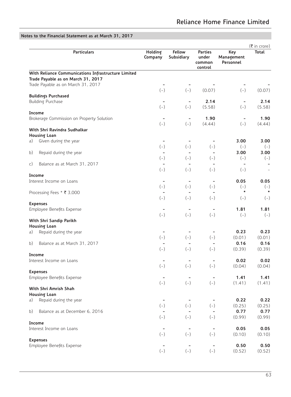| Particulars                                         | Holding                           | <b>Fellow</b>                     | <b>Parties</b>                    | Key                      | $(\bar{\bar{\mathbf{z}}}$ in crore)<br><b>Total</b> |
|-----------------------------------------------------|-----------------------------------|-----------------------------------|-----------------------------------|--------------------------|-----------------------------------------------------|
|                                                     | Company                           | Subsidiary                        | under<br>common<br>control        | Management<br>Personnel  |                                                     |
| With Reliance Communications Infrastructure Limited |                                   |                                   |                                   |                          |                                                     |
| Trade Payable as on March 31, 2017                  |                                   |                                   |                                   |                          |                                                     |
| Trade Payable as on March 31, 2017                  | $\overline{\phantom{a}}$<br>$(-)$ | $(-)$                             | (0.07)                            | $(-)$                    | (0.07)                                              |
| <b>Buildings Purchased</b>                          |                                   |                                   |                                   |                          |                                                     |
| Building Purchase                                   |                                   | $\overline{\phantom{a}}$          | 2.14                              | $\overline{\phantom{a}}$ | 2.14                                                |
|                                                     | $(-)$                             | $(-)$                             | (5.58)                            | $(-)$                    | (5.58)                                              |
| Income<br>Brokerage Commission on Property Solution | $\overline{a}$                    | $\overline{\phantom{a}}$          | 1.90                              | $\overline{\phantom{a}}$ | 1.90                                                |
|                                                     | $(-)$                             | $(-)$                             | (4.44)                            | $(-)$                    | (4.44)                                              |
| With Shri Ravindra Sudhalkar                        |                                   |                                   |                                   |                          |                                                     |
| Housing Loan                                        |                                   |                                   |                                   |                          |                                                     |
| Given during the year<br>a)                         |                                   | $\overline{\phantom{a}}$          | $\overline{a}$                    | 3.00                     | 3.00                                                |
| b)                                                  | $(-)$<br>$\overline{\phantom{a}}$ | $(-)$<br>$\overline{\phantom{a}}$ | $(-)$<br>$\overline{\phantom{a}}$ | $(-)$<br>3.00            | $(-)$<br>3.00                                       |
| Repaid during the year                              | $(-)$                             | $(-)$                             | $(-)$                             | $(-)$                    | $(-)$                                               |
| Balance as at March 31, 2017<br>C)                  | $\overline{\phantom{0}}$          | $\overline{\phantom{0}}$          | $\overline{\phantom{a}}$          | $\overline{\phantom{0}}$ |                                                     |
|                                                     | $(-)$                             | $(-)$                             | $(-)$                             | $(-)$                    |                                                     |
| Income                                              |                                   |                                   |                                   |                          |                                                     |
| Interest Income on Loans                            | $\overline{\phantom{a}}$          | $\overline{\phantom{a}}$<br>$(-)$ | $\overline{\phantom{a}}$<br>$(-)$ | 0.05                     | 0.05                                                |
| Processing Fees * ₹ 3,000                           | $(-)$                             |                                   | $\overline{\phantom{a}}$          | $(-)$<br>$\star$         | $(-)$<br>$\star$                                    |
|                                                     | $(-)$                             | $(-)$                             | $(-)$                             | $(-)$                    | $(-)$                                               |
| <b>Expenses</b>                                     |                                   |                                   |                                   |                          |                                                     |
| Employee Benefits Expense                           | $\overline{a}$                    |                                   | $\overline{\phantom{a}}$          | 1.81                     | 1.81                                                |
| With Shri Sandip Parikh                             | $(-)$                             | $(-)$                             | $(-)$                             | $(-)$                    | $(-)$                                               |
| Housing Loan                                        |                                   |                                   |                                   |                          |                                                     |
| Repaid during the year<br>a)                        |                                   |                                   |                                   | 0.23                     | 0.23                                                |
|                                                     | $(-)$                             | $(-)$                             | $(-)$                             | (0.01)                   | (0.01)                                              |
| b)<br>Balance as at March 31, 2017                  | $\overline{a}$                    |                                   | $\overline{\phantom{a}}$          | 0.16                     | 0.16                                                |
| Income                                              | $(-)$                             | $(-)$                             | $(-)$                             | (0.39)                   | (0.39)                                              |
| Interest Income on Loans                            |                                   |                                   | $\overline{\phantom{a}}$          | 0.02                     | 0.02                                                |
|                                                     | $(-)$                             | $(-)$                             | $(-)$                             | (0.04)                   | (0.04)                                              |
| <b>Expenses</b>                                     |                                   |                                   |                                   |                          |                                                     |
| Employee Benefits Expense                           |                                   |                                   | $\overline{a}$                    | 1.41                     | 1.41                                                |
| With Shri Amrish Shah                               | $(-)$                             | $(-)$                             | $(-)$                             | (1.41)                   | (1.41)                                              |
| Housing Loan                                        |                                   |                                   |                                   |                          |                                                     |
| Repaid during the year<br>a)                        |                                   |                                   |                                   | 0.22                     | 0.22                                                |
|                                                     | $(-)$                             | $(-)$                             | $(-)$                             | (0.25)                   | (0.25)                                              |
| b)<br>Balance as at December 6, 2016                |                                   |                                   | $\blacksquare$                    | 0.77                     | 0.77                                                |
| Income                                              | $(-)$                             | $(-)$                             | $(-)$                             | (0.99)                   | (0.99)                                              |
| Interest Income on Loans                            |                                   |                                   |                                   | 0.05                     | 0.05                                                |
|                                                     | $(-)$                             | $(-)$                             | $(-)$                             | (0.10)                   | (0.10)                                              |
| <b>Expenses</b>                                     |                                   |                                   |                                   |                          |                                                     |
| Employee Benefits Expense                           | $\overline{\phantom{a}}$          |                                   | $\overline{a}$                    | 0.50                     | 0.50                                                |
|                                                     | $(-)$                             | $(-)$                             | $(-)$                             | (0.52)                   | (0.52)                                              |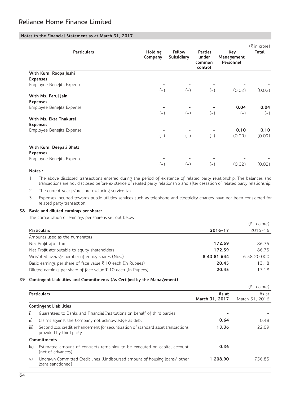|                                            |                    |                             |                                              |                                | $(\bar{\bar{\mathbf{z}}}$ in crore) |
|--------------------------------------------|--------------------|-----------------------------|----------------------------------------------|--------------------------------|-------------------------------------|
| <b>Particulars</b>                         | Holding<br>Company | <b>Fellow</b><br>Subsidiary | <b>Parties</b><br>under<br>common<br>control | Key<br>Management<br>Personnel | <b>Total</b>                        |
| With Kum. Roopa Joshi                      |                    |                             |                                              |                                |                                     |
| <b>Expenses</b>                            |                    |                             |                                              |                                |                                     |
| Employee Benefits Expense                  |                    |                             |                                              |                                |                                     |
|                                            | $(-)$              | $(-)$                       | $(-)$                                        | (0.02)                         | (0.02)                              |
| With Ms. Parul Jain                        |                    |                             |                                              |                                |                                     |
| <b>Expenses</b>                            |                    |                             |                                              |                                |                                     |
| Employee Benefits Expense                  |                    |                             |                                              | 0.04                           | 0.04                                |
|                                            | $(-)$              | $(-)$                       | $(-)$                                        | $(-)$                          | $(-)$                               |
| With Ms. Ekta Thakurel<br><b>Expenses</b>  |                    |                             |                                              |                                |                                     |
| Employee Benefits Expense                  |                    |                             |                                              | 0.10                           | 0.10                                |
|                                            | $(-)$              | $(-)$                       | $(-)$                                        | (0.09)                         | (0.09)                              |
| With Kum. Deepali Bhatt<br><b>Expenses</b> |                    |                             |                                              |                                |                                     |
| Employee Benefits Expense                  |                    |                             |                                              |                                |                                     |
|                                            | $(-)$              | $(-)$                       | $(-)$                                        | (0.02)                         | (0.02)                              |

#### **Notes :**

1 The above disclosed transactions entered during the period of existence of related party relationship. The balances and transactions are not disclosed before existence of related party relationship and after cessation of related party relationship.

2 The current year figures are excluding service tax.

3 Expenses incurred towards public utilities services such as telephone and electricity charges have not been considered for related party transaction.

## **38 Basic and diluted earnings per share:**

The computation of earnings per share is set out below

|                                                                |             | $(\bar{\bar{\mathbf{z}}}$ in crore) |
|----------------------------------------------------------------|-------------|-------------------------------------|
| <b>Particulars</b>                                             | 2016-17     | $2015 - 16$                         |
| Amounts used as the numerators                                 |             |                                     |
| Net Profit after tax                                           | 172.59      | 86.75                               |
| Net Profit attributable to equity shareholders                 | 172.59      | 86.75                               |
| Weighted average number of equity shares (Nos.)                | 8 43 81 644 | 6 58 20 000                         |
| Basic earnings per share of face value ₹ 10 each (In Rupees)   | 20.45       | 13.18                               |
| Diluted earnings per share of face value ₹ 10 each (In Rupees) | 20.45       | 13.18                               |

## **39 Contingent Liabilities and Commitments (As Certified by the Management)**

|      |                                                                                                             |                         | $(\bar{\bar{\mathbf{z}}}$ in crore) |
|------|-------------------------------------------------------------------------------------------------------------|-------------------------|-------------------------------------|
|      | <b>Particulars</b>                                                                                          | As at<br>March 31, 2017 | As at<br>March 31, 2016             |
|      | <b>Contingent Liabilities</b>                                                                               |                         |                                     |
| I)   | Guarantees to Banks and Financial Institutions on behalf of third parties                                   |                         |                                     |
| ii)  | Claims against the Company not acknowledge as debt                                                          | 0.64                    | 0.48                                |
| iii) | Second loss credit enhancement for securitization of standard asset transactions<br>provided by third party | 13.36                   | 22.09                               |
|      | Commitments                                                                                                 |                         |                                     |
| iv)  | Estimated amount of contracts remaining to be executed on capital account<br>(net of advances)              | 0.36                    |                                     |
| V)   | Undrawn Committed Credit lines (Undisbursed amount of housing loans/ other<br>loans sanctioned)             | 1.208.90                | 736.85                              |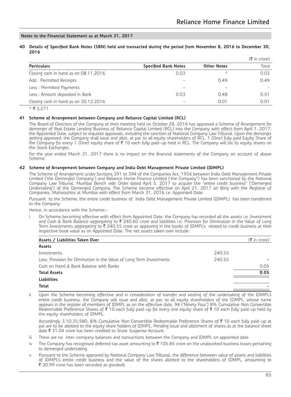**40 Details of Specified Bank Notes (SBN) held and transacted during the period from November 8, 2016 to December 30, 2016** 

|                                       |                             |                    | (₹ in crore) |
|---------------------------------------|-----------------------------|--------------------|--------------|
| <b>Particulars</b>                    | <b>Specified Bank Notes</b> | <b>Other Notes</b> | Total        |
| Closing cash in hand as on 08.11.2016 | 0.03                        | $\star$            | 0.03         |
| Add: Permitted Receipts               |                             | 0.49               | 0.49         |
| Less: Permitted Payments              | $\overline{\phantom{a}}$    |                    |              |
| Less: Amount deposited in Bank        | 0.03                        | 0.48               | 0.51         |
| Closing cash in hand as on 30.12.2016 | -                           | 0.01               | 0.01         |
|                                       |                             |                    |              |

 $*$  ₹ 3.271

#### **41 Scheme of Arrangement between Company and Reliance Capital Limited (RCL)**

The Board of Directors of the Company at their meeting held on October 28, 2016 has approved a Scheme of Arrangement for demerger of Real Estate Lending Business of Reliance Capital Limited (RCL) into the Company with effect from April 1, 2017, the Appointed Date, subject to requisite approvals, including the sanction of National Company Law Tribunal. Upon the demerger getting approved, the Company shall issue and allot, at par, to all equity shareholders of RCL, 1 (One) fully paid Equity Share of the Company for every 1 (One) equity share of  $\bar{\tau}$  10 each fully paid-up held in RCL. The Company will list its equity shares on the Stock Exchanges.

For the year ended March 31, 2017 there is no impact on the financial statements of the Company on account of above Scheme.

#### **42 Scheme of Arrangement between Company and India Debt Management Private Limited (IDMPL)**

The Scheme of Arrangement under Sections 391 to 394 of the Companies Act, 1956 between India Debt Management Private Limited ('the Demerged Company') and Reliance Home Finance Limited ('the Company") has been sanctioned by the National Company Law Tribunal, Mumbai Bench vide Order dated April 5, 2017 to acquire the "entire credit business" ('Demerged Undertaking') of the Demerged Company. The Scheme became effective on April 21, 2017 on filing with the Registrar of Companies, Maharashtra at Mumbai with effect from March 31, 2016 i.e. Appointed Date.

Pursuant to the Scheme, the entire credit business of India Debt Management Private Limited (IDMPL) has been transferred to the Company.

Hence, in accordance with the Scheme:-

On Scheme becoming effective with effect from Appointed Date, the Company has recorded all the assets i.e. Investment and Cash & Bank Balance aggregating to  $\bar{\tau}$  240.60 crore and liabilities i.e. Provision for Diminution in the Value of Long Term Investments aggregating to  $\bar{\tau}$  240.55 crore as appearing in the books of IDMPL's related to credit business at their respective book value as on Appointed Date. The net assets taken over include:

| Assets / Liabilities Taken Over                                      |        | $(\bar{\bar{\mathbf{z}}}$ in crore) |
|----------------------------------------------------------------------|--------|-------------------------------------|
| <b>Assets</b>                                                        |        |                                     |
| Investments                                                          | 240.55 |                                     |
| Less: Provision for Diminution in the Value of Long Term Investments | 240.55 |                                     |
| Cash on Hand & Bank Balance with Banks                               |        | 0.05                                |
| <b>Total Assets</b>                                                  |        | 0.05                                |
| <b>Liabilities</b>                                                   |        |                                     |
| <b>Total</b>                                                         |        |                                     |

ii Upon the Scheme becoming effective and in consideration of transfer and vesting of the undertaking of the IDMPL's entire credit business, the Company will issue and allot, at par, to all equity shareholders of the IDMPL, whose name appears in the register of members of IDMPL as on the effective date, 94 ('Ninety Four') 8% Cumulative Non Convertible Redeemable Preference Shares of  $\bar{\tau}$  10 each fully paid-up for every one equity share of  $\bar{\tau}$  10 each fully paid-up held by the equity shareholders of IDMPL.

Accordingly 3,10,35,980, 8% Cumulative Non Convertible Redeemable Preference Shares of ₹ 10 each fully paid-up at par are to be allotted to the equity share holders of IDMPL. Pending issue and allotment of shares as at the balance sheet date  $\bar{\tau}$  31.04 crore has been credited to Share Suspense Account.

iii There are no inter-company balances and transactions between the Company and IDMPL on appointed date.

- iv The Company has recognised deferred tax asset amounting to  $\bar{\tau}$  105.85 crore on the unabsorbed business losses pertaining to demerged undertaking.
- v Pursuant to the Scheme approved by National Company Law Tribunal, the difference between value of assets and liabilities of IDMPL's entire credit business and the value of the shares allotted to the shareholders of IDMPL, amounting to ₹ 30.99 crore has been recorded as goodwill.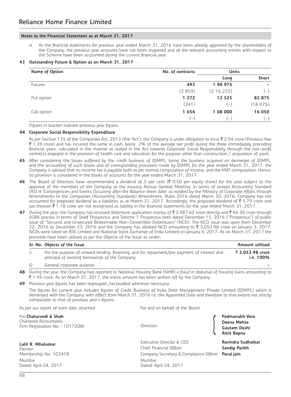vi As the financial statements for previous year ended March 31, 2016 have been already approved by the shareholders of the Company, the previous year accounts have not been reopened and all the relevant accounting entries with respect to the Scheme have been accounted during the current financial year.

### **43 Outstanding Future & Option as on March 31, 2017**

| Name of Option | No. of contracts | <b>Units</b> |                   |
|----------------|------------------|--------------|-------------------|
|                |                  | Long         | Short             |
| Futures        | 493              | 1 90 975     |                   |
|                | (2859)           | (216225)     | $\left( -\right)$ |
| Put option     | 1 2 7 2          | 12 5 25      | 82 875            |
|                | (241)            | $(-)$        | (18075)           |
| Call option    | 1 654            | 1 08 000     | 16 050            |
|                | $(-)$            | $(-)$        | $\left( -\right)$ |

Figures in bracket indicate previous year figures.

#### **44 Corporate Social Responsibility Expenditure**

As per Section 135 of the Companies Act, 2013 (the 'Act'), the Company is under obligation to incur ₹ 2.04 crore (Previous Year  $\bar{\tau}$  1.39 crore) and has incurred the same in cash, being 2% of the average net profit during the three immediately preceding financial years, calculated in the manner as stated in the Act towards Corporate Social Responsibility through the non-profit centre(s) engaged in the provision of health care and education for the purpose other than construction / acquisition of asset.

- **45** After considering the losses suffered by the credit business of IDMPL, being the business acquired on demerger of IDMPL, and the accounting of such losses and of corresponding provisions made by IDMPL for the year ended March 31, 2017, the Company is advised that no income tax is payable both as per normal computation of income, and the MAT computation. Hence, no provision is considered in the books of accounts for the year ended March 31, 2017.
- **46** The Board of Directors have recommended a dividend of 5 per cent (₹ 0.50 per equity share) for the year subject to the approval of the members of the Company at the ensuing Annual General Meeting. In terms of revised Accounting Standard (AS) 4 'Contingencies and Events Occurring after the Balance sheet date' as notified by the Ministry of Corporate Affairs through Amendments to the Companies (Accounting Standards) Amendment, Rules 2016 dated March 30, 2016, Company has not accounted for proposed dividend as a liabilities as at March 31, 2017. Accordingly, the proposed dividend of  $\bar{\tau}$  5.79 crore and tax thereon  $\bar{\tau}$  1.18 crore are not recognised as liability in the financial statements for the year ended March 31, 2017.
- 47 During the year, the Company has received debenture application money of ₹ 2,987.62 crore directly and ₹ 66.36 crore through ASBA process in terms of Shelf Prospectus and Tranche 1 Prospectus both dated December 15, 2016 ("Prospectus") of public issue of "Secured and Unsecured Redeemable Non-Convertible Debentures" (NCD). The NCD issue was open from December 22, 2016 to December 23, 2016 and the Company has allotted NCD amounting to ₹ 3,053.98 crore on January 3, 2017. NCDs were listed on BSE Limited and National Stock Exchange of India Limited on January 6, 2017. As on March 31, 2017 the proceeds have been utilised as per the Objects of the Issue as under:

| Sr. No. Objects of the Issue |                                                                                                                                                | Amount utilised               |  |
|------------------------------|------------------------------------------------------------------------------------------------------------------------------------------------|-------------------------------|--|
|                              | For the purpose of onward lending, financing, and for repayment/pre payment of interest and<br>principal of existing borrowings of the Company | ₹ 3.053.98 crore<br>i.e. 100% |  |
|                              | $C = -1$ and $C = 0$ and $C = 0$ and $C = 0$                                                                                                   |                               |  |

General corporate purpose

- **48** During the year, the Company had reported to National Housing Bank (NHB) a fraud in disbursal of housing loans amounting to ` 1.95 crore. As on March 31, 2017, the entire amount has been written off by the Company.
- **49** Previous year figures has been regrouped /reclassified wherever necessary.

The figures for current year includes figures of Credit Business of India Debt Management Private Limited (IDMPL) which is demerged with the Company with effect from March 31, 2016 i.e. the Appointed Date and therefore to that extent not strictly comparable to that of previous year's figures.

As per our report of even date attached For and on behalf of the Board

For **Chaturvedi & Shah** Chartered Accountants Firm Registration No.: 101720W Directors

**Lalit R. Mhalsekar**

Partner Membership No: 103418 Mumbai Dated: April 24, 2017

Executive Director & CEO Chief Financial Officer Company Secretary & Compliance Officer **Parul Jain** Mumbai Dated: April 24, 2017

**Padmanabh Vora Deena Mehta Gautam Doshi Amit Bapna**

{

**Ravindra Sudhalkar Sandip Parikh**